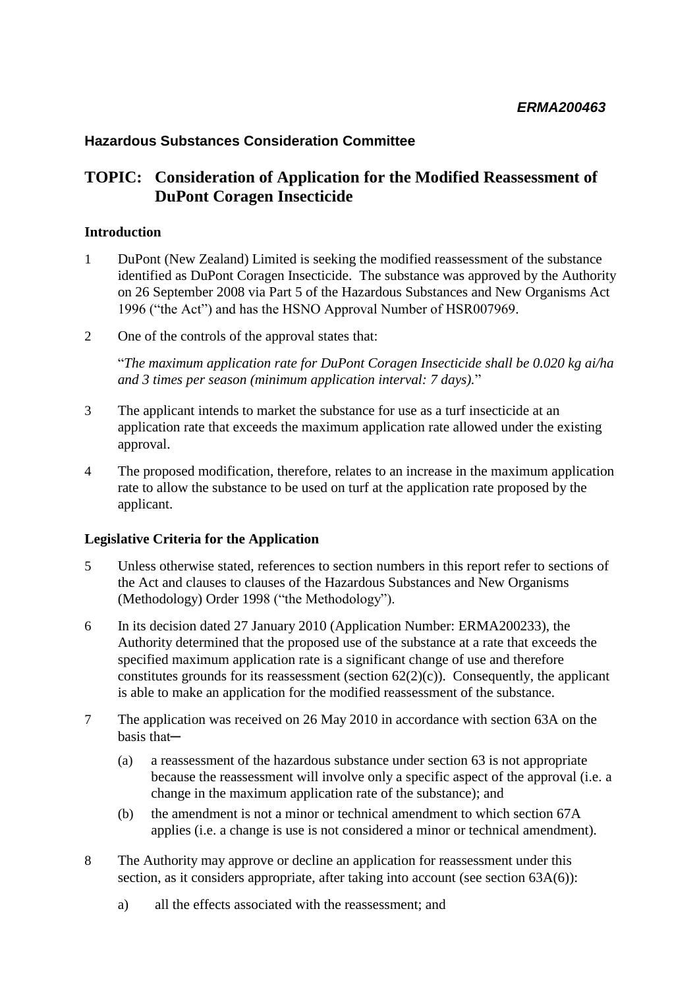### **Hazardous Substances Consideration Committee**

### **TOPIC: Consideration of Application for the Modified Reassessment of DuPont Coragen Insecticide**

#### **Introduction**

- 1 DuPont (New Zealand) Limited is seeking the modified reassessment of the substance identified as DuPont Coragen Insecticide. The substance was approved by the Authority on 26 September 2008 via Part 5 of the Hazardous Substances and New Organisms Act 1996 ("the Act") and has the HSNO Approval Number of HSR007969.
- 2 One of the controls of the approval states that:

"*The maximum application rate for DuPont Coragen Insecticide shall be 0.020 kg ai/ha and 3 times per season (minimum application interval: 7 days).*"

- 3 The applicant intends to market the substance for use as a turf insecticide at an application rate that exceeds the maximum application rate allowed under the existing approval.
- 4 The proposed modification, therefore, relates to an increase in the maximum application rate to allow the substance to be used on turf at the application rate proposed by the applicant.

### **Legislative Criteria for the Application**

- 5 Unless otherwise stated, references to section numbers in this report refer to sections of the Act and clauses to clauses of the Hazardous Substances and New Organisms (Methodology) Order 1998 ("the Methodology").
- 6 In its decision dated 27 January 2010 (Application Number: ERMA200233), the Authority determined that the proposed use of the substance at a rate that exceeds the specified maximum application rate is a significant change of use and therefore constitutes grounds for its reassessment (section  $62(2)(c)$ ). Consequently, the applicant is able to make an application for the modified reassessment of the substance.
- 7 The application was received on 26 May 2010 in accordance with section 63A on the basis that─
	- (a) a reassessment of the hazardous substance under section 63 is not appropriate because the reassessment will involve only a specific aspect of the approval (i.e. a change in the maximum application rate of the substance); and
	- (b) the amendment is not a minor or technical amendment to which section 67A applies (i.e. a change is use is not considered a minor or technical amendment).
- 8 The Authority may approve or decline an application for reassessment under this section, as it considers appropriate, after taking into account (see section 63A(6)):
	- a) all the effects associated with the reassessment; and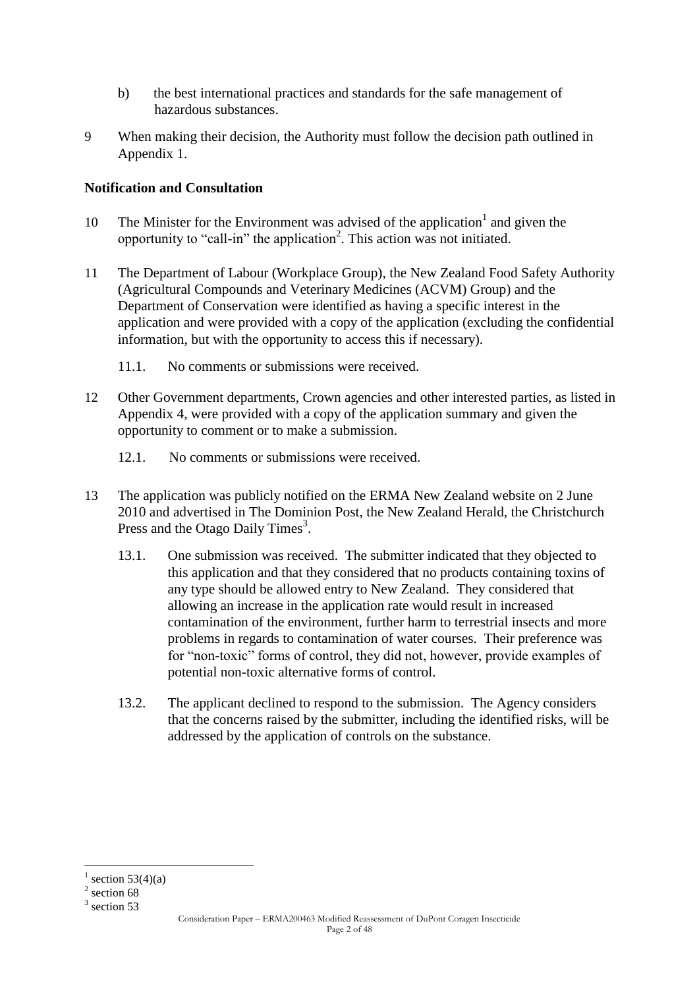- b) the best international practices and standards for the safe management of hazardous substances.
- 9 When making their decision, the Authority must follow the decision path outlined in Appendix 1.

### **Notification and Consultation**

- 10 The Minister for the Environment was advised of the application<sup>1</sup> and given the opportunity to "call-in" the application<sup>2</sup>. This action was not initiated.
- 11 The Department of Labour (Workplace Group), the New Zealand Food Safety Authority (Agricultural Compounds and Veterinary Medicines (ACVM) Group) and the Department of Conservation were identified as having a specific interest in the application and were provided with a copy of the application (excluding the confidential information, but with the opportunity to access this if necessary).
	- 11.1. No comments or submissions were received.
- 12 Other Government departments, Crown agencies and other interested parties, as listed in Appendix 4, were provided with a copy of the application summary and given the opportunity to comment or to make a submission.
	- 12.1. No comments or submissions were received.
- 13 The application was publicly notified on the ERMA New Zealand website on 2 June 2010 and advertised in The Dominion Post, the New Zealand Herald, the Christchurch Press and the Otago Daily Times<sup>3</sup>.
	- 13.1. One submission was received. The submitter indicated that they objected to this application and that they considered that no products containing toxins of any type should be allowed entry to New Zealand. They considered that allowing an increase in the application rate would result in increased contamination of the environment, further harm to terrestrial insects and more problems in regards to contamination of water courses. Their preference was for "non-toxic" forms of control, they did not, however, provide examples of potential non-toxic alternative forms of control.
	- 13.2. The applicant declined to respond to the submission. The Agency considers that the concerns raised by the submitter, including the identified risks, will be addressed by the application of controls on the substance.

1

<sup>1</sup> section  $53(4)(a)$ 

 $2$  section 68

 $3$  section 53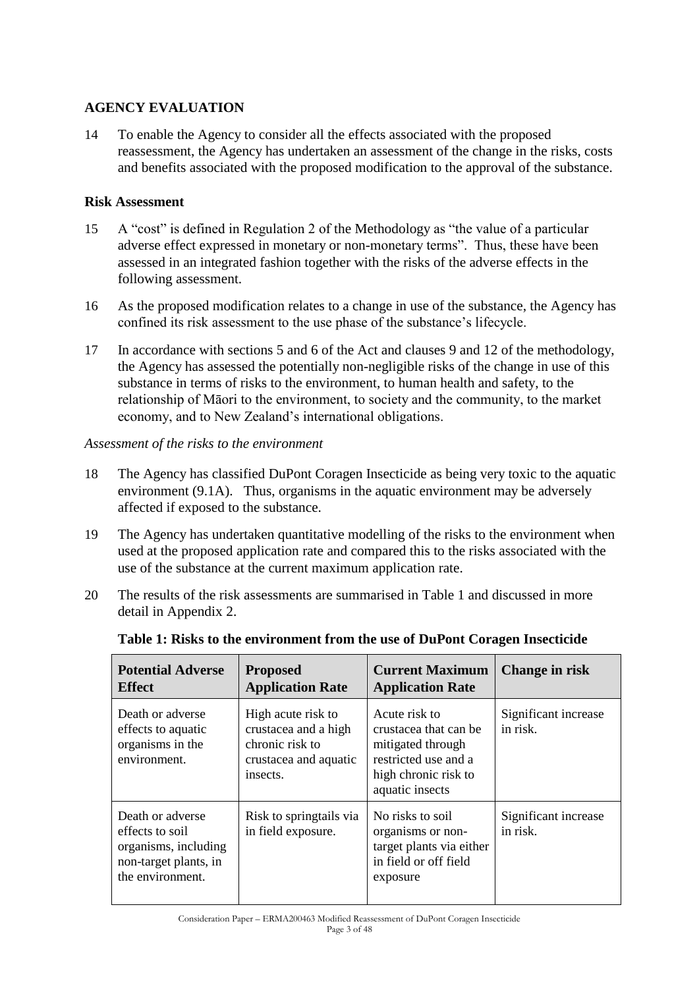### **AGENCY EVALUATION**

14 To enable the Agency to consider all the effects associated with the proposed reassessment, the Agency has undertaken an assessment of the change in the risks, costs and benefits associated with the proposed modification to the approval of the substance.

### **Risk Assessment**

- 15 A "cost" is defined in Regulation 2 of the Methodology as "the value of a particular adverse effect expressed in monetary or non-monetary terms". Thus, these have been assessed in an integrated fashion together with the risks of the adverse effects in the following assessment.
- 16 As the proposed modification relates to a change in use of the substance, the Agency has confined its risk assessment to the use phase of the substance"s lifecycle.
- 17 In accordance with sections 5 and 6 of the Act and clauses 9 and 12 of the methodology, the Agency has assessed the potentially non-negligible risks of the change in use of this substance in terms of risks to the environment, to human health and safety, to the relationship of Māori to the environment, to society and the community, to the market economy, and to New Zealand"s international obligations.

#### *Assessment of the risks to the environment*

- 18 The Agency has classified DuPont Coragen Insecticide as being very toxic to the aquatic environment (9.1A). Thus, organisms in the aquatic environment may be adversely affected if exposed to the substance.
- 19 The Agency has undertaken quantitative modelling of the risks to the environment when used at the proposed application rate and compared this to the risks associated with the use of the substance at the current maximum application rate.
- 20 The results of the risk assessments are summarised in Table 1 and discussed in more detail in Appendix 2.

| <b>Potential Adverse</b><br><b>Effect</b>                                                                | <b>Proposed</b><br><b>Application Rate</b>                                                         | <b>Current Maximum</b><br><b>Application Rate</b>                                                                              | Change in risk                   |
|----------------------------------------------------------------------------------------------------------|----------------------------------------------------------------------------------------------------|--------------------------------------------------------------------------------------------------------------------------------|----------------------------------|
| Death or adverse<br>effects to aquatic<br>organisms in the<br>environment.                               | High acute risk to<br>crustacea and a high<br>chronic risk to<br>crustacea and aquatic<br>insects. | Acute risk to<br>crustacea that can be<br>mitigated through<br>restricted use and a<br>high chronic risk to<br>aquatic insects | Significant increase<br>in risk. |
| Death or adverse<br>effects to soil<br>organisms, including<br>non-target plants, in<br>the environment. | Risk to springtails via<br>in field exposure.                                                      | No risks to soil<br>organisms or non-<br>target plants via either<br>in field or off field<br>exposure                         | Significant increase<br>in risk. |

**Table 1: Risks to the environment from the use of DuPont Coragen Insecticide**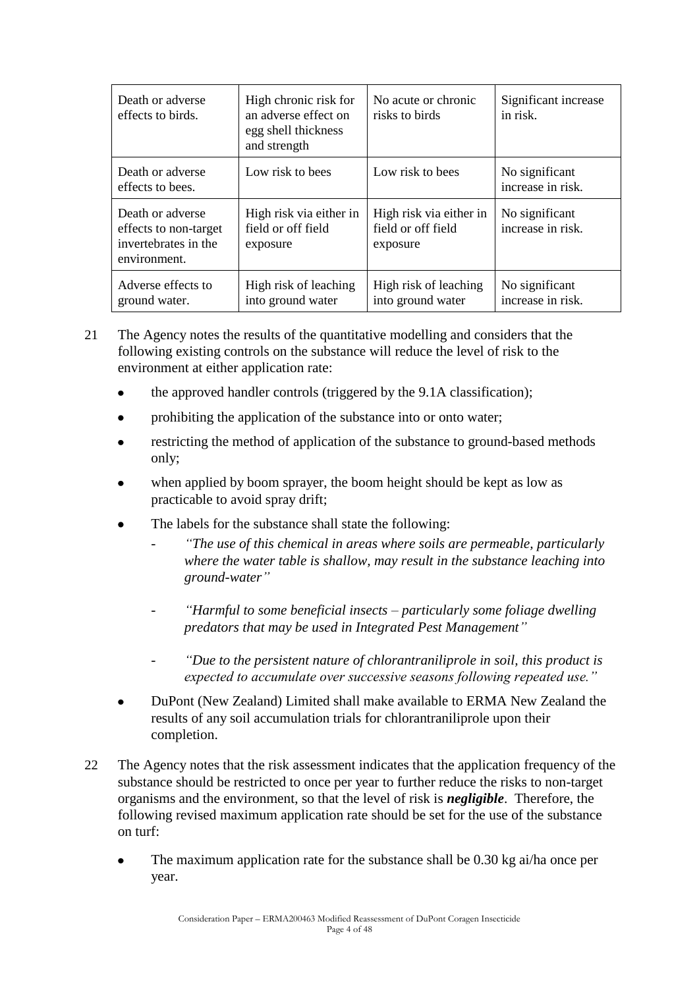| Death or adverse<br>effects to birds.                                             | High chronic risk for<br>an adverse effect on<br>egg shell thickness<br>and strength | No acute or chronic<br>risks to birds                     | Significant increase<br>in risk.    |
|-----------------------------------------------------------------------------------|--------------------------------------------------------------------------------------|-----------------------------------------------------------|-------------------------------------|
| Death or adverse<br>effects to bees.                                              | Low risk to bees                                                                     | Low risk to bees                                          | No significant<br>increase in risk. |
| Death or adverse<br>effects to non-target<br>invertebrates in the<br>environment. | High risk via either in<br>field or off field<br>exposure                            | High risk via either in<br>field or off field<br>exposure | No significant<br>increase in risk. |
| Adverse effects to<br>ground water.                                               | High risk of leaching<br>into ground water                                           | High risk of leaching<br>into ground water                | No significant<br>increase in risk. |

- 21 The Agency notes the results of the quantitative modelling and considers that the following existing controls on the substance will reduce the level of risk to the environment at either application rate:
	- the approved handler controls (triggered by the 9.1A classification);
	- prohibiting the application of the substance into or onto water;
	- restricting the method of application of the substance to ground-based methods only;
	- when applied by boom sprayer, the boom height should be kept as low as practicable to avoid spray drift;
	- The labels for the substance shall state the following:
		- *"The use of this chemical in areas where soils are permeable, particularly where the water table is shallow, may result in the substance leaching into ground-water‖*
		- *―Harmful to some beneficial insects – particularly some foliage dwelling predators that may be used in Integrated Pest Management‖*
		- *―Due to the persistent nature of chlorantraniliprole in soil, this product is expected to accumulate over successive seasons following repeated use.‖*
	- DuPont (New Zealand) Limited shall make available to ERMA New Zealand the results of any soil accumulation trials for chlorantraniliprole upon their completion.
- 22 The Agency notes that the risk assessment indicates that the application frequency of the substance should be restricted to once per year to further reduce the risks to non-target organisms and the environment, so that the level of risk is *negligible*. Therefore, the following revised maximum application rate should be set for the use of the substance on turf:
	- The maximum application rate for the substance shall be 0.30 kg ai/ha once per year.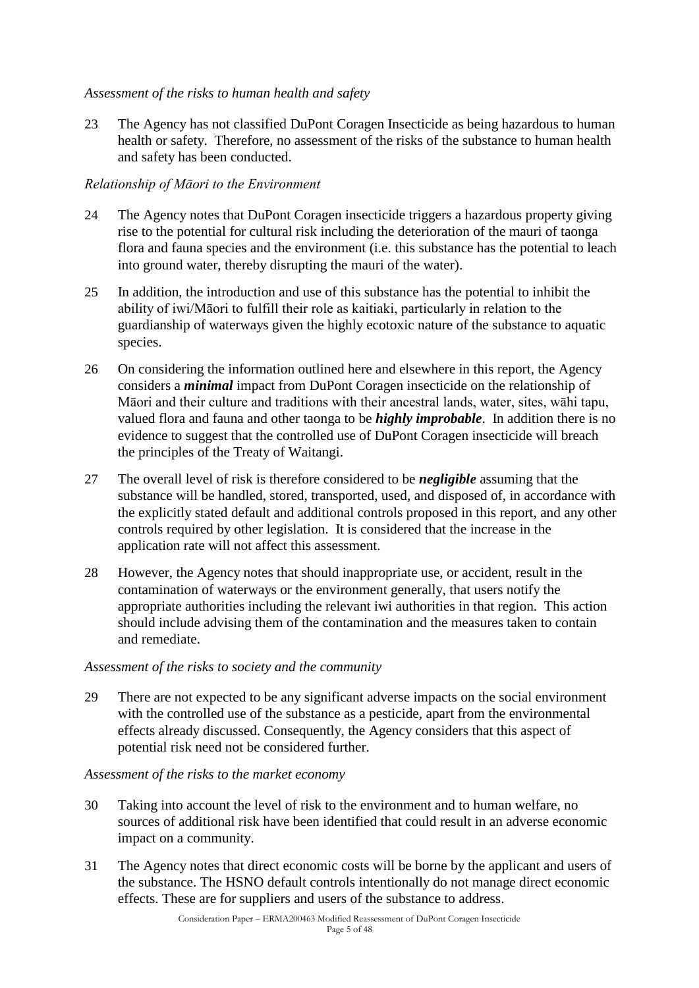### *Assessment of the risks to human health and safety*

23 The Agency has not classified DuPont Coragen Insecticide as being hazardous to human health or safety. Therefore, no assessment of the risks of the substance to human health and safety has been conducted.

### *Relationship of Māori to the Environment*

- 24 The Agency notes that DuPont Coragen insecticide triggers a hazardous property giving rise to the potential for cultural risk including the deterioration of the mauri of taonga flora and fauna species and the environment (i.e. this substance has the potential to leach into ground water, thereby disrupting the mauri of the water).
- 25 In addition, the introduction and use of this substance has the potential to inhibit the ability of iwi/Māori to fulfill their role as kaitiaki, particularly in relation to the guardianship of waterways given the highly ecotoxic nature of the substance to aquatic species.
- 26 On considering the information outlined here and elsewhere in this report, the Agency considers a *minimal* impact from DuPont Coragen insecticide on the relationship of Māori and their culture and traditions with their ancestral lands, water, sites, wāhi tapu, valued flora and fauna and other taonga to be *highly improbable*. In addition there is no evidence to suggest that the controlled use of DuPont Coragen insecticide will breach the principles of the Treaty of Waitangi.
- 27 The overall level of risk is therefore considered to be *negligible* assuming that the substance will be handled, stored, transported, used, and disposed of, in accordance with the explicitly stated default and additional controls proposed in this report, and any other controls required by other legislation. It is considered that the increase in the application rate will not affect this assessment.
- 28 However, the Agency notes that should inappropriate use, or accident, result in the contamination of waterways or the environment generally, that users notify the appropriate authorities including the relevant iwi authorities in that region. This action should include advising them of the contamination and the measures taken to contain and remediate.

#### *Assessment of the risks to society and the community*

29 There are not expected to be any significant adverse impacts on the social environment with the controlled use of the substance as a pesticide, apart from the environmental effects already discussed. Consequently, the Agency considers that this aspect of potential risk need not be considered further.

*Assessment of the risks to the market economy*

- 30 Taking into account the level of risk to the environment and to human welfare, no sources of additional risk have been identified that could result in an adverse economic impact on a community.
- 31 The Agency notes that direct economic costs will be borne by the applicant and users of the substance. The HSNO default controls intentionally do not manage direct economic effects. These are for suppliers and users of the substance to address.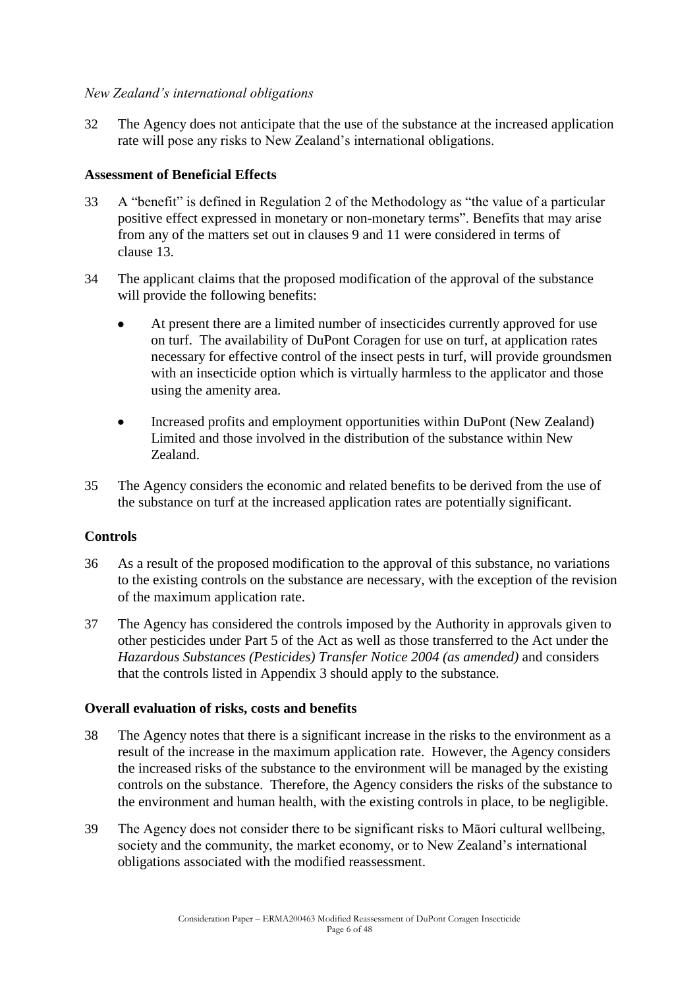### *New Zealand's international obligations*

32 The Agency does not anticipate that the use of the substance at the increased application rate will pose any risks to New Zealand"s international obligations.

### **Assessment of Beneficial Effects**

- 33 A "benefit" is defined in Regulation 2 of the Methodology as "the value of a particular positive effect expressed in monetary or non-monetary terms". Benefits that may arise from any of the matters set out in clauses 9 and 11 were considered in terms of clause 13.
- 34 The applicant claims that the proposed modification of the approval of the substance will provide the following benefits:
	- At present there are a limited number of insecticides currently approved for use on turf. The availability of DuPont Coragen for use on turf, at application rates necessary for effective control of the insect pests in turf, will provide groundsmen with an insecticide option which is virtually harmless to the applicator and those using the amenity area.
	- Increased profits and employment opportunities within DuPont (New Zealand) Limited and those involved in the distribution of the substance within New Zealand.
- 35 The Agency considers the economic and related benefits to be derived from the use of the substance on turf at the increased application rates are potentially significant.

### **Controls**

- 36 As a result of the proposed modification to the approval of this substance, no variations to the existing controls on the substance are necessary, with the exception of the revision of the maximum application rate.
- 37 The Agency has considered the controls imposed by the Authority in approvals given to other pesticides under Part 5 of the Act as well as those transferred to the Act under the *Hazardous Substances (Pesticides) Transfer Notice 2004 (as amended)* and considers that the controls listed in Appendix 3 should apply to the substance.

#### **Overall evaluation of risks, costs and benefits**

- 38 The Agency notes that there is a significant increase in the risks to the environment as a result of the increase in the maximum application rate. However, the Agency considers the increased risks of the substance to the environment will be managed by the existing controls on the substance. Therefore, the Agency considers the risks of the substance to the environment and human health, with the existing controls in place, to be negligible.
- 39 The Agency does not consider there to be significant risks to Māori cultural wellbeing, society and the community, the market economy, or to New Zealand's international obligations associated with the modified reassessment.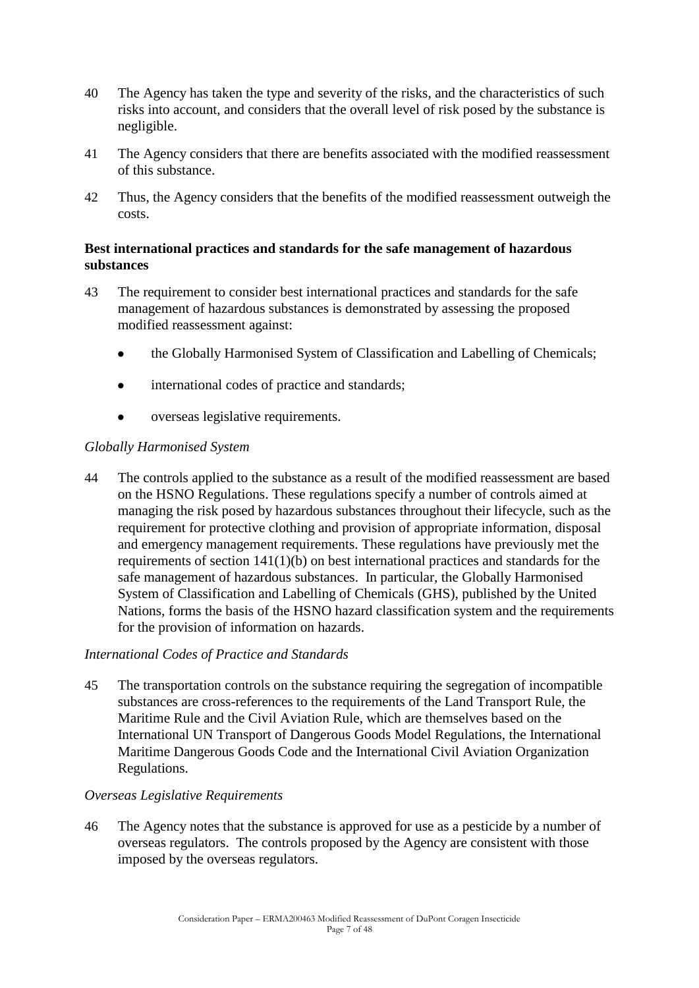- 40 The Agency has taken the type and severity of the risks, and the characteristics of such risks into account, and considers that the overall level of risk posed by the substance is negligible.
- 41 The Agency considers that there are benefits associated with the modified reassessment of this substance.
- 42 Thus, the Agency considers that the benefits of the modified reassessment outweigh the costs.

### **Best international practices and standards for the safe management of hazardous substances**

- 43 The requirement to consider best international practices and standards for the safe management of hazardous substances is demonstrated by assessing the proposed modified reassessment against:
	- the Globally Harmonised System of Classification and Labelling of Chemicals;  $\bullet$
	- international codes of practice and standards;
	- overseas legislative requirements.

### *Globally Harmonised System*

44 The controls applied to the substance as a result of the modified reassessment are based on the HSNO Regulations. These regulations specify a number of controls aimed at managing the risk posed by hazardous substances throughout their lifecycle, such as the requirement for protective clothing and provision of appropriate information, disposal and emergency management requirements. These regulations have previously met the requirements of section 141(1)(b) on best international practices and standards for the safe management of hazardous substances. In particular, the Globally Harmonised System of Classification and Labelling of Chemicals (GHS), published by the United Nations, forms the basis of the HSNO hazard classification system and the requirements for the provision of information on hazards.

### *International Codes of Practice and Standards*

45 The transportation controls on the substance requiring the segregation of incompatible substances are cross-references to the requirements of the Land Transport Rule, the Maritime Rule and the Civil Aviation Rule, which are themselves based on the International UN Transport of Dangerous Goods Model Regulations, the International Maritime Dangerous Goods Code and the International Civil Aviation Organization Regulations.

#### *Overseas Legislative Requirements*

46 The Agency notes that the substance is approved for use as a pesticide by a number of overseas regulators. The controls proposed by the Agency are consistent with those imposed by the overseas regulators.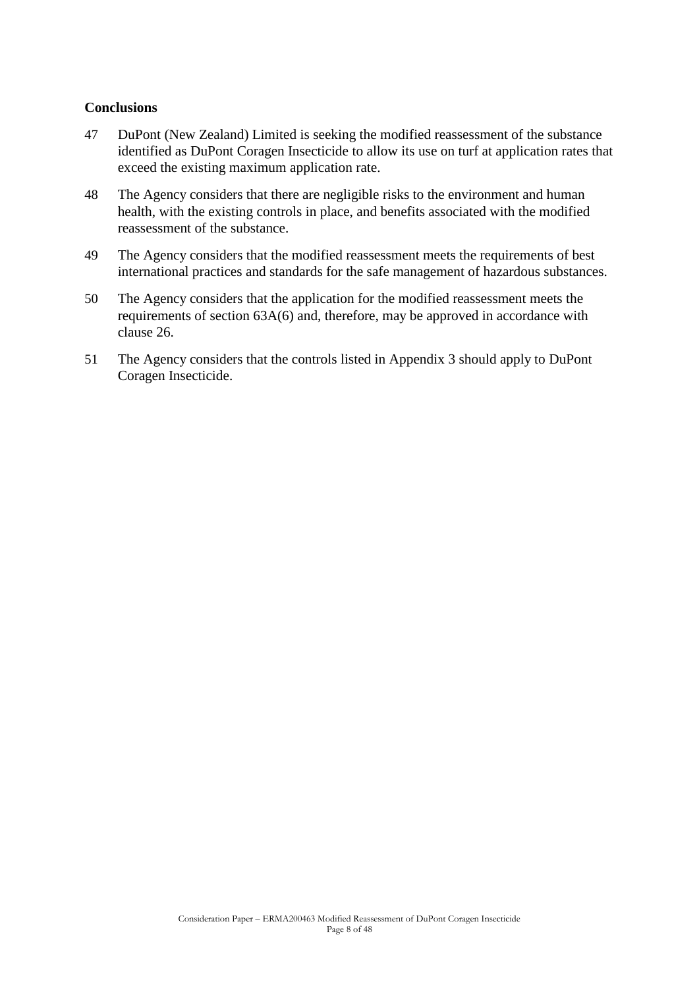#### **Conclusions**

- 47 DuPont (New Zealand) Limited is seeking the modified reassessment of the substance identified as DuPont Coragen Insecticide to allow its use on turf at application rates that exceed the existing maximum application rate.
- 48 The Agency considers that there are negligible risks to the environment and human health, with the existing controls in place, and benefits associated with the modified reassessment of the substance.
- 49 The Agency considers that the modified reassessment meets the requirements of best international practices and standards for the safe management of hazardous substances.
- 50 The Agency considers that the application for the modified reassessment meets the requirements of section 63A(6) and, therefore, may be approved in accordance with clause 26.
- 51 The Agency considers that the controls listed in Appendix 3 should apply to DuPont Coragen Insecticide.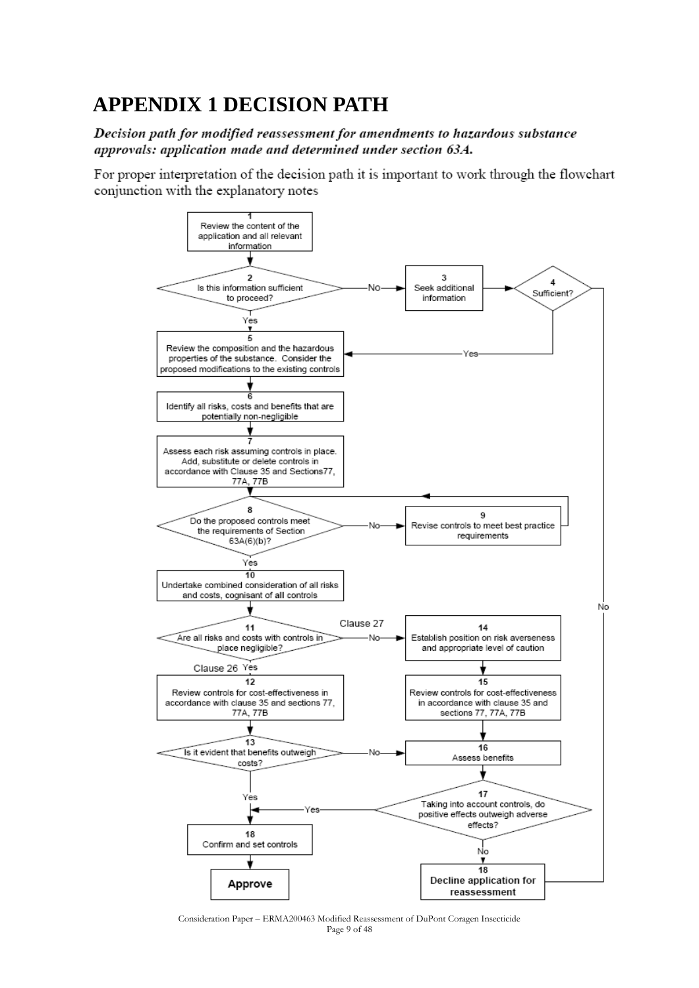# **APPENDIX 1 DECISION PATH**

Decision path for modified reassessment for amendments to hazardous substance approvals: application made and determined under section 63A.

For proper interpretation of the decision path it is important to work through the flowchart conjunction with the explanatory notes



Consideration Paper – ERMA200463 Modified Reassessment of DuPont Coragen Insecticide Page 9 of 48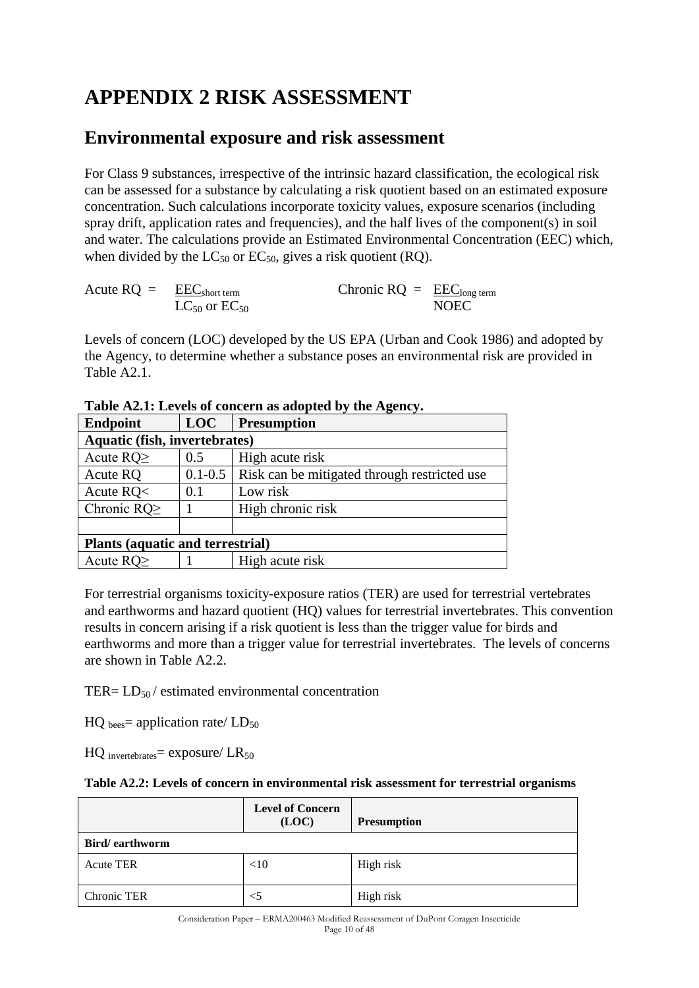# **APPENDIX 2 RISK ASSESSMENT**

## **Environmental exposure and risk assessment**

For Class 9 substances, irrespective of the intrinsic hazard classification, the ecological risk can be assessed for a substance by calculating a risk quotient based on an estimated exposure concentration. Such calculations incorporate toxicity values, exposure scenarios (including spray drift, application rates and frequencies), and the half lives of the component(s) in soil and water. The calculations provide an Estimated Environmental Concentration (EEC) which, when divided by the  $LC_{50}$  or  $EC_{50}$ , gives a risk quotient (RQ).

| Acute $RQ = EECshort term$ |                        | Chronic $RQ = EEC_{\text{long term}}$ |             |
|----------------------------|------------------------|---------------------------------------|-------------|
|                            | $LC_{50}$ or $EC_{50}$ |                                       | <b>NOEC</b> |

Levels of concern (LOC) developed by the US EPA (Urban and Cook 1986) and adopted by the Agency, to determine whether a substance poses an environmental risk are provided in Table A2.1.

| Tuble result were of concern as adopted by the rightly. |             |                                              |  |  |
|---------------------------------------------------------|-------------|----------------------------------------------|--|--|
| <b>Endpoint</b>                                         | <b>LOC</b>  | <b>Presumption</b>                           |  |  |
| <b>Aquatic (fish, invertebrates)</b>                    |             |                                              |  |  |
| Acute $RQ \geq$                                         | 0.5         | High acute risk                              |  |  |
| Acute RQ                                                | $0.1 - 0.5$ | Risk can be mitigated through restricted use |  |  |
| Acute $RQ0$                                             | 0.1         | Low risk                                     |  |  |
| Chronic RQ $\geq$                                       |             | High chronic risk                            |  |  |
|                                                         |             |                                              |  |  |
| <b>Plants (aquatic and terrestrial)</b>                 |             |                                              |  |  |
| Acute $RQ \geq$                                         |             | High acute risk                              |  |  |

**Table A2.1: Levels of concern as adopted by the Agency.**

For terrestrial organisms toxicity-exposure ratios (TER) are used for terrestrial vertebrates and earthworms and hazard quotient (HQ) values for terrestrial invertebrates. This convention results in concern arising if a risk quotient is less than the trigger value for birds and earthworms and more than a trigger value for terrestrial invertebrates. The levels of concerns are shown in Table A2.2.

TER=  $LD_{50}$  / estimated environmental concentration

 $HQ_{\text{bees}} =$  application rate/ $LD_{50}$ 

 $HQ$  invertebrates = exposure/  $LR_{50}$ 

|                | <b>Level of Concern</b><br>(LOC) | <b>Presumption</b> |
|----------------|----------------------------------|--------------------|
| Bird/earthworm |                                  |                    |
| Acute TER      | <10                              | High risk          |
| Chronic TER    | $<$ 5                            | High risk          |

Consideration Paper – ERMA200463 Modified Reassessment of DuPont Coragen Insecticide Page 10 of 48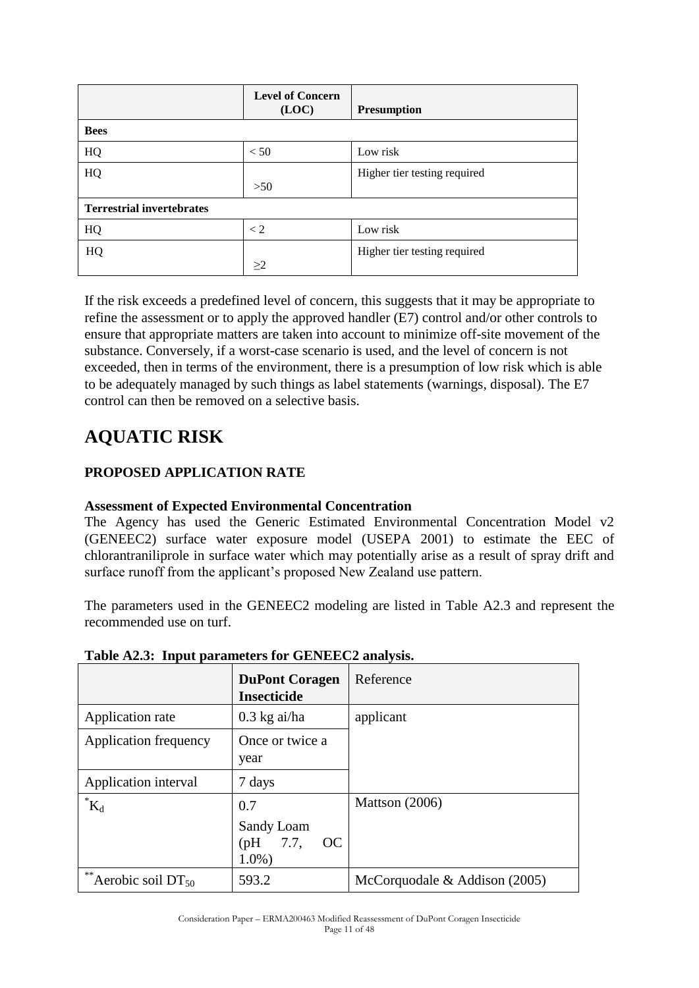|                                  | <b>Level of Concern</b><br>(LOC) | <b>Presumption</b>           |
|----------------------------------|----------------------------------|------------------------------|
| <b>Bees</b>                      |                                  |                              |
| HQ                               | < 50                             | Low risk                     |
| HQ                               |                                  | Higher tier testing required |
|                                  | >50                              |                              |
| <b>Terrestrial invertebrates</b> |                                  |                              |
| HQ                               | $\lt 2$                          | Low risk                     |
| HQ                               |                                  | Higher tier testing required |
|                                  | >2                               |                              |

If the risk exceeds a predefined level of concern, this suggests that it may be appropriate to refine the assessment or to apply the approved handler (E7) control and/or other controls to ensure that appropriate matters are taken into account to minimize off-site movement of the substance. Conversely, if a worst-case scenario is used, and the level of concern is not exceeded, then in terms of the environment, there is a presumption of low risk which is able to be adequately managed by such things as label statements (warnings, disposal). The E7 control can then be removed on a selective basis.

## **AQUATIC RISK**

### **PROPOSED APPLICATION RATE**

### **Assessment of Expected Environmental Concentration**

The Agency has used the Generic Estimated Environmental Concentration Model v2 (GENEEC2) surface water exposure model (USEPA 2001) to estimate the EEC of chlorantraniliprole in surface water which may potentially arise as a result of spray drift and surface runoff from the applicant's proposed New Zealand use pattern.

The parameters used in the GENEEC2 modeling are listed in Table A2.3 and represent the recommended use on turf.

|                              | <b>DuPont Coragen</b><br><b>Insecticide</b>         | Reference                        |
|------------------------------|-----------------------------------------------------|----------------------------------|
| Application rate             | $0.3$ kg ai/ha                                      | applicant                        |
| Application frequency        | Once or twice a<br>year                             |                                  |
| Application interval         | 7 days                                              |                                  |
| $\boldsymbol{K}_d$           | 0.7<br>Sandy Loam<br>7.7,<br>(Hq)<br>OC<br>$1.0\%)$ | Mattson $(2006)$                 |
| **<br>Aerobic soil $DT_{50}$ | 593.2                                               | McCorquodale $\&$ Addison (2005) |

### **Table A2.3: Input parameters for GENEEC2 analysis.**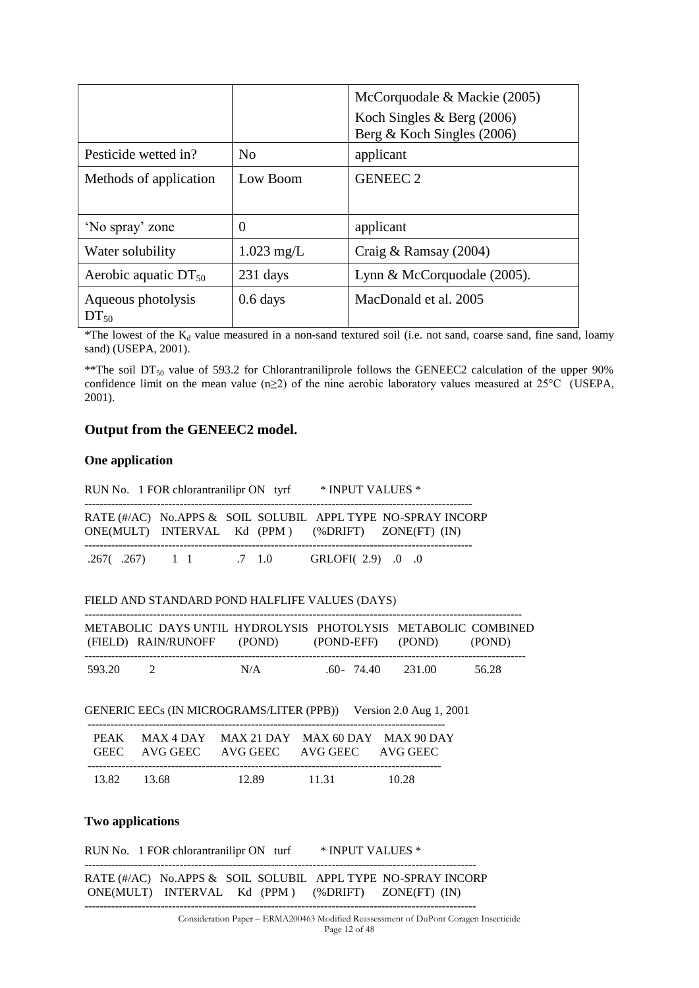|                                 |                | McCorquodale & Mackie (2005)<br>Koch Singles $&$ Berg (2006) |
|---------------------------------|----------------|--------------------------------------------------------------|
|                                 |                | Berg & Koch Singles (2006)                                   |
| Pesticide wetted in?            | N <sub>0</sub> | applicant                                                    |
| Methods of application          | Low Boom       | <b>GENEEC 2</b>                                              |
|                                 |                |                                                              |
| 'No spray' zone                 | $\theta$       | applicant                                                    |
| Water solubility                | $1.023$ mg/L   | Craig & Ramsay $(2004)$                                      |
| Aerobic aquatic $DT_{50}$       | 231 days       | Lynn & McCorquodale (2005).                                  |
| Aqueous photolysis<br>$DT_{50}$ | $0.6$ days     | MacDonald et al. 2005                                        |

\*The lowest of the  $K_d$  value measured in a non-sand textured soil (i.e. not sand, coarse sand, fine sand, loamy sand) (USEPA, 2001).

\*\*The soil  $DT_{50}$  value of 593.2 for Chlorantraniliprole follows the GENEEC2 calculation of the upper 90% confidence limit on the mean value (n≥2) of the nine aerobic laboratory values measured at 25°C (USEPA, 2001).

#### **Output from the GENEEC2 model.**

#### **One application**

|                         |  | RUN No. 1 FOR chlorantranilipr ON tyrf * INPUT VALUES *                                                            |  |                                                                                    |
|-------------------------|--|--------------------------------------------------------------------------------------------------------------------|--|------------------------------------------------------------------------------------|
|                         |  | RATE (#/AC) No.APPS & SOIL SOLUBIL APPL TYPE NO-SPRAY INCORP<br>ONE(MULT) INTERVAL Kd (PPM) (%DRIFT) ZONE(FT) (IN) |  |                                                                                    |
|                         |  | .267(.267) 1 1 .7 1.0 GRLOFI(2.9) .0 .0                                                                            |  |                                                                                    |
|                         |  | FIELD AND STANDARD POND HALFLIFE VALUES (DAYS)                                                                     |  |                                                                                    |
|                         |  | (FIELD) RAIN/RUNOFF (POND) (POND-EFF) (POND) (POND)                                                                |  | METABOLIC DAYS UNTIL HYDROLYSIS PHOTOLYSIS METABOLIC COMBINED                      |
| 593.20 2                |  | N/A .60- 74.40 231.00 56.28                                                                                        |  |                                                                                    |
|                         |  | GENERIC EECs (IN MICROGRAMS/LITER (PPB)) Version 2.0 Aug 1, 2001                                                   |  |                                                                                    |
|                         |  | PEAK MAX 4 DAY MAX 21 DAY MAX 60 DAY MAX 90 DAY<br>GEEC AVG GEEC AVG GEEC AVG GEEC AVG GEEC                        |  |                                                                                    |
|                         |  | 13.82 13.68 12.89 11.31 10.28                                                                                      |  |                                                                                    |
| <b>Two applications</b> |  |                                                                                                                    |  |                                                                                    |
|                         |  | RUN No. 1 FOR chlorantranilipr ON turf * INPUT VALUES *                                                            |  |                                                                                    |
|                         |  | RATE (#/AC) No.APPS & SOIL SOLUBIL APPL TYPE NO-SPRAY INCORP<br>ONE(MULT) INTERVAL Kd (PPM) (%DRIFT) ZONE(FT) (IN) |  |                                                                                    |
|                         |  |                                                                                                                    |  | Consideration Denon EDMA200462 Modified Researchment of DuPont Company Insectional |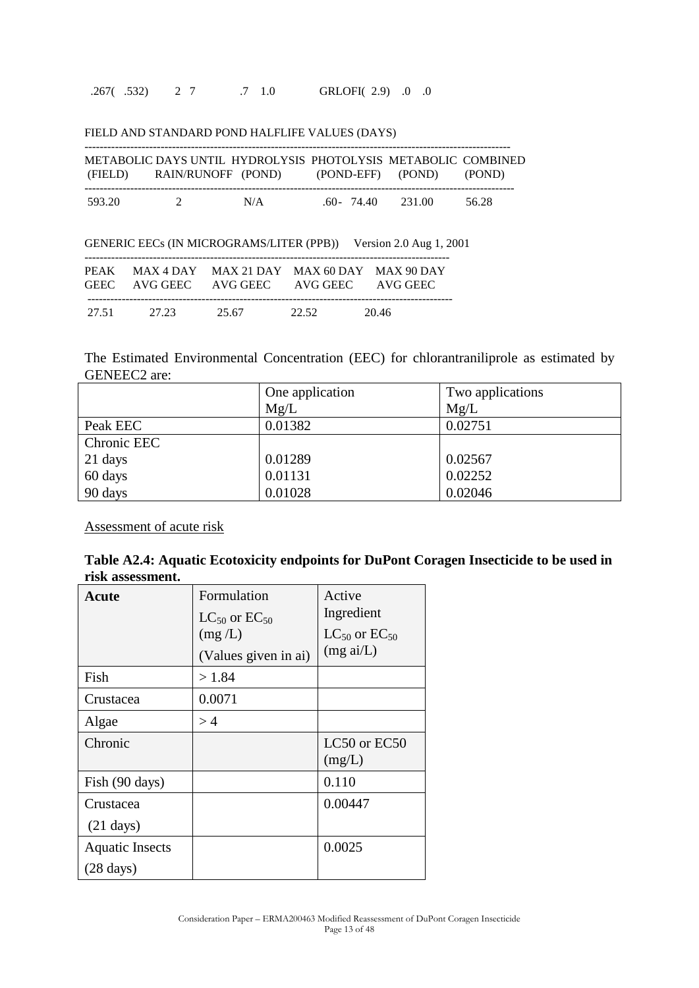|        | METABOLIC DAYS UNTIL HYDROLYSIS PHOTOLYSIS METABOLIC COMBINED |     |                          |        |       |
|--------|---------------------------------------------------------------|-----|--------------------------|--------|-------|
|        | (FIELD) RAIN/RUNOFF (POND)                                    |     | (POND-EFF) (POND) (POND) |        |       |
| 593.20 | $\mathcal{D}$                                                 | N/A | $.60 - 74.40$            | 231.00 | 56.28 |

| PEAK MAX 4 DAY MAX 21 DAY MAX 60 DAY MAX 90 DAY |  |  | GENERIC EECs (IN MICROGRAMS/LITER (PPB)) Version 2.0 Aug 1, 2001 |
|-------------------------------------------------|--|--|------------------------------------------------------------------|
|                                                 |  |  |                                                                  |

|       | GEEC AVG GEEC | AVG GEEC | AVG GEEC | AVG GEEC |  |
|-------|---------------|----------|----------|----------|--|
| 27.51 | 27.23         | 25.67    | 22.52    | 20.46    |  |

The Estimated Environmental Concentration (EEC) for chlorantraniliprole as estimated by GENEEC2 are:

|             | One application | Two applications |
|-------------|-----------------|------------------|
|             | Mg/L            | Mg/L             |
| Peak EEC    | 0.01382         | 0.02751          |
| Chronic EEC |                 |                  |
| 21 days     | 0.01289         | 0.02567          |
| 60 days     | 0.01131         | 0.02252          |
| 90 days     | 0.01028         | 0.02046          |

Assessment of acute risk

| Table A2.4: Aquatic Ecotoxicity endpoints for DuPont Coragen Insecticide to be used in |  |  |  |
|----------------------------------------------------------------------------------------|--|--|--|
| risk assessment.                                                                       |  |  |  |

| <b>Acute</b>                                  | Formulation<br>$LC_{50}$ or $EC_{50}$<br>(mg/L)<br>(Values given in ai) | Active<br>Ingredient<br>$LC_{50}$ or $EC_{50}$<br>$(mg \text{ ai/L})$ |
|-----------------------------------------------|-------------------------------------------------------------------------|-----------------------------------------------------------------------|
| Fish                                          | >1.84                                                                   |                                                                       |
| Crustacea                                     | 0.0071                                                                  |                                                                       |
| Algae                                         | >4                                                                      |                                                                       |
| Chronic                                       |                                                                         | LC50 or EC50<br>(mg/L)                                                |
| Fish (90 days)                                |                                                                         | 0.110                                                                 |
| Crustacea<br>$(21 \text{ days})$              |                                                                         | 0.00447                                                               |
| <b>Aquatic Insects</b><br>$(28 \text{ days})$ |                                                                         | 0.0025                                                                |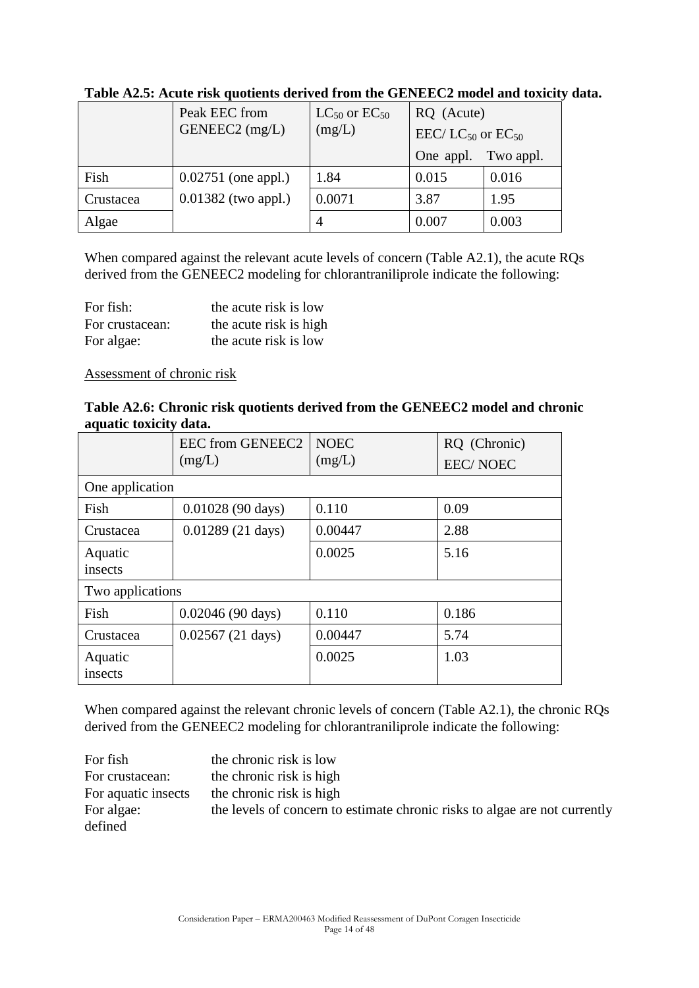|           | Peak EEC from         | $LC_{50}$ or $EC_{50}$ | RQ (Acute)                               |           |  |
|-----------|-----------------------|------------------------|------------------------------------------|-----------|--|
|           | GENEEC2 (mg/L)        | (mg/L)                 | EEC/LC <sub>50</sub> or EC <sub>50</sub> |           |  |
|           |                       |                        | One appl.                                | Two appl. |  |
| Fish      | $0.02751$ (one appl.) | 1.84                   | 0.015                                    | 0.016     |  |
| Crustacea | $0.01382$ (two appl.) | 0.0071                 | 3.87                                     | 1.95      |  |
| Algae     |                       |                        | 0.007                                    | 0.003     |  |

### **Table A2.5: Acute risk quotients derived from the GENEEC2 model and toxicity data.**

When compared against the relevant acute levels of concern (Table A2.1), the acute RQs derived from the GENEEC2 modeling for chlorantraniliprole indicate the following:

| For fish:       | the acute risk is low  |
|-----------------|------------------------|
| For crustacean: | the acute risk is high |
| For algae:      | the acute risk is low  |

#### Assessment of chronic risk

### **Table A2.6: Chronic risk quotients derived from the GENEEC2 model and chronic aquatic toxicity data.**

|                  | <b>EEC from GENEEC2</b>    | <b>NOEC</b> | RQ (Chronic)    |
|------------------|----------------------------|-------------|-----------------|
|                  | (mg/L)                     | (mg/L)      | <b>EEC/NOEC</b> |
| One application  |                            |             |                 |
| Fish             | $0.01028(90 \text{ days})$ | 0.110       | 0.09            |
| Crustacea        | $0.01289(21 \text{ days})$ | 0.00447     | 2.88            |
| Aquatic          |                            | 0.0025      | 5.16            |
| insects          |                            |             |                 |
| Two applications |                            |             |                 |
| Fish             | $0.02046(90 \text{ days})$ | 0.110       | 0.186           |
| Crustacea        | $0.02567(21 \text{ days})$ | 0.00447     | 5.74            |
| Aquatic          |                            | 0.0025      | 1.03            |
| insects          |                            |             |                 |

When compared against the relevant chronic levels of concern (Table A2.1), the chronic RQs derived from the GENEEC2 modeling for chlorantraniliprole indicate the following:

| For fish            | the chronic risk is low                                                    |
|---------------------|----------------------------------------------------------------------------|
| For crustacean:     | the chronic risk is high                                                   |
| For aquatic insects | the chronic risk is high                                                   |
| For algae:          | the levels of concern to estimate chronic risks to algae are not currently |
| defined             |                                                                            |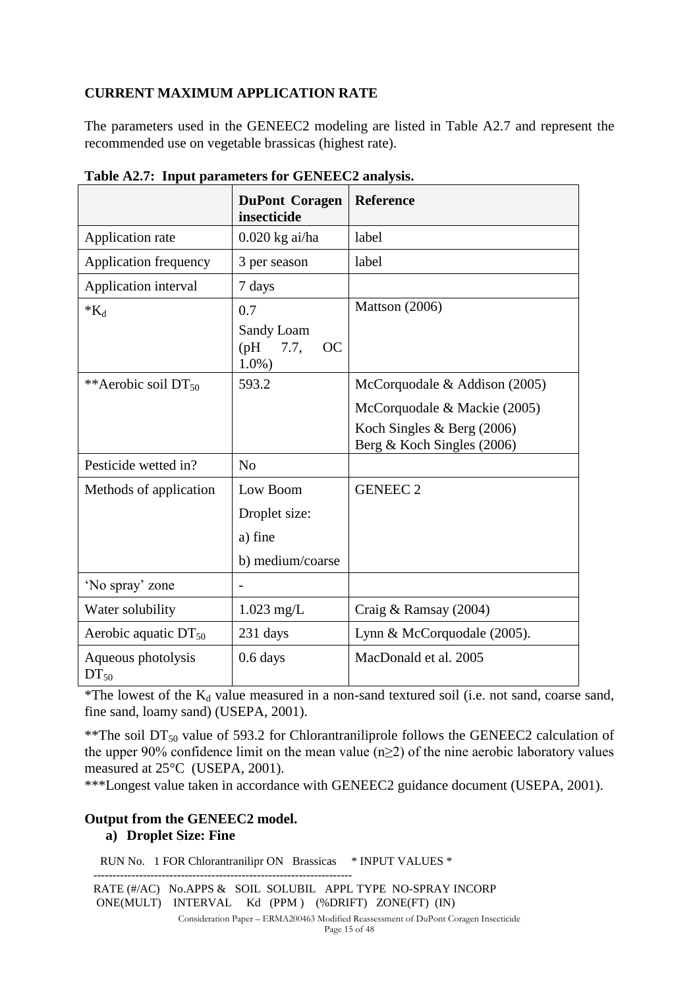### **CURRENT MAXIMUM APPLICATION RATE**

The parameters used in the GENEEC2 modeling are listed in Table A2.7 and represent the recommended use on vegetable brassicas (highest rate).

|                                 | <b>DuPont Coragen</b><br>insecticide         | Reference                                                |
|---------------------------------|----------------------------------------------|----------------------------------------------------------|
| Application rate                | $0.020$ kg ai/ha                             | label                                                    |
| <b>Application frequency</b>    | 3 per season                                 | label                                                    |
| Application interval            | 7 days                                       |                                                          |
| $*_{K_d}$                       | 0.7                                          | Mattson (2006)                                           |
|                                 | Sandy Loam<br>(Hq)<br>7.7,<br>OC<br>$1.0%$ ) |                                                          |
| **Aerobic soil $DT_{50}$        | 593.2                                        | McCorquodale & Addison $(2005)$                          |
|                                 |                                              | McCorquodale & Mackie (2005)                             |
|                                 |                                              | Koch Singles & Berg (2006)<br>Berg & Koch Singles (2006) |
| Pesticide wetted in?            | No                                           |                                                          |
| Methods of application          | Low Boom                                     | <b>GENEEC 2</b>                                          |
|                                 | Droplet size:                                |                                                          |
|                                 | a) fine                                      |                                                          |
|                                 | b) medium/coarse                             |                                                          |
| 'No spray' zone                 | -                                            |                                                          |
| Water solubility                | $1.023$ mg/L                                 | Craig & Ramsay (2004)                                    |
| Aerobic aquatic $DT_{50}$       | 231 days                                     | Lynn & McCorquodale (2005).                              |
| Aqueous photolysis<br>$DT_{50}$ | $0.6$ days                                   | MacDonald et al. 2005                                    |

**Table A2.7: Input parameters for GENEEC2 analysis.**

\*The lowest of the  $K_d$  value measured in a non-sand textured soil (i.e. not sand, coarse sand, fine sand, loamy sand) (USEPA, 2001).

\*\*The soil  $DT_{50}$  value of 593.2 for Chlorantraniliprole follows the GENEEC2 calculation of the upper 90% confidence limit on the mean value ( $n \geq 2$ ) of the nine aerobic laboratory values measured at 25°C (USEPA, 2001).

\*\*\*Longest value taken in accordance with GENEEC2 guidance document (USEPA, 2001).

### **Output from the GENEEC2 model.**

#### **a) Droplet Size: Fine**

RUN No. 1 FOR Chlorantranilipr ON Brassicas \* INPUT VALUES \*

 -------------------------------------------------------------------- RATE (#/AC) No.APPS & SOIL SOLUBIL APPL TYPE NO-SPRAY INCORP ONE(MULT) INTERVAL Kd (PPM ) (%DRIFT) ZONE(FT) (IN)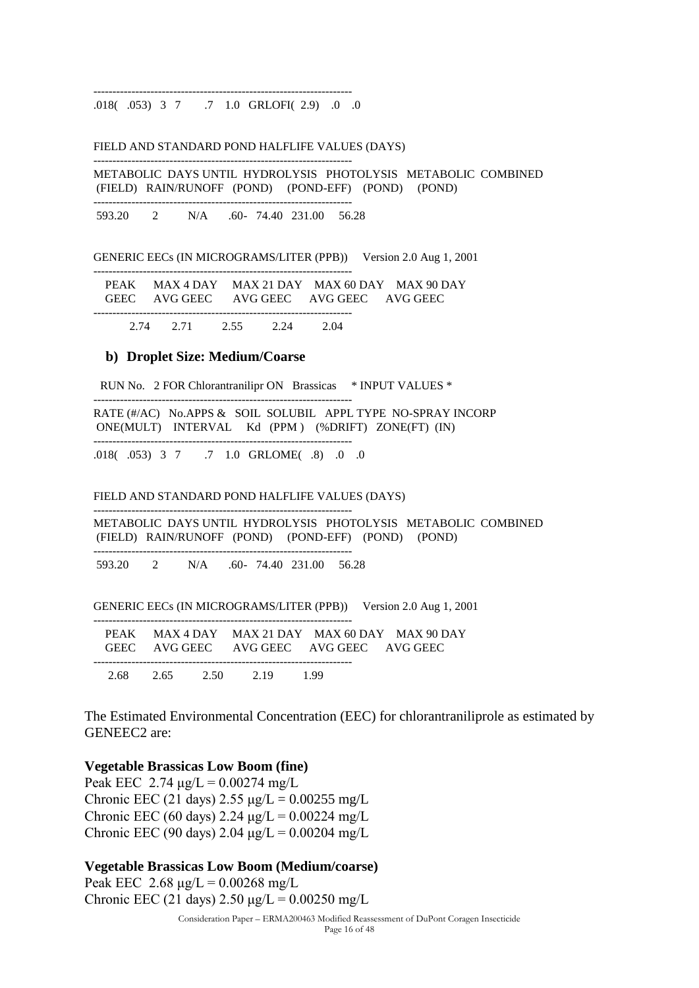.018( .053) 3 7 .7 1.0 GRLOFI( 2.9) .0 .0

--------------------------------------------------------------------

--------------------------------------------------------------------

#### FIELD AND STANDARD POND HALFLIFE VALUES (DAYS)

--------------------------------------------------------------------

 METABOLIC DAYS UNTIL HYDROLYSIS PHOTOLYSIS METABOLIC COMBINED (FIELD) RAIN/RUNOFF (POND) (POND-EFF) (POND) (POND)

593.20 2 N/A .60- 74.40 231.00 56.28

GENERIC EECs (IN MICROGRAMS/LITER (PPB)) Version 2.0 Aug 1, 2001

|  |                          |  |                                          | PEAK MAX 4 DAY MAX 21 DAY MAX 60 DAY MAX 90 DAY |
|--|--------------------------|--|------------------------------------------|-------------------------------------------------|
|  |                          |  | GEEC AVG GEEC AVG GEEC AVG GEEC AVG GEEC |                                                 |
|  |                          |  |                                          |                                                 |
|  | 2.74 2.71 2.55 2.24 2.04 |  |                                          |                                                 |

#### **b) Droplet Size: Medium/Coarse**

--------------------------------------------------------------------

--------------------------------------------------------------------

--------------------------------------------------------------------

RUN No. 2 FOR Chlorantranilipr ON Brassicas \* INPUT VALUES \*

 RATE (#/AC) No.APPS & SOIL SOLUBIL APPL TYPE NO-SPRAY INCORP ONE(MULT) INTERVAL Kd (PPM ) (%DRIFT) ZONE(FT) (IN)

.018( .053) 3 7 .7 1.0 GRLOME( .8) .0 .0

#### FIELD AND STANDARD POND HALFLIFE VALUES (DAYS)

 METABOLIC DAYS UNTIL HYDROLYSIS PHOTOLYSIS METABOLIC COMBINED (FIELD) RAIN/RUNOFF (POND) (POND-EFF) (POND) (POND) --------------------------------------------------------------------

593.20 2 N/A .60- 74.40 231.00 56.28

GENERIC EECs (IN MICROGRAMS/LITER (PPB)) Version 2.0 Aug 1, 2001

|  |  |                          |                                          | PEAK MAX 4 DAY MAX 21 DAY MAX 60 DAY MAX 90 DAY |
|--|--|--------------------------|------------------------------------------|-------------------------------------------------|
|  |  |                          | GEEC AVG GEEC AVG GEEC AVG GEEC AVG GEEC |                                                 |
|  |  |                          |                                          |                                                 |
|  |  | 2.68 2.65 2.50 2.19 1.99 |                                          |                                                 |

The Estimated Environmental Concentration (EEC) for chlorantraniliprole as estimated by GENEEC2 are:

#### **Vegetable Brassicas Low Boom (fine)**

Peak EEC 2.74  $\mu$ g/L = 0.00274 mg/L Chronic EEC (21 days)  $2.55 \mu g/L = 0.00255 \text{ mg/L}$ Chronic EEC (60 days) 2.24  $\mu$ g/L = 0.00224 mg/L Chronic EEC (90 days) 2.04 μg/L =  $0.00204$  mg/L

#### **Vegetable Brassicas Low Boom (Medium/coarse)**

Peak EEC 2.68  $\mu$ g/L = 0.00268 mg/L Chronic EEC (21 days)  $2.50 \mu g/L = 0.00250 \text{ mg/L}$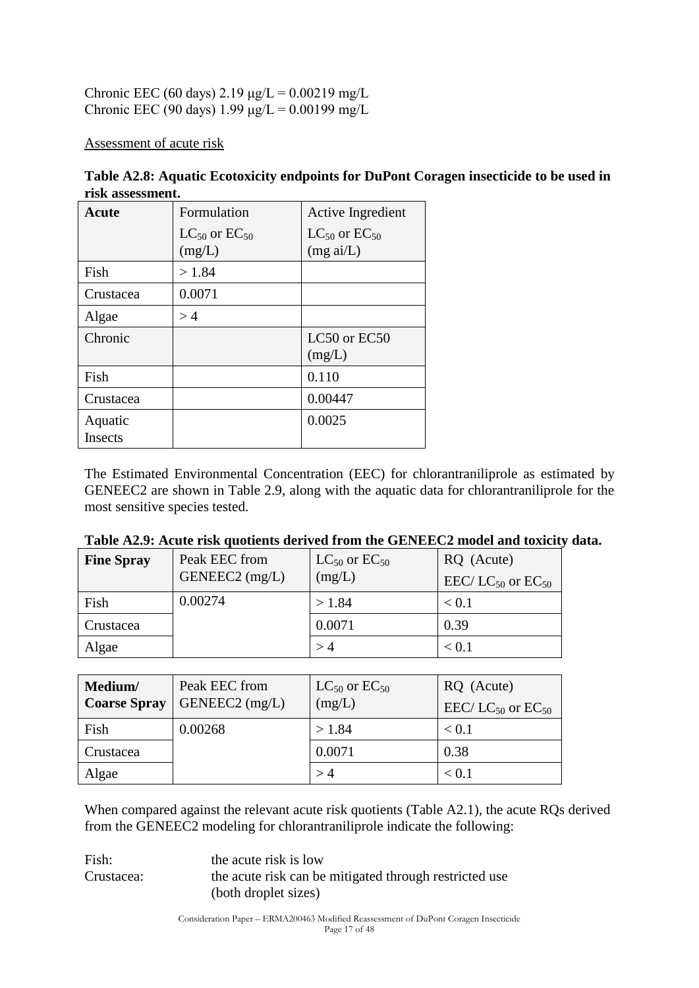Chronic EEC (60 days) 2.19 μg/L =  $0.00219$  mg/L Chronic EEC (90 days)  $1.99 \mu g/L = 0.00199 \text{ mg/L}$ 

Assessment of acute risk

| <b>Acute</b>       | Formulation                      | Active Ingredient                             |
|--------------------|----------------------------------|-----------------------------------------------|
|                    | $LC_{50}$ or $EC_{50}$<br>(mg/L) | $LC_{50}$ or $EC_{50}$<br>$(mg \text{ ai/L})$ |
| Fish               | >1.84                            |                                               |
| Crustacea          | 0.0071                           |                                               |
| Algae              | >4                               |                                               |
| Chronic            |                                  | LC50 or EC50<br>(mg/L)                        |
| Fish               |                                  | 0.110                                         |
| Crustacea          |                                  | 0.00447                                       |
| Aquatic<br>Insects |                                  | 0.0025                                        |

**Table A2.8: Aquatic Ecotoxicity endpoints for DuPont Coragen insecticide to be used in risk assessment.**

The Estimated Environmental Concentration (EEC) for chlorantraniliprole as estimated by GENEEC2 are shown in Table 2.9, along with the aquatic data for chlorantraniliprole for the most sensitive species tested.

| Tuble responses that you can well be the compact that $\sigma$ invue und to help |                |                        |                                          |  |  |
|----------------------------------------------------------------------------------|----------------|------------------------|------------------------------------------|--|--|
| <b>Fine Spray</b>                                                                | Peak EEC from  | $LC_{50}$ or $EC_{50}$ | RQ (Acute)                               |  |  |
|                                                                                  | GENEEC2 (mg/L) | (mg/L)                 | EEC/LC <sub>50</sub> or EC <sub>50</sub> |  |  |
| Fish                                                                             | 0.00274        | > 1.84                 | < 0.1                                    |  |  |
| Crustacea                                                                        |                | 0.0071                 | 0.39                                     |  |  |
| Algae                                                                            |                |                        | < 0.1                                    |  |  |

| Table A2.9: Acute risk quotients derived from the GENEEC2 model and toxicity data. |  |
|------------------------------------------------------------------------------------|--|
|------------------------------------------------------------------------------------|--|

| Medium/<br><b>Coarse Spray</b> | Peak EEC from<br>GENEEC2 (mg/L) | $LC_{50}$ or $EC_{50}$<br>(mg/L) | RQ (Acute)<br>EEC/LC <sub>50</sub> or EC <sub>50</sub> |
|--------------------------------|---------------------------------|----------------------------------|--------------------------------------------------------|
| Fish                           | 0.00268                         | >1.84                            | < 0.1                                                  |
| Crustacea                      |                                 | 0.0071                           | 0.38                                                   |
| Algae                          |                                 |                                  | < 0.1                                                  |

When compared against the relevant acute risk quotients (Table A2.1), the acute RQs derived from the GENEEC2 modeling for chlorantraniliprole indicate the following:

Fish: the acute risk is low Crustacea: the acute risk can be mitigated through restricted use (both droplet sizes)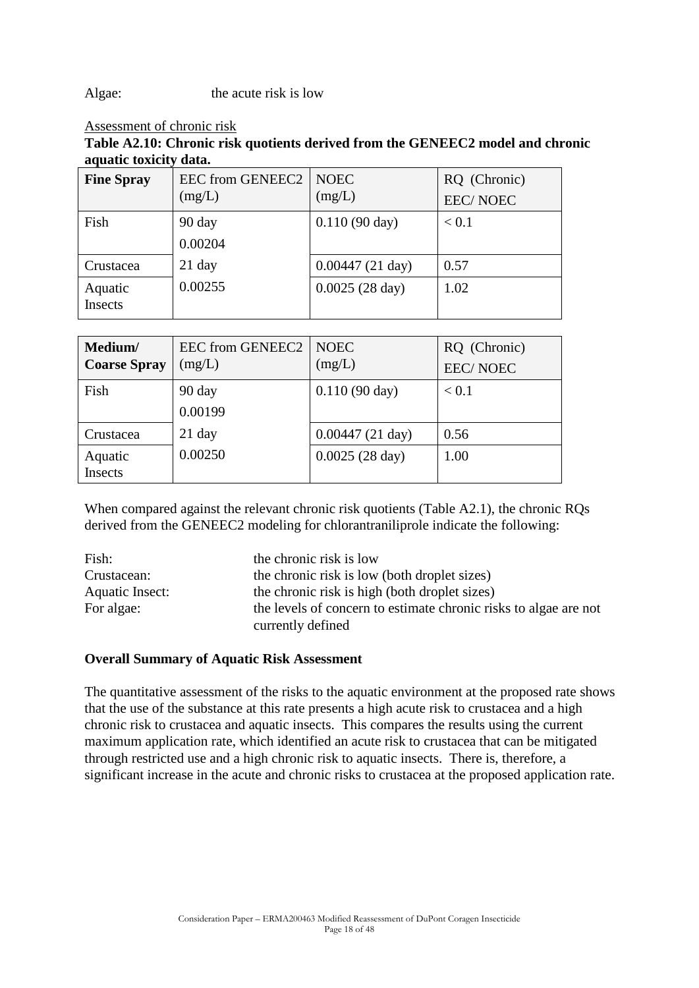Algae: the acute risk is low

#### Assessment of chronic risk

**Table A2.10: Chronic risk quotients derived from the GENEEC2 model and chronic aquatic toxicity data.**

| <b>Fine Spray</b>  | <b>EEC from GENEEC2</b><br>(mg/L) | <b>NOEC</b><br>(mg/L)     | RQ (Chronic)<br><b>EEC/NOEC</b> |
|--------------------|-----------------------------------|---------------------------|---------------------------------|
| Fish               | 90 day<br>0.00204                 | $0.110(90 \text{ day})$   | < 0.1                           |
| Crustacea          | $21$ day                          | $0.00447(21 \text{ day})$ | 0.57                            |
| Aquatic<br>Insects | 0.00255                           | $0.0025(28 \text{ day})$  | 1.02                            |

| Medium/<br><b>Coarse Spray</b> | EEC from GENEEC2<br>(mg/L) | <b>NOEC</b><br>(mg/L)     | RQ (Chronic)<br><b>EEC/NOEC</b> |
|--------------------------------|----------------------------|---------------------------|---------------------------------|
| Fish                           | 90 day<br>0.00199          | $0.110(90 \text{ day})$   | < 0.1                           |
| Crustacea                      | $21$ day                   | $0.00447(21 \text{ day})$ | 0.56                            |
| Aquatic<br>Insects             | 0.00250                    | $0.0025(28 \text{ day})$  | 1.00                            |

When compared against the relevant chronic risk quotients (Table A2.1), the chronic RQs derived from the GENEEC2 modeling for chlorantraniliprole indicate the following:

| Fish:           | the chronic risk is low                                          |
|-----------------|------------------------------------------------------------------|
| Crustacean:     | the chronic risk is low (both droplet sizes)                     |
| Aquatic Insect: | the chronic risk is high (both droplet sizes)                    |
| For algae:      | the levels of concern to estimate chronic risks to algae are not |
|                 | currently defined                                                |

#### **Overall Summary of Aquatic Risk Assessment**

The quantitative assessment of the risks to the aquatic environment at the proposed rate shows that the use of the substance at this rate presents a high acute risk to crustacea and a high chronic risk to crustacea and aquatic insects. This compares the results using the current maximum application rate, which identified an acute risk to crustacea that can be mitigated through restricted use and a high chronic risk to aquatic insects. There is, therefore, a significant increase in the acute and chronic risks to crustacea at the proposed application rate.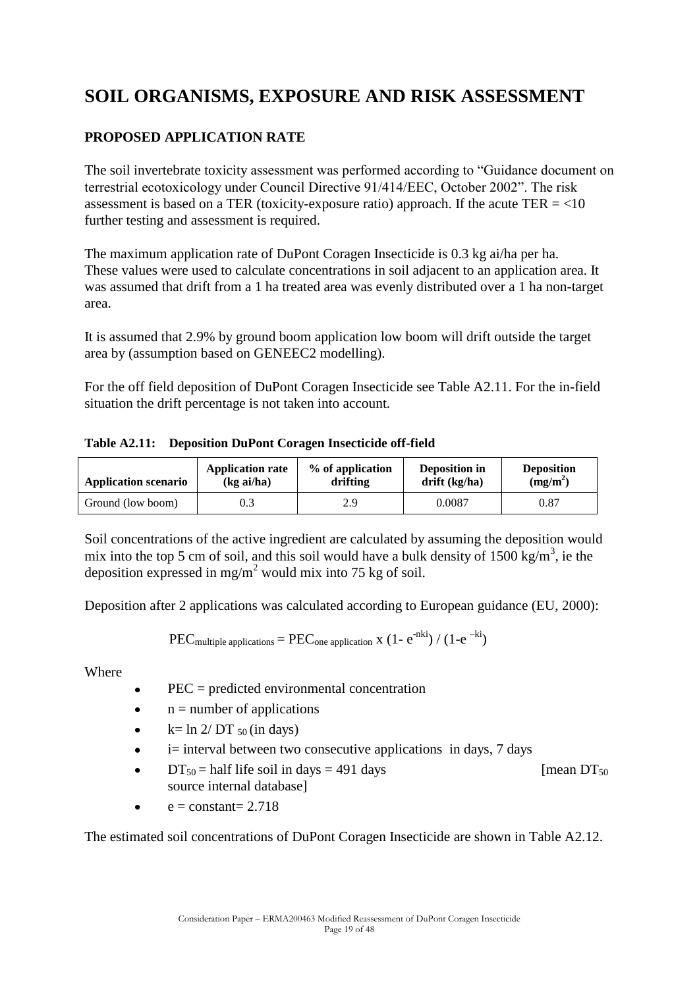## **SOIL ORGANISMS, EXPOSURE AND RISK ASSESSMENT**

### **PROPOSED APPLICATION RATE**

The soil invertebrate toxicity assessment was performed according to "Guidance document on terrestrial ecotoxicology under Council Directive 91/414/EEC, October 2002". The risk assessment is based on a TER (toxicity-exposure ratio) approach. If the acute TER  $=$  <10 further testing and assessment is required.

The maximum application rate of DuPont Coragen Insecticide is 0.3 kg ai/ha per ha. These values were used to calculate concentrations in soil adjacent to an application area. It was assumed that drift from a 1 ha treated area was evenly distributed over a 1 ha non-target area.

It is assumed that 2.9% by ground boom application low boom will drift outside the target area by (assumption based on GENEEC2 modelling).

For the off field deposition of DuPont Coragen Insecticide see Table A2.11. For the in-field situation the drift percentage is not taken into account.

**Table A2.11: Deposition DuPont Coragen Insecticide off-field** 

| <b>Application scenario</b> | <b>Application rate</b> | % of application | <b>Deposition in</b> | <b>Deposition</b> |
|-----------------------------|-------------------------|------------------|----------------------|-------------------|
|                             | (kgai/ha)               | drifting         | $drift$ (kg/ha)      | $(mg/m^2)$        |
| Ground (low boom)           | 0.3                     | 2.9              | 0.0087               | 0.87              |

Soil concentrations of the active ingredient are calculated by assuming the deposition would mix into the top 5 cm of soil, and this soil would have a bulk density of  $1500 \text{ kg/m}^3$ , ie the deposition expressed in mg/m<sup>2</sup> would mix into 75 kg of soil.

Deposition after 2 applications was calculated according to European guidance (EU, 2000):

$$
PEC_{multiple\ applications} =PEC_{\text{one application X}} (1 - e^{-nki}) / (1 - e^{-ki})
$$

Where

- PEC = predicted environmental concentration
- $n =$  number of applications  $\bullet$
- $k= \ln 2/DT$  50 (in days)  $\bullet$
- i= interval between two consecutive applications in days, 7 days  $\bullet$
- $DT_{50}$  = half life soil in days = 491 days [mean DT<sub>50</sub>]  $\bullet$ source internal database]
- $e = constant = 2.718$

The estimated soil concentrations of DuPont Coragen Insecticide are shown in Table A2.12.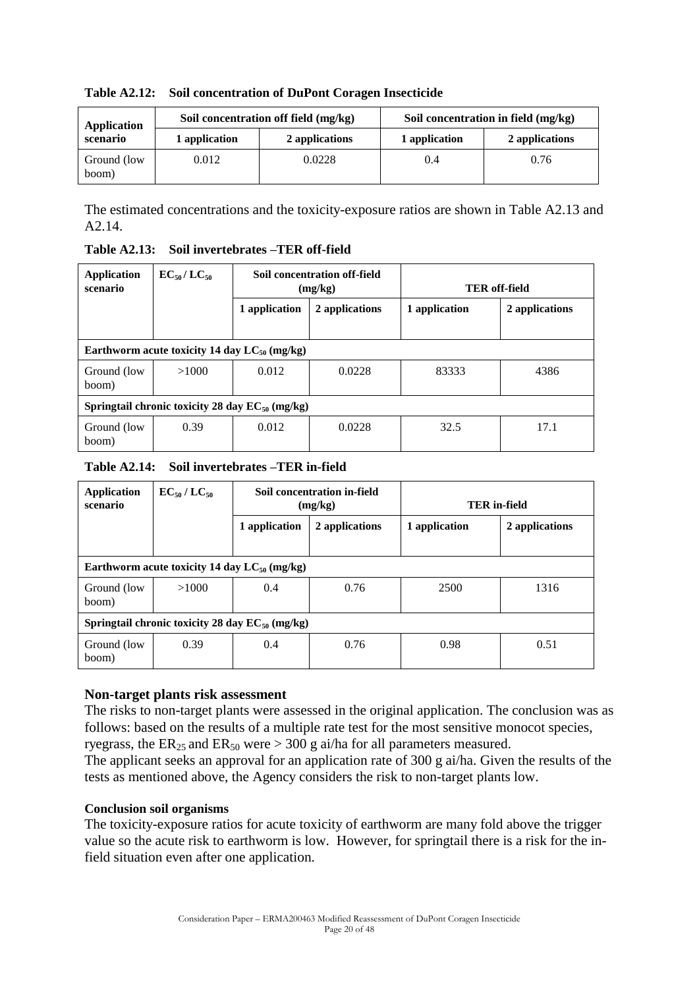| Application          | Soil concentration off field (mg/kg) |                | Soil concentration in field (mg/kg) |                |  |
|----------------------|--------------------------------------|----------------|-------------------------------------|----------------|--|
| scenario             | 1 application                        | 2 applications | 1 application                       | 2 applications |  |
| Ground (low<br>boom) | 0.012                                | 0.0228         | 0.4                                 | 0.76           |  |

**Table A2.12: Soil concentration of DuPont Coragen Insecticide**

The estimated concentrations and the toxicity-exposure ratios are shown in Table A2.13 and A2.14.

**Table A2.13: Soil invertebrates –TER off-field**

| Application<br>scenario                              | $EC_{50}/LC_{50}$ | Soil concentration off-field<br>(mg/kg) |                | <b>TER</b> off-field |                |
|------------------------------------------------------|-------------------|-----------------------------------------|----------------|----------------------|----------------|
|                                                      |                   | 1 application                           | 2 applications | 1 application        | 2 applications |
| Earthworm acute toxicity 14 day $LC_{50}$ (mg/kg)    |                   |                                         |                |                      |                |
| Ground (low<br>boom)                                 | >1000             | 0.012                                   | 0.0228         | 83333                | 4386           |
| Springtail chronic toxicity 28 day $EC_{50}$ (mg/kg) |                   |                                         |                |                      |                |
| Ground (low<br>boom)                                 | 0.39              | 0.012                                   | 0.0228         | 32.5                 | 17.1           |

**Table A2.14: Soil invertebrates –TER in-field**

| Application<br>scenario                              | $EC_{50}/LC_{50}$ | Soil concentration in-field<br>(mg/kg) |                | <b>TER</b> in-field |                |
|------------------------------------------------------|-------------------|----------------------------------------|----------------|---------------------|----------------|
|                                                      |                   | 1 application                          | 2 applications | 1 application       | 2 applications |
| Earthworm acute toxicity 14 day $LC_{50}$ (mg/kg)    |                   |                                        |                |                     |                |
| Ground (low)<br>boom)                                | >1000             | 0.4                                    | 0.76           | 2500                | 1316           |
| Springtail chronic toxicity 28 day $EC_{50}$ (mg/kg) |                   |                                        |                |                     |                |
| Ground (low<br>boom)                                 | 0.39              | 0.4                                    | 0.76           | 0.98                | 0.51           |

#### **Non-target plants risk assessment**

The risks to non-target plants were assessed in the original application. The conclusion was as follows: based on the results of a multiple rate test for the most sensitive monocot species, ryegrass, the  $ER_{25}$  and  $ER_{50}$  were  $> 300$  g ai/ha for all parameters measured.

The applicant seeks an approval for an application rate of 300 g ai/ha. Given the results of the tests as mentioned above, the Agency considers the risk to non-target plants low.

#### **Conclusion soil organisms**

The toxicity-exposure ratios for acute toxicity of earthworm are many fold above the trigger value so the acute risk to earthworm is low. However, for springtail there is a risk for the infield situation even after one application.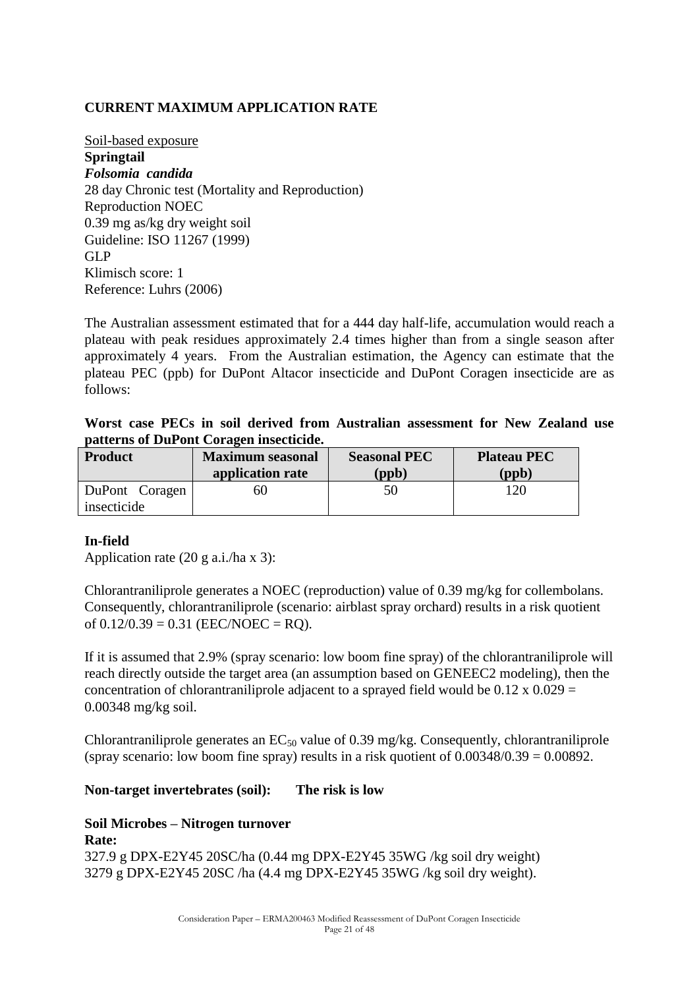### **CURRENT MAXIMUM APPLICATION RATE**

Soil-based exposure **Springtail** *Folsomia candida* 28 day Chronic test (Mortality and Reproduction) Reproduction NOEC 0.39 mg as/kg dry weight soil Guideline: ISO 11267 (1999) GLP Klimisch score: 1 Reference: Luhrs (2006)

The Australian assessment estimated that for a 444 day half-life, accumulation would reach a plateau with peak residues approximately 2.4 times higher than from a single season after approximately 4 years. From the Australian estimation, the Agency can estimate that the plateau PEC (ppb) for DuPont Altacor insecticide and DuPont Coragen insecticide are as follows:

**Worst case PECs in soil derived from Australian assessment for New Zealand use patterns of DuPont Coragen insecticide.**

| <b>Product</b> | <b>Maximum seasonal</b><br>application rate | <b>Seasonal PEC</b><br>$\mathbf{p}(\mathbf{p})$ | <b>Plateau PEC</b><br>$($ ppb $)$ |
|----------------|---------------------------------------------|-------------------------------------------------|-----------------------------------|
| DuPont Coragen | 60                                          | 50                                              | 120                               |
| insecticide    |                                             |                                                 |                                   |

#### **In-field**

Application rate (20 g a.i./ha x 3):

Chlorantraniliprole generates a NOEC (reproduction) value of 0.39 mg/kg for collembolans. Consequently, chlorantraniliprole (scenario: airblast spray orchard) results in a risk quotient of  $0.12/0.39 = 0.31$  (EEC/NOEC = RO).

If it is assumed that 2.9% (spray scenario: low boom fine spray) of the chlorantraniliprole will reach directly outside the target area (an assumption based on GENEEC2 modeling), then the concentration of chlorantraniliprole adjacent to a sprayed field would be  $0.12 \times 0.029 =$ 0.00348 mg/kg soil.

Chlorantraniliprole generates an  $EC_{50}$  value of 0.39 mg/kg. Consequently, chlorantraniliprole (spray scenario: low boom fine spray) results in a risk quotient of  $0.00348/0.39 = 0.00892$ .

#### **Non-target invertebrates (soil): The risk is low**

### **Soil Microbes – Nitrogen turnover Rate:** 327.9 g DPX-E2Y45 20SC/ha (0.44 mg DPX-E2Y45 35WG /kg soil dry weight) 3279 g DPX-E2Y45 20SC /ha (4.4 mg DPX-E2Y45 35WG /kg soil dry weight).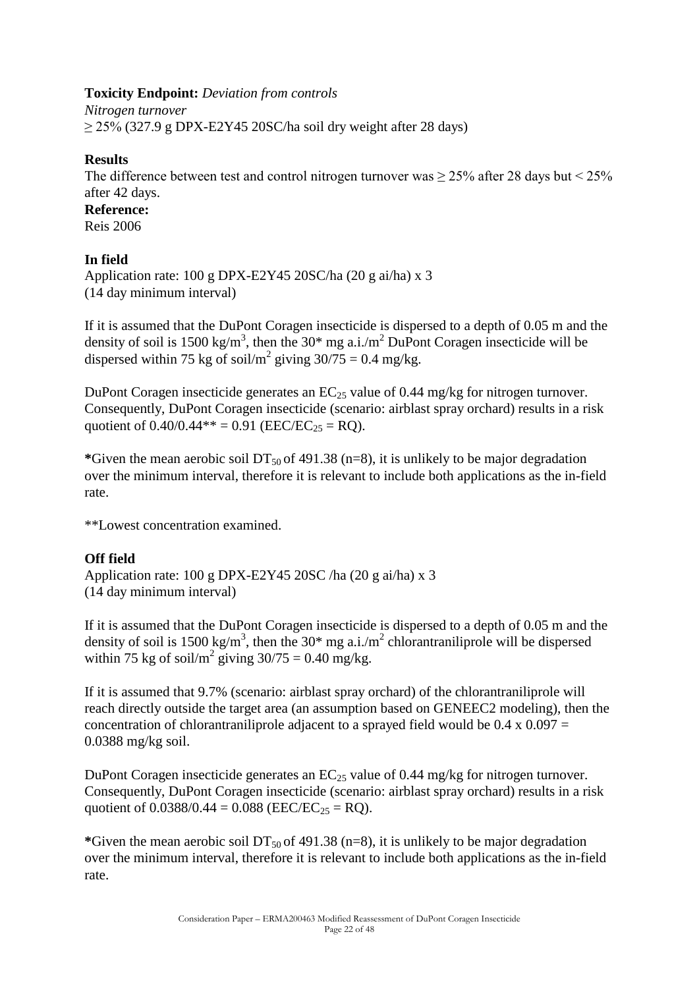### **Toxicity Endpoint:** *Deviation from controls*

*Nitrogen turnover*   $\geq$  25% (327.9 g DPX-E2Y45 20SC/ha soil dry weight after 28 days)

### **Results**

The difference between test and control nitrogen turnover was  $\geq$  25% after 28 days but < 25% after 42 days.

**Reference:** Reis 2006

#### **In field**

Application rate: 100 g DPX-E2Y45 20SC/ha (20 g ai/ha) x 3 (14 day minimum interval)

If it is assumed that the DuPont Coragen insecticide is dispersed to a depth of 0.05 m and the density of soil is 1500 kg/m<sup>3</sup>, then the 30\* mg a.i./m<sup>2</sup> DuPont Coragen insecticide will be dispersed within 75 kg of soil/m<sup>2</sup> giving  $30/75 = 0.4$  mg/kg.

DuPont Coragen insecticide generates an  $EC_{25}$  value of 0.44 mg/kg for nitrogen turnover. Consequently, DuPont Coragen insecticide (scenario: airblast spray orchard) results in a risk quotient of  $0.40/0.44** = 0.91$  (EEC/EC<sub>25</sub> = RQ).

\*Given the mean aerobic soil  $DT_{50}$  of 491.38 (n=8), it is unlikely to be major degradation over the minimum interval, therefore it is relevant to include both applications as the in-field rate.

\*\*Lowest concentration examined.

### **Off field**

Application rate: 100 g DPX-E2Y45 20SC /ha (20 g ai/ha) x 3 (14 day minimum interval)

If it is assumed that the DuPont Coragen insecticide is dispersed to a depth of 0.05 m and the density of soil is 1500 kg/m<sup>3</sup>, then the 30<sup>\*</sup> mg a.i./m<sup>2</sup> chlorantraniliprole will be dispersed within 75 kg of soil/ $m^2$  giving 30/75 = 0.40 mg/kg.

If it is assumed that 9.7% (scenario: airblast spray orchard) of the chlorantraniliprole will reach directly outside the target area (an assumption based on GENEEC2 modeling), then the concentration of chlorantraniliprole adjacent to a sprayed field would be  $0.4 \times 0.097 =$ 0.0388 mg/kg soil.

DuPont Coragen insecticide generates an  $EC_{25}$  value of 0.44 mg/kg for nitrogen turnover. Consequently, DuPont Coragen insecticide (scenario: airblast spray orchard) results in a risk quotient of  $0.0388/0.44 = 0.088$  (EEC/EC<sub>25</sub> = RQ).

\*Given the mean aerobic soil  $DT_{50}$  of 491.38 (n=8), it is unlikely to be major degradation over the minimum interval, therefore it is relevant to include both applications as the in-field rate.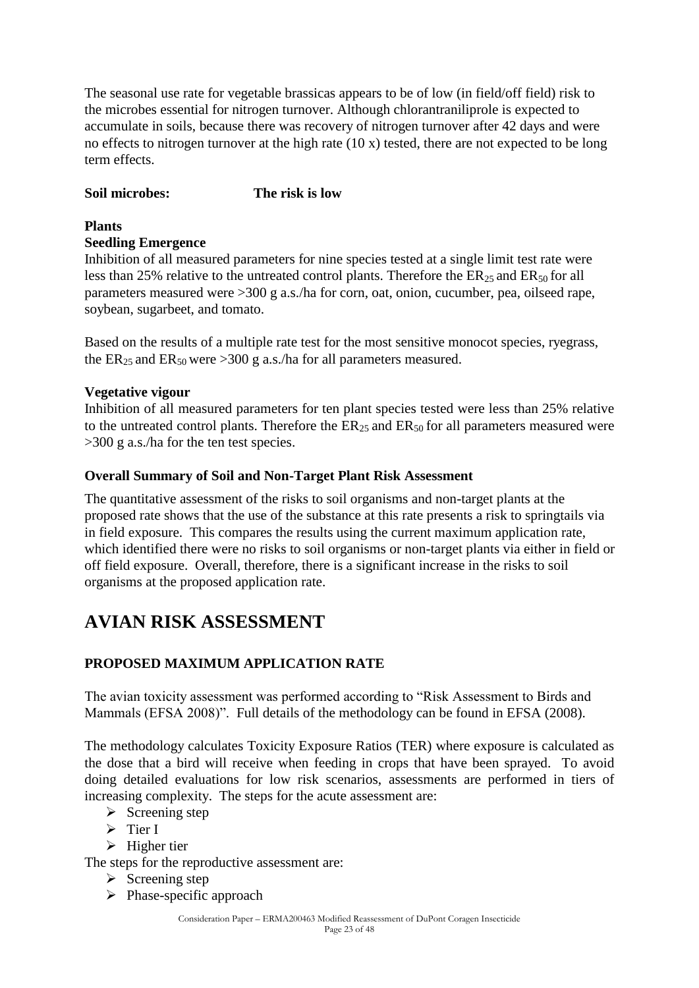The seasonal use rate for vegetable brassicas appears to be of low (in field/off field) risk to the microbes essential for nitrogen turnover. Although chlorantraniliprole is expected to accumulate in soils, because there was recovery of nitrogen turnover after 42 days and were no effects to nitrogen turnover at the high rate (10 x) tested, there are not expected to be long term effects.

### **Soil microbes: The risk is low**

### **Plants**

#### **Seedling Emergence**

Inhibition of all measured parameters for nine species tested at a single limit test rate were less than 25% relative to the untreated control plants. Therefore the  $ER_{25}$  and  $ER_{50}$  for all parameters measured were >300 g a.s./ha for corn, oat, onion, cucumber, pea, oilseed rape, soybean, sugarbeet, and tomato.

Based on the results of a multiple rate test for the most sensitive monocot species, ryegrass, the  $ER_{25}$  and  $ER_{50}$  were >300 g a.s./ha for all parameters measured.

#### **Vegetative vigour**

Inhibition of all measured parameters for ten plant species tested were less than 25% relative to the untreated control plants. Therefore the  $ER_{25}$  and  $ER_{50}$  for all parameters measured were >300 g a.s./ha for the ten test species.

#### **Overall Summary of Soil and Non-Target Plant Risk Assessment**

The quantitative assessment of the risks to soil organisms and non-target plants at the proposed rate shows that the use of the substance at this rate presents a risk to springtails via in field exposure. This compares the results using the current maximum application rate, which identified there were no risks to soil organisms or non-target plants via either in field or off field exposure. Overall, therefore, there is a significant increase in the risks to soil organisms at the proposed application rate.

## **AVIAN RISK ASSESSMENT**

### **PROPOSED MAXIMUM APPLICATION RATE**

The avian toxicity assessment was performed according to "Risk Assessment to Birds and Mammals (EFSA 2008)". Full details of the methodology can be found in EFSA (2008).

The methodology calculates Toxicity Exposure Ratios (TER) where exposure is calculated as the dose that a bird will receive when feeding in crops that have been sprayed. To avoid doing detailed evaluations for low risk scenarios, assessments are performed in tiers of increasing complexity. The steps for the acute assessment are:

- $\triangleright$  Screening step
- $\triangleright$  Tier I

 $\triangleright$  Higher tier

The steps for the reproductive assessment are:

- $\triangleright$  Screening step
- $\triangleright$  Phase-specific approach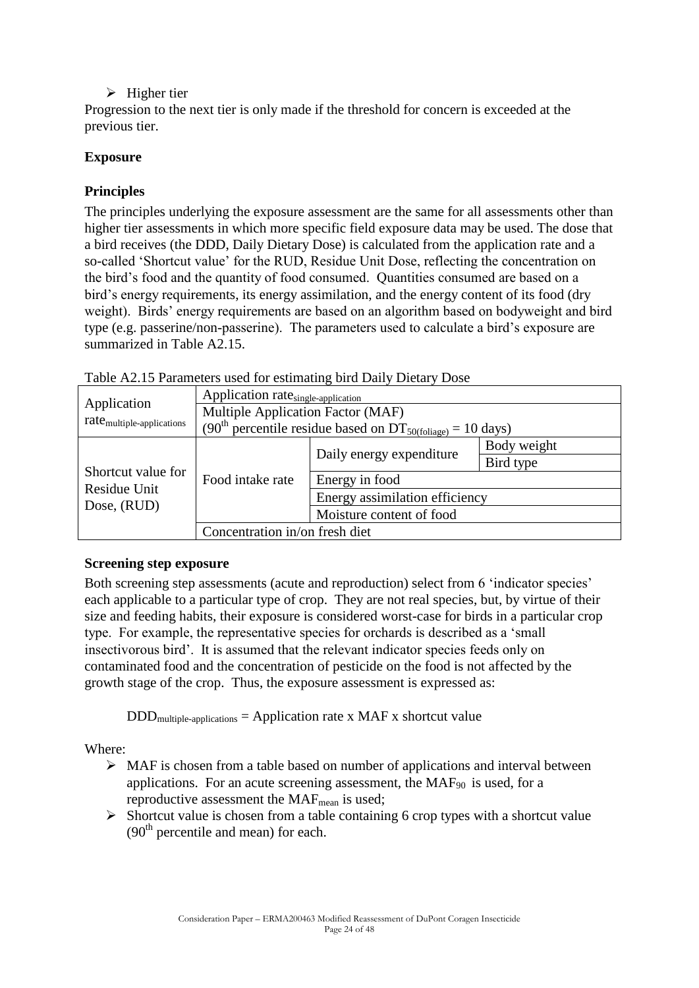### $\triangleright$  Higher tier

Progression to the next tier is only made if the threshold for concern is exceeded at the previous tier.

### **Exposure**

### **Principles**

The principles underlying the exposure assessment are the same for all assessments other than higher tier assessments in which more specific field exposure data may be used. The dose that a bird receives (the DDD, Daily Dietary Dose) is calculated from the application rate and a so-called "Shortcut value" for the RUD, Residue Unit Dose, reflecting the concentration on the bird"s food and the quantity of food consumed. Quantities consumed are based on a bird"s energy requirements, its energy assimilation, and the energy content of its food (dry weight). Birds' energy requirements are based on an algorithm based on bodyweight and bird type (e.g. passerine/non-passerine). The parameters used to calculate a bird"s exposure are summarized in Table A2.15.

|                                       | Application rate <sub>single-application</sub>                                     |                                |             |  |  |
|---------------------------------------|------------------------------------------------------------------------------------|--------------------------------|-------------|--|--|
| Application                           | Multiple Application Factor (MAF)                                                  |                                |             |  |  |
| rate <sub>multiple-applications</sub> | (90 <sup>th</sup> percentile residue based on DT <sub>50(foliage)</sub> = 10 days) |                                |             |  |  |
|                                       | Food intake rate                                                                   |                                | Body weight |  |  |
|                                       |                                                                                    | Daily energy expenditure       | Bird type   |  |  |
| Shortcut value for                    |                                                                                    | Energy in food                 |             |  |  |
| Residue Unit<br>Dose, (RUD)           |                                                                                    | Energy assimilation efficiency |             |  |  |
|                                       |                                                                                    | Moisture content of food       |             |  |  |
|                                       | Concentration in/on fresh diet                                                     |                                |             |  |  |

| Table A2.15 Parameters used for estimating bird Daily Dietary Dose |  |  |  |
|--------------------------------------------------------------------|--|--|--|
|--------------------------------------------------------------------|--|--|--|

### **Screening step exposure**

Both screening step assessments (acute and reproduction) select from 6 'indicator species' each applicable to a particular type of crop. They are not real species, but, by virtue of their size and feeding habits, their exposure is considered worst-case for birds in a particular crop type. For example, the representative species for orchards is described as a "small insectivorous bird". It is assumed that the relevant indicator species feeds only on contaminated food and the concentration of pesticide on the food is not affected by the growth stage of the crop. Thus, the exposure assessment is expressed as:

 $DDD_{multiple-applications} = Application rate x MAF x shortcut value$ 

Where:

- $\triangleright$  MAF is chosen from a table based on number of applications and interval between applications. For an acute screening assessment, the  $MAF_{90}$  is used, for a reproductive assessment the  $MAF_{mean}$  is used;
- $\triangleright$  Shortcut value is chosen from a table containing 6 crop types with a shortcut value  $(90<sup>th</sup>$  percentile and mean) for each.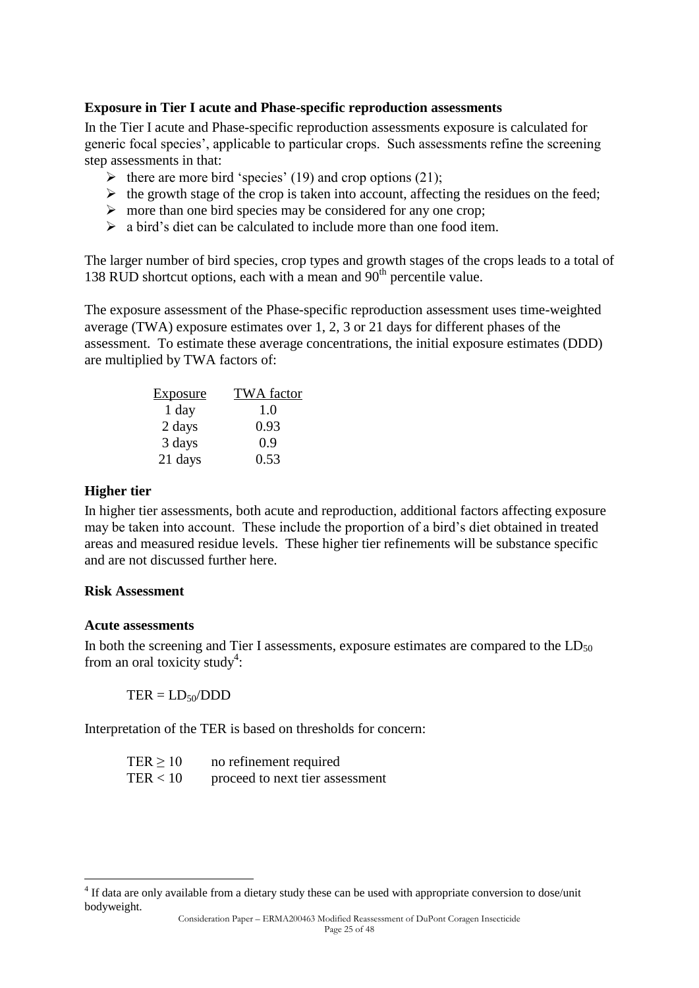#### **Exposure in Tier I acute and Phase-specific reproduction assessments**

In the Tier I acute and Phase-specific reproduction assessments exposure is calculated for generic focal species", applicable to particular crops. Such assessments refine the screening step assessments in that:

- $\triangleright$  there are more bird 'species' (19) and crop options (21);
- $\triangleright$  the growth stage of the crop is taken into account, affecting the residues on the feed;
- $\triangleright$  more than one bird species may be considered for any one crop;
- $\triangleright$  a bird's diet can be calculated to include more than one food item.

The larger number of bird species, crop types and growth stages of the crops leads to a total of 138 RUD shortcut options, each with a mean and  $90<sup>th</sup>$  percentile value.

The exposure assessment of the Phase-specific reproduction assessment uses time-weighted average (TWA) exposure estimates over 1, 2, 3 or 21 days for different phases of the assessment. To estimate these average concentrations, the initial exposure estimates (DDD) are multiplied by TWA factors of:

| Exposure | <b>TWA</b> factor |
|----------|-------------------|
| 1 day    | 1.0               |
| 2 days   | 0.93              |
| 3 days   | 0.9               |
| 21 days  | 0.53              |

#### **Higher tier**

In higher tier assessments, both acute and reproduction, additional factors affecting exposure may be taken into account. These include the proportion of a bird"s diet obtained in treated areas and measured residue levels. These higher tier refinements will be substance specific and are not discussed further here.

#### **Risk Assessment**

#### **Acute assessments**

1

In both the screening and Tier I assessments, exposure estimates are compared to the  $LD_{50}$ from an oral toxicity study<sup>4</sup>:

 $TER = LD<sub>50</sub>/DDD$ 

Interpretation of the TER is based on thresholds for concern:

| TER > 10 | no refinement required          |
|----------|---------------------------------|
| TER < 10 | proceed to next tier assessment |

<sup>&</sup>lt;sup>4</sup> If data are only available from a dietary study these can be used with appropriate conversion to dose/unit bodyweight.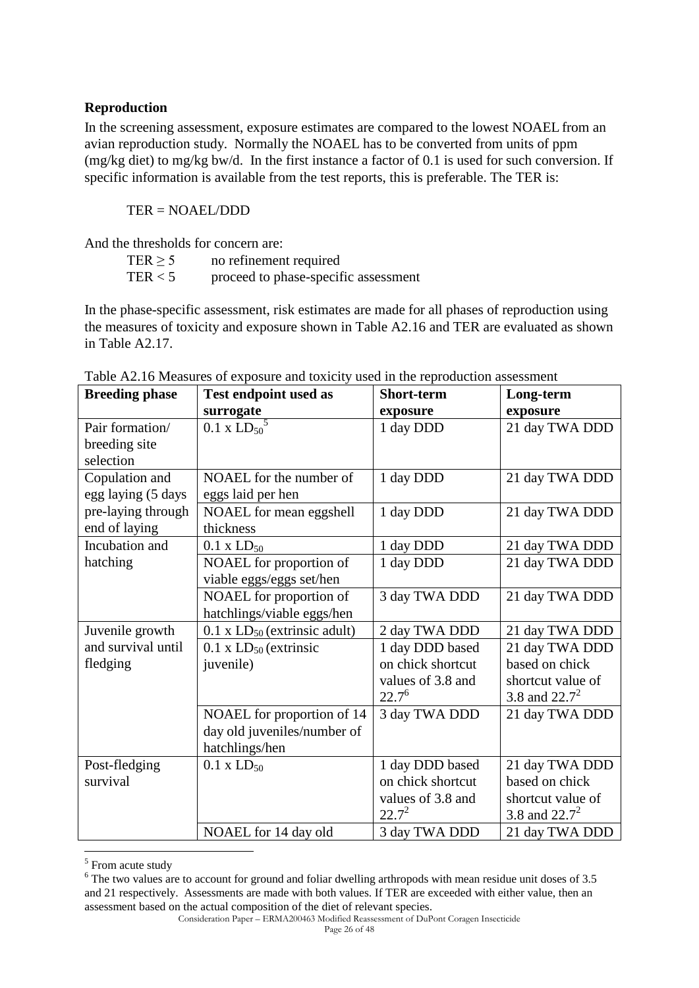### **Reproduction**

In the screening assessment, exposure estimates are compared to the lowest NOAEL from an avian reproduction study. Normally the NOAEL has to be converted from units of ppm (mg/kg diet) to mg/kg bw/d. In the first instance a factor of 0.1 is used for such conversion. If specific information is available from the test reports, this is preferable. The TER is:

TER = NOAEL/DDD

And the thresholds for concern are:

| TER > 5 | no refinement required               |
|---------|--------------------------------------|
| TER < 5 | proceed to phase-specific assessment |

In the phase-specific assessment, risk estimates are made for all phases of reproduction using the measures of toxicity and exposure shown in Table A2.16 and TER are evaluated as shown in Table A2.17.

| <b>Breeding phase</b> | Test endpoint used as               | <b>Short-term</b> | Long-term         |
|-----------------------|-------------------------------------|-------------------|-------------------|
|                       | surrogate                           | exposure          | exposure          |
| Pair formation/       | $0.1 \times L{D_{50}}^5$            | 1 day DDD         | 21 day TWA DDD    |
| breeding site         |                                     |                   |                   |
| selection             |                                     |                   |                   |
| Copulation and        | NOAEL for the number of             | 1 day DDD         | 21 day TWA DDD    |
| egg laying (5 days    | eggs laid per hen                   |                   |                   |
| pre-laying through    | NOAEL for mean eggshell             | 1 day DDD         | 21 day TWA DDD    |
| end of laying         | thickness                           |                   |                   |
| Incubation and        | $0.1 \times LD_{50}$                | 1 day DDD         | 21 day TWA DDD    |
| hatching              | NOAEL for proportion of             | 1 day DDD         | 21 day TWA DDD    |
|                       | viable eggs/eggs set/hen            |                   |                   |
|                       | NOAEL for proportion of             | 3 day TWA DDD     | 21 day TWA DDD    |
|                       | hatchlings/viable eggs/hen          |                   |                   |
| Juvenile growth       | $0.1$ x $LD_{50}$ (extrinsic adult) | 2 day TWA DDD     | 21 day TWA DDD    |
| and survival until    | $0.1$ x $LD_{50}$ (extrinsic        | 1 day DDD based   | 21 day TWA DDD    |
| fledging              | juvenile)                           | on chick shortcut | based on chick    |
|                       |                                     | values of 3.8 and | shortcut value of |
|                       |                                     | $22.7^{6}$        | 3.8 and $22.7^2$  |
|                       | NOAEL for proportion of 14          | 3 day TWA DDD     | 21 day TWA DDD    |
|                       | day old juveniles/number of         |                   |                   |
|                       | hatchlings/hen                      |                   |                   |
| Post-fledging         | $0.1 \times LD_{50}$                | 1 day DDD based   | 21 day TWA DDD    |
| survival              |                                     | on chick shortcut | based on chick    |
|                       |                                     | values of 3.8 and | shortcut value of |
|                       |                                     | $22.7^2$          | 3.8 and $22.7^2$  |
|                       | NOAEL for 14 day old                | 3 day TWA DDD     | 21 day TWA DDD    |

Table A2.16 Measures of exposure and toxicity used in the reproduction assessment

<u>.</u>

<sup>&</sup>lt;sup>5</sup> From acute study

<sup>&</sup>lt;sup>6</sup> The two values are to account for ground and foliar dwelling arthropods with mean residue unit doses of 3.5 and 21 respectively. Assessments are made with both values. If TER are exceeded with either value, then an assessment based on the actual composition of the diet of relevant species.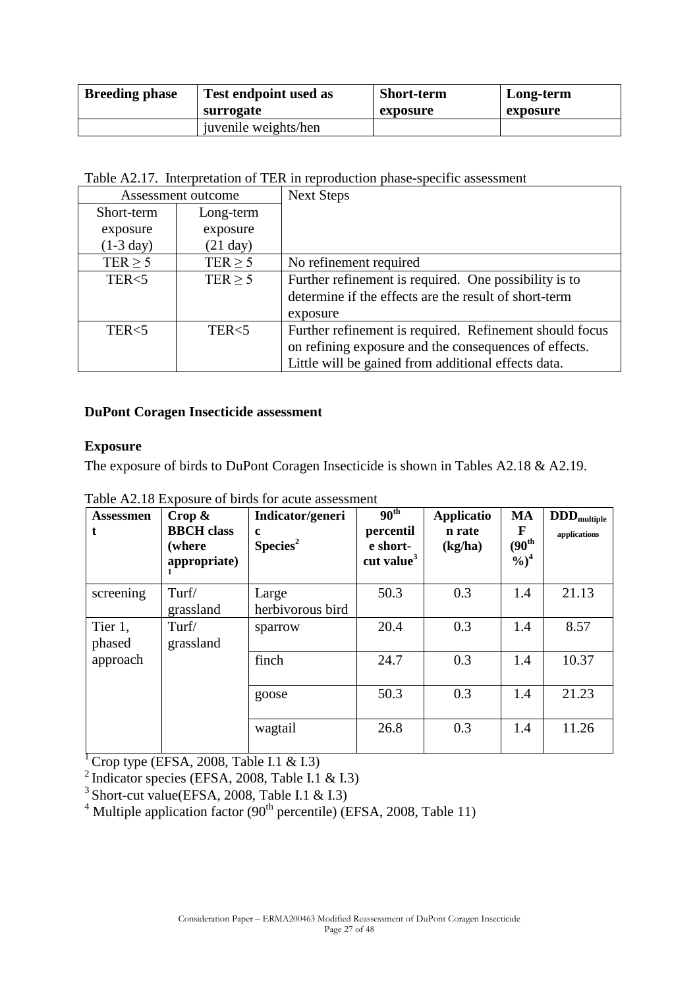| <b>Breeding phase</b> | Test endpoint used as | <b>Short-term</b> | Long-term |  |
|-----------------------|-----------------------|-------------------|-----------|--|
|                       | surrogate             | exposure          | exposure  |  |
|                       | juvenile weights/hen  |                   |           |  |

Table A2.17. Interpretation of TER in reproduction phase-specific assessment

| Assessment outcome  |                    | <b>Next Steps</b>                                       |  |
|---------------------|--------------------|---------------------------------------------------------|--|
| Short-term          | Long-term          |                                                         |  |
| exposure            | exposure           |                                                         |  |
| $(1-3 \text{ day})$ | $(21 \text{ day})$ |                                                         |  |
| TER $\geq$ 5        | TER $\geq$ 5       | No refinement required                                  |  |
| TER <sub>5</sub>    | TER $\geq$ 5       | Further refinement is required. One possibility is to   |  |
|                     |                    | determine if the effects are the result of short-term   |  |
|                     |                    | exposure                                                |  |
| TER <sub>5</sub>    | TER <sub>5</sub>   | Further refinement is required. Refinement should focus |  |
|                     |                    | on refining exposure and the consequences of effects.   |  |
|                     |                    | Little will be gained from additional effects data.     |  |

### **DuPont Coragen Insecticide assessment**

#### **Exposure**

The exposure of birds to DuPont Coragen Insecticide is shown in Tables A2.18 & A2.19.

| <b>Assessmen</b><br>t. | $Crop \&$<br><b>BBCH</b> class<br>(where<br>appropriate) | Indicator/generi<br>$\mathbf c$<br>Species <sup>2</sup> | 90 <sup>th</sup><br>percentil<br>e short-<br>cut value $3$ | <b>Applicatio</b><br>n rate<br>(kg/ha) | <b>MA</b><br>F<br>$(90^{\rm th}$<br>$\frac{9}{6}$ <sup>4</sup> | $\mathbf{DDD}_{\text{multiple}}$<br>applications |
|------------------------|----------------------------------------------------------|---------------------------------------------------------|------------------------------------------------------------|----------------------------------------|----------------------------------------------------------------|--------------------------------------------------|
| screening              | Turf/<br>grassland                                       | Large<br>herbivorous bird                               | 50.3                                                       | 0.3                                    | 1.4                                                            | 21.13                                            |
| Tier 1,<br>phased      | Turf/<br>grassland                                       | sparrow                                                 | 20.4                                                       | 0.3                                    | 1.4                                                            | 8.57                                             |
| approach               |                                                          | finch                                                   | 24.7                                                       | 0.3                                    | 1.4                                                            | 10.37                                            |
|                        |                                                          | goose                                                   | 50.3                                                       | 0.3                                    | 1.4                                                            | 21.23                                            |
|                        |                                                          | wagtail                                                 | 26.8                                                       | 0.3                                    | 1.4                                                            | 11.26                                            |

Table A2.18 Exposure of birds for acute assessment

<sup>1</sup> Crop type (EFSA, 2008, Table I.1 & I.3)

 $^{2}$  Indicator species (EFSA, 2008, Table I.1 & I.3)

 $3$  Short-cut value(EFSA, 2008, Table I.1 & I.3)

 $4$  Multiple application factor (90<sup>th</sup> percentile) (EFSA, 2008, Table 11)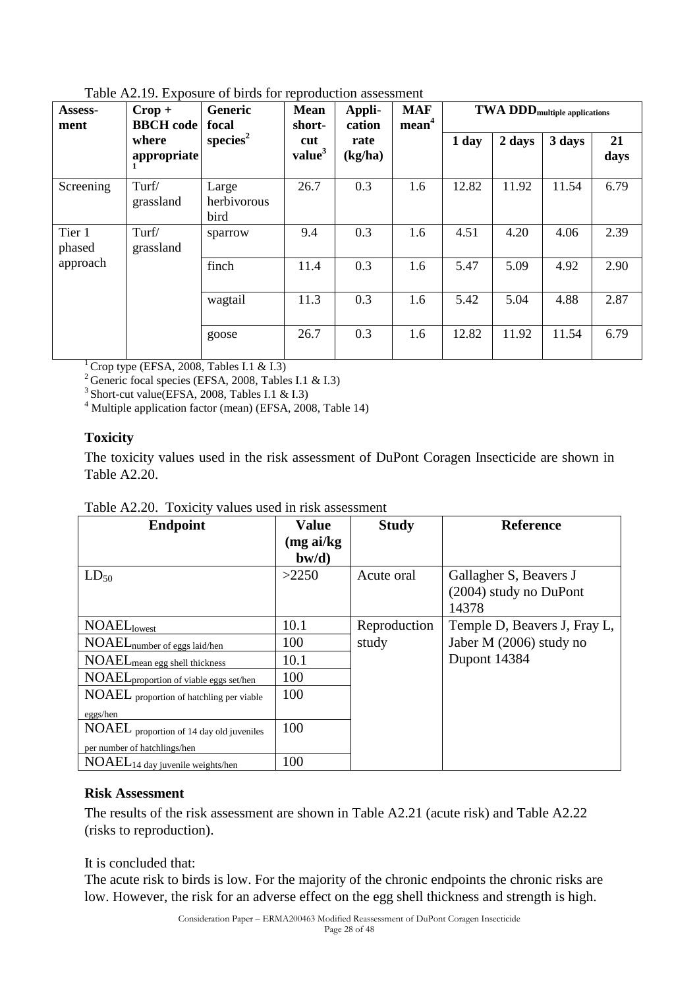| Assess-<br>ment  | $Crop +$<br><b>BBCH</b> code | Generic<br>focal             | <b>Mean</b><br>short-     | Appli-<br>cation | <b>MAF</b><br>mean <sup>4</sup> | TWA DDD <sub>multiple</sub> applications |        |        |            |
|------------------|------------------------------|------------------------------|---------------------------|------------------|---------------------------------|------------------------------------------|--------|--------|------------|
|                  | where<br>appropriate         | species <sup>2</sup>         | cut<br>value <sup>3</sup> | rate<br>(kg/ha)  |                                 | 1 day                                    | 2 days | 3 days | 21<br>days |
| Screening        | Turf/<br>grassland           | Large<br>herbivorous<br>bird | 26.7                      | 0.3              | 1.6                             | 12.82                                    | 11.92  | 11.54  | 6.79       |
| Tier 1<br>phased | Turf/<br>grassland           | sparrow                      | 9.4                       | 0.3              | 1.6                             | 4.51                                     | 4.20   | 4.06   | 2.39       |
| approach         |                              | finch                        | 11.4                      | 0.3              | 1.6                             | 5.47                                     | 5.09   | 4.92   | 2.90       |
|                  |                              | wagtail                      | 11.3                      | 0.3              | 1.6                             | 5.42                                     | 5.04   | 4.88   | 2.87       |
|                  |                              | goose                        | 26.7                      | 0.3              | 1.6                             | 12.82                                    | 11.92  | 11.54  | 6.79       |

Table A2.19. Exposure of birds for reproduction assessment

 $1^1$  Crop type (EFSA, 2008, Tables I.1 & I.3)

<sup>2</sup> Generic focal species (EFSA, 2008, Tables I.1 & I.3)

<sup>3</sup> Short-cut value(EFSA, 2008, Tables I.1 & I.3)

4 Multiple application factor (mean) (EFSA, 2008, Table 14)

#### **Toxicity**

The toxicity values used in the risk assessment of DuPont Coragen Insecticide are shown in Table A2.20.

| <b>Endpoint</b>                                    | <b>Value</b>          | <b>Study</b> | <b>Reference</b>             |
|----------------------------------------------------|-----------------------|--------------|------------------------------|
|                                                    | (mgai/kg)<br>$b$ w/d) |              |                              |
| $LD_{50}$                                          | >2250                 | Acute oral   | Gallagher S, Beavers J       |
|                                                    |                       |              | (2004) study no DuPont       |
|                                                    |                       |              | 14378                        |
| <b>NOAEL</b> lowest                                | 10.1                  | Reproduction | Temple D, Beavers J, Fray L, |
| NOAEL <sub>number of eggs laid/hen</sub>           | 100                   | study        | Jaber M (2006) study no      |
| NOAEL <sub>mean egg shell thickness</sub>          | 10.1                  |              | Dupont 14384                 |
| NOAEL <sub>proportion of viable eggs set/hen</sub> | 100                   |              |                              |
| NOAEL proportion of hatchling per viable           | 100                   |              |                              |
| eggs/hen                                           |                       |              |                              |
| NOAEL proportion of 14 day old juveniles           | 100                   |              |                              |
| per number of hatchlings/hen                       |                       |              |                              |
| NOAEL <sub>14</sub> day juvenile weights/hen       | 100                   |              |                              |

Table A2.20. Toxicity values used in risk assessment

#### **Risk Assessment**

The results of the risk assessment are shown in Table A2.21 (acute risk) and Table A2.22 (risks to reproduction).

It is concluded that:

The acute risk to birds is low. For the majority of the chronic endpoints the chronic risks are low. However, the risk for an adverse effect on the egg shell thickness and strength is high.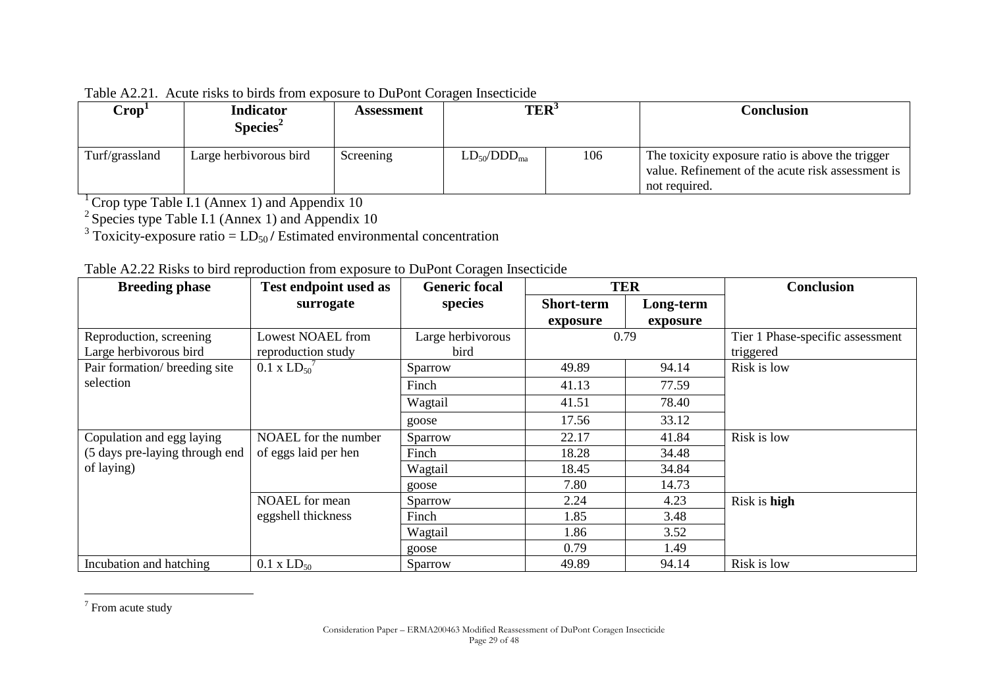| Crop <sup>T</sup> | <b>Indicator</b><br>Species <sup>2</sup> | Assessment | TER <sup>3</sup>   |     | Conclusion                                                                                                             |
|-------------------|------------------------------------------|------------|--------------------|-----|------------------------------------------------------------------------------------------------------------------------|
| Turf/grassland    | Large herbivorous bird                   | Screening  | $LD_{50}/DDD_{ma}$ | 106 | The toxicity exposure ratio is above the trigger<br>value. Refinement of the acute risk assessment is<br>not required. |

Table A2.21. Acute risks to birds from exposure to DuPont Coragen Insecticide

 $1^1$  Crop type Table I.1 (Annex 1) and Appendix 10

 $2$  Species type Table I.1 (Annex 1) and Appendix 10

 $3$  Toxicity-exposure ratio =  $LD_{50}/$  Estimated environmental concentration

| <b>Breeding phase</b>          | $\blacksquare$ rubho to on a reproduction from exposure to $\blacktriangleright$ are only coragen insectional<br>Test endpoint used as | <b>Generic focal</b> |                   | <b>TER</b> | Conclusion                       |
|--------------------------------|----------------------------------------------------------------------------------------------------------------------------------------|----------------------|-------------------|------------|----------------------------------|
|                                | surrogate                                                                                                                              | species              | <b>Short-term</b> | Long-term  |                                  |
|                                |                                                                                                                                        |                      | exposure          | exposure   |                                  |
| Reproduction, screening        | <b>Lowest NOAEL from</b>                                                                                                               | Large herbivorous    |                   | 0.79       | Tier 1 Phase-specific assessment |
| Large herbivorous bird         | reproduction study                                                                                                                     | bird                 |                   |            | triggered                        |
| Pair formation/ breeding site  | $0.1 \times L D_{50}$                                                                                                                  | Sparrow              | 49.89             | 94.14      | Risk is low                      |
| selection                      |                                                                                                                                        | Finch                | 41.13             | 77.59      |                                  |
|                                |                                                                                                                                        | Wagtail              | 41.51             | 78.40      |                                  |
|                                |                                                                                                                                        | goose                | 17.56             | 33.12      |                                  |
| Copulation and egg laying      | NOAEL for the number                                                                                                                   | Sparrow              | 22.17             | 41.84      | Risk is low                      |
| (5 days pre-laying through end | of eggs laid per hen                                                                                                                   | Finch                | 18.28             | 34.48      |                                  |
| of laying)                     |                                                                                                                                        | Wagtail              | 18.45             | 34.84      |                                  |
|                                |                                                                                                                                        | goose                | 7.80              | 14.73      |                                  |
|                                | <b>NOAEL</b> for mean                                                                                                                  | Sparrow              | 2.24              | 4.23       | Risk is high                     |
|                                | eggshell thickness                                                                                                                     | Finch                | 1.85              | 3.48       |                                  |
|                                |                                                                                                                                        | Wagtail              | 1.86              | 3.52       |                                  |
|                                |                                                                                                                                        | goose                | 0.79              | 1.49       |                                  |
| Incubation and hatching        | $0.1 \times LD_{50}$                                                                                                                   | Sparrow              | 49.89             | 94.14      | Risk is low                      |

| Table A2.22 Risks to bird reproduction from exposure to DuPont Coragen Insecticide |
|------------------------------------------------------------------------------------|
|------------------------------------------------------------------------------------|

 $\frac{1}{7}$  From acute study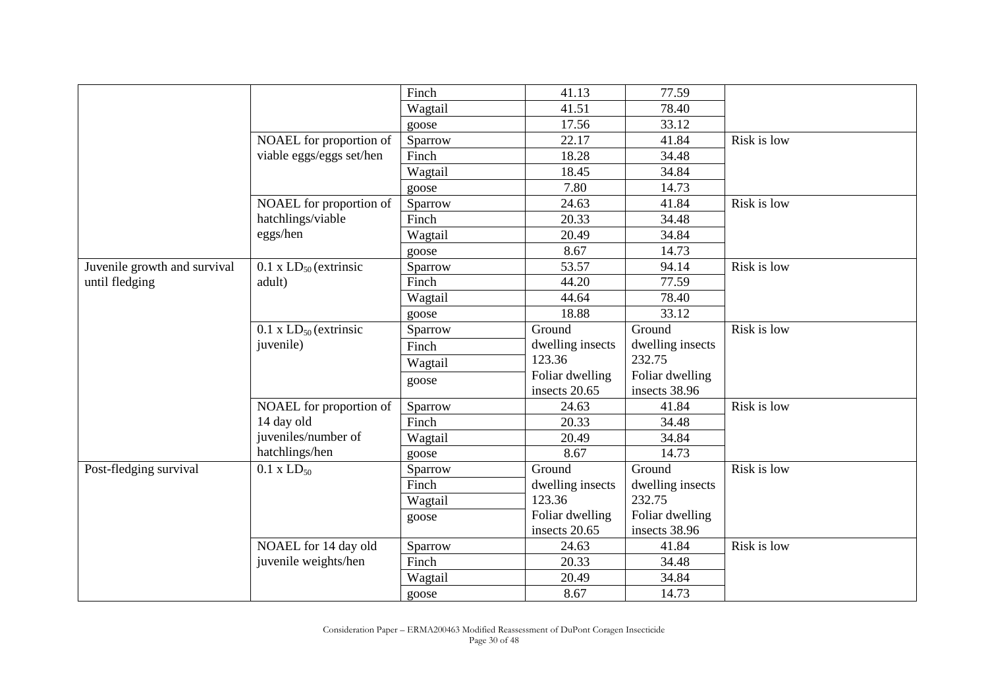|                              |                              | Finch   | 41.13            | 77.59            |             |
|------------------------------|------------------------------|---------|------------------|------------------|-------------|
|                              |                              | Wagtail | 41.51            | 78.40            |             |
|                              |                              | goose   | 17.56            | 33.12            |             |
|                              | NOAEL for proportion of      | Sparrow | 22.17            | 41.84            | Risk is low |
|                              | viable eggs/eggs set/hen     | Finch   | 18.28            | 34.48            |             |
|                              |                              | Wagtail | 18.45            | 34.84            |             |
|                              |                              | goose   | 7.80             | 14.73            |             |
|                              | NOAEL for proportion of      | Sparrow | 24.63            | 41.84            | Risk is low |
|                              | hatchlings/viable            | Finch   | 20.33            | 34.48            |             |
|                              | eggs/hen                     | Wagtail | 20.49            | 34.84            |             |
|                              |                              | goose   | 8.67             | 14.73            |             |
| Juvenile growth and survival | $0.1$ x $LD_{50}$ (extrinsic | Sparrow | 53.57            | 94.14            | Risk is low |
| until fledging               | adult)                       | Finch   | 44.20            | 77.59            |             |
|                              |                              | Wagtail | 44.64            | 78.40            |             |
|                              |                              | goose   | 18.88            | 33.12            |             |
|                              | $0.1$ x $LD_{50}$ (extrinsic | Sparrow | Ground           | Ground           | Risk is low |
|                              | juvenile)                    | Finch   | dwelling insects | dwelling insects |             |
|                              |                              | Wagtail | 123.36           | 232.75           |             |
|                              |                              | goose   | Foliar dwelling  | Foliar dwelling  |             |
|                              |                              |         | insects 20.65    | insects 38.96    |             |
|                              | NOAEL for proportion of      | Sparrow | 24.63            | 41.84            | Risk is low |
|                              | 14 day old                   | Finch   | 20.33            | 34.48            |             |
|                              | juveniles/number of          | Wagtail | 20.49            | 34.84            |             |
|                              | hatchlings/hen               | goose   | 8.67             | 14.73            |             |
| Post-fledging survival       | $0.1 \times LD_{50}$         | Sparrow | Ground           | Ground           | Risk is low |
|                              |                              | Finch   | dwelling insects | dwelling insects |             |
|                              |                              | Wagtail | 123.36           | 232.75           |             |
|                              |                              | goose   | Foliar dwelling  | Foliar dwelling  |             |
|                              |                              |         | insects 20.65    | insects 38.96    |             |
|                              | NOAEL for 14 day old         | Sparrow | 24.63            | 41.84            | Risk is low |
|                              | juvenile weights/hen         | Finch   | 20.33            | 34.48            |             |
|                              |                              | Wagtail | 20.49            | 34.84            |             |
|                              |                              | goose   | 8.67             | 14.73            |             |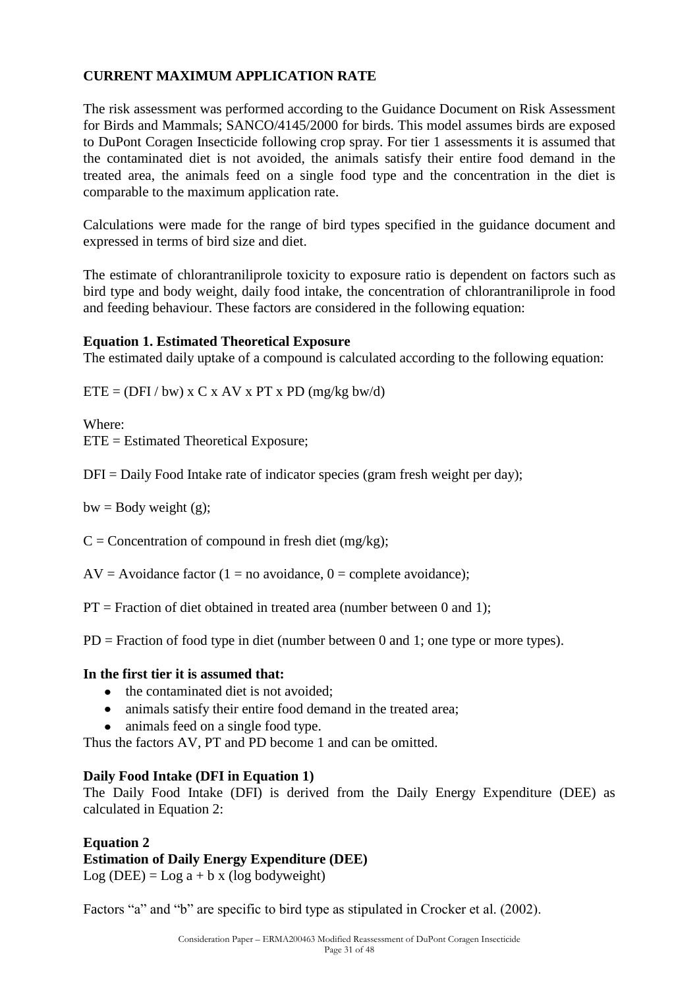### **CURRENT MAXIMUM APPLICATION RATE**

The risk assessment was performed according to the Guidance Document on Risk Assessment for Birds and Mammals; SANCO/4145/2000 for birds. This model assumes birds are exposed to DuPont Coragen Insecticide following crop spray. For tier 1 assessments it is assumed that the contaminated diet is not avoided, the animals satisfy their entire food demand in the treated area, the animals feed on a single food type and the concentration in the diet is comparable to the maximum application rate.

Calculations were made for the range of bird types specified in the guidance document and expressed in terms of bird size and diet.

The estimate of chlorantraniliprole toxicity to exposure ratio is dependent on factors such as bird type and body weight, daily food intake, the concentration of chlorantraniliprole in food and feeding behaviour. These factors are considered in the following equation:

#### **Equation 1. Estimated Theoretical Exposure**

The estimated daily uptake of a compound is calculated according to the following equation:

 $ETE = (DFI / bw) \times C \times AV \times PT \times PD (mg/kg)$ 

Where:

ETE = Estimated Theoretical Exposure;

 $DFI = Daily Food Intake rate of indicator species (gram fresh weight per day);$ 

 $bw = Body weight(g);$ 

 $C =$  Concentration of compound in fresh diet (mg/kg);

 $AV = Avoidance factor (1 = no avoidance, 0 = complete avoidance);$ 

 $PT = Fraction of diet obtained in treated area (number between 0 and 1);$ 

PD = Fraction of food type in diet (number between 0 and 1; one type or more types).

#### **In the first tier it is assumed that:**

- the contaminated diet is not avoided:
- animals satisfy their entire food demand in the treated area;
- animals feed on a single food type.

Thus the factors AV, PT and PD become 1 and can be omitted.

#### **Daily Food Intake (DFI in Equation 1)**

The Daily Food Intake (DFI) is derived from the Daily Energy Expenditure (DEE) as calculated in Equation 2:

#### **Equation 2 Estimation of Daily Energy Expenditure (DEE)**

Log (DEE) = Log  $a + b x$  (log bodyweight)

Factors "a" and "b" are specific to bird type as stipulated in Crocker et al. (2002).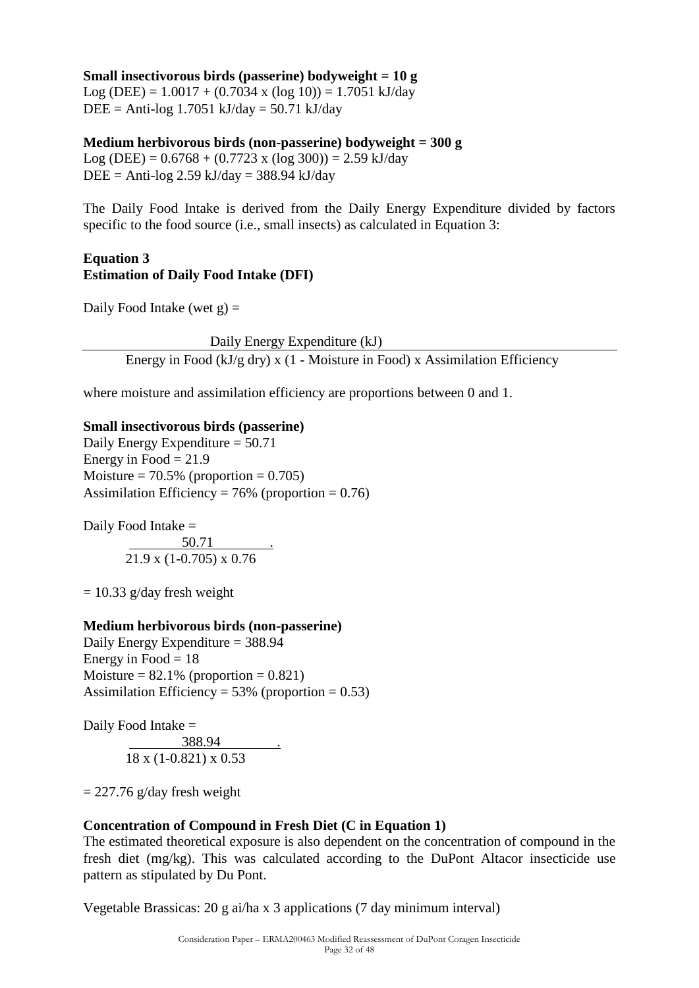#### **Small insectivorous birds (passerine) bodyweight = 10 g**

Log (DEE) =  $1.0017 + (0.7034 \text{ x } (\log 10)) = 1.7051 \text{ kJ/day}$  $DEE = Anti-log 1.7051 kJ/day = 50.71 kJ/day$ 

#### **Medium herbivorous birds (non-passerine) bodyweight = 300 g**

Log (DEE) =  $0.6768 + (0.7723 \text{ x } (\log 300)) = 2.59 \text{ kJ/day}$  $DEE = Anti-log 2.59 kJ/day = 388.94 kJ/day$ 

The Daily Food Intake is derived from the Daily Energy Expenditure divided by factors specific to the food source (i.e., small insects) as calculated in Equation 3:

### **Equation 3 Estimation of Daily Food Intake (DFI)**

Daily Food Intake (wet  $g$ ) =

Daily Energy Expenditure (kJ)

Energy in Food ( $kJ/g$  dry) x (1 - Moisture in Food) x Assimilation Efficiency

where moisture and assimilation efficiency are proportions between 0 and 1.

#### **Small insectivorous birds (passerine)**

Daily Energy Expenditure = 50.71 Energy in Food  $= 21.9$ Moisture =  $70.5\%$  (proportion = 0.705) Assimilation Efficiency =  $76%$  (proportion = 0.76)

Daily Food Intake =  $\frac{50.71}{\ldots}$ 21.9 x (1-0.705) x 0.76

 $= 10.33$  g/day fresh weight

#### **Medium herbivorous birds (non-passerine)**

Daily Energy Expenditure = 388.94 Energy in Food  $= 18$ Moisture  $= 82.1\%$  (proportion  $= 0.821$ ) Assimilation Efficiency =  $53\%$  (proportion = 0.53)

Daily Food Intake = 388.94 . 18 x (1-0.821) x 0.53

 $= 227.76$  g/day fresh weight

### **Concentration of Compound in Fresh Diet (C in Equation 1)**

The estimated theoretical exposure is also dependent on the concentration of compound in the fresh diet (mg/kg). This was calculated according to the DuPont Altacor insecticide use pattern as stipulated by Du Pont.

Vegetable Brassicas: 20 g ai/ha x 3 applications (7 day minimum interval)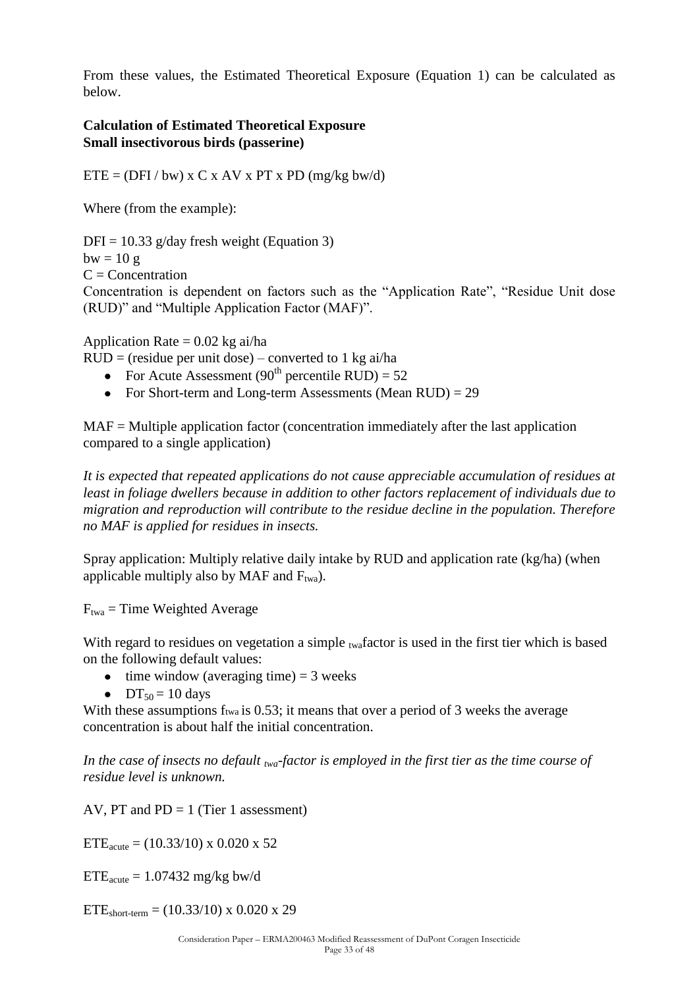From these values, the Estimated Theoretical Exposure (Equation 1) can be calculated as below.

### **Calculation of Estimated Theoretical Exposure Small insectivorous birds (passerine)**

 $ETE = (DFI / bw) \times C \times AV \times PT \times PD (mg/kg)$ 

Where (from the example):

 $DFI = 10.33$  g/day fresh weight (Equation 3)

 $bw = 10 g$ 

 $C =$ Concentration

Concentration is dependent on factors such as the "Application Rate", "Residue Unit dose (RUD)" and "Multiple Application Factor (MAF)".

Application Rate  $= 0.02$  kg ai/ha

 $RUD = (residue per unit dose) - converted to 1 kg ai/ha$ 

- For Acute Assessment (90<sup>th</sup> percentile RUD) =  $52$
- For Short-term and Long-term Assessments (Mean  $RUD$ ) = 29

MAF = Multiple application factor (concentration immediately after the last application compared to a single application)

*It is expected that repeated applications do not cause appreciable accumulation of residues at least in foliage dwellers because in addition to other factors replacement of individuals due to migration and reproduction will contribute to the residue decline in the population. Therefore no MAF is applied for residues in insects.*

Spray application: Multiply relative daily intake by RUD and application rate  $(kg/ha)$  (when applicable multiply also by MAF and  $F_{twa}$ ).

 $F_{twa}$  = Time Weighted Average

With regard to residues on vegetation a simple  $_{twa}$  factor is used in the first tier which is based on the following default values:

- $\bullet$  time window (averaging time) = 3 weeks
- $DT_{50} = 10$  days

With these assumptions f<sub>twa</sub> is 0.53; it means that over a period of 3 weeks the average concentration is about half the initial concentration.

*In the case of insects no default twa-factor is employed in the first tier as the time course of residue level is unknown.*

AV, PT and  $PD = 1$  (Tier 1 assessment)

 $ETE<sub>acute</sub> = (10.33/10)$  x 0.020 x 52

 $ETE<sub>acute</sub> = 1.07432$  mg/kg bw/d

ETE<sub>short-term</sub> =  $(10.33/10)$  x 0.020 x 29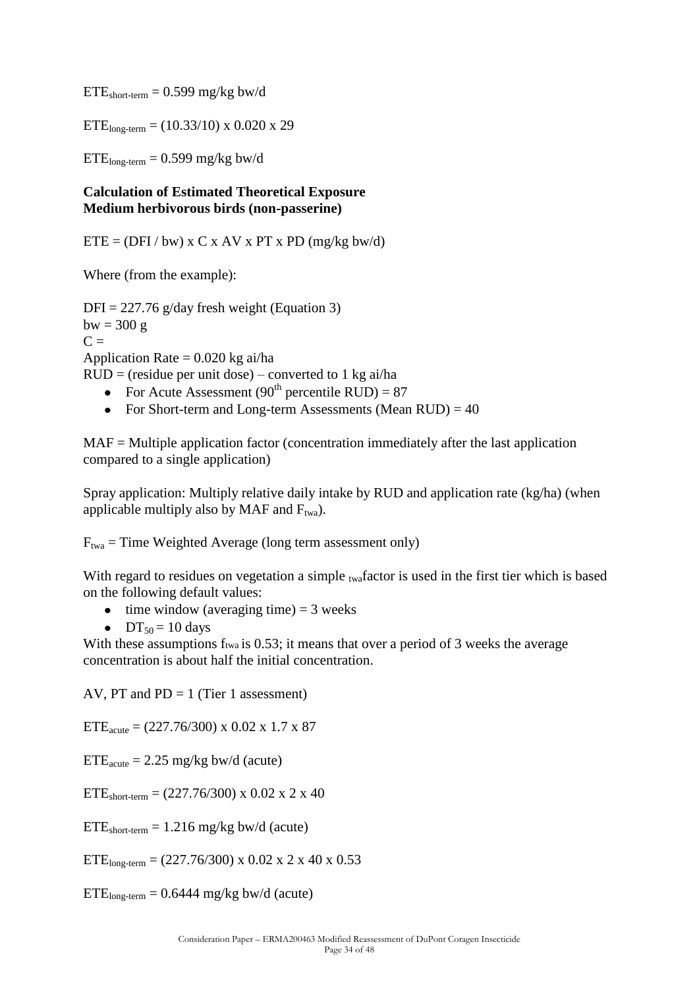$ETE<sub>short-term</sub> = 0.599$  mg/kg bw/d

 $ETE<sub>long-term</sub> = (10.33/10)$  x 0.020 x 29

 $ETE<sub>long-term</sub> = 0.599 mg/kg$  bw/d

### **Calculation of Estimated Theoretical Exposure Medium herbivorous birds (non-passerine)**

 $ETE = (DFI / bw)$  x C x AV x PT x PD (mg/kg bw/d)

Where (from the example):

 $DFI = 227.76$  g/day fresh weight (Equation 3)  $bw = 300 g$  $C =$ Application Rate  $= 0.020$  kg ai/ha  $RUD = (residue per unit dose) - converted to 1 kg ai/ha$ • For Acute Assessment (90<sup>th</sup> percentile RUD) = 87

• For Short-term and Long-term Assessments (Mean  $RUD$ ) = 40

MAF = Multiple application factor (concentration immediately after the last application compared to a single application)

Spray application: Multiply relative daily intake by RUD and application rate (kg/ha) (when applicable multiply also by MAF and  $F_{twa}$ ).

 $F_{twa}$  = Time Weighted Average (long term assessment only)

With regard to residues on vegetation a simple twafactor is used in the first tier which is based on the following default values:

 $\bullet$  time window (averaging time) = 3 weeks

 $DT_{50} = 10$  days

With these assumptions f<sub>twa</sub> is 0.53; it means that over a period of 3 weeks the average concentration is about half the initial concentration.

AV, PT and  $PD = 1$  (Tier 1 assessment)

 $ETE<sub>acute</sub> = (227.76/300)$  x 0.02 x 1.7 x 87

 $ETE<sub>acute</sub> = 2.25$  mg/kg bw/d (acute)

 $ETE<sub>short-term</sub> = (227.76/300)$  x 0.02 x 2 x 40

 $ETE<sub>short-term</sub> = 1.216 mg/kg$  bw/d (acute)

 $ETE<sub>long-term</sub> = (227.76/300)$  x 0.02 x 2 x 40 x 0.53

 $ETE<sub>long-term</sub> = 0.6444$  mg/kg bw/d (acute)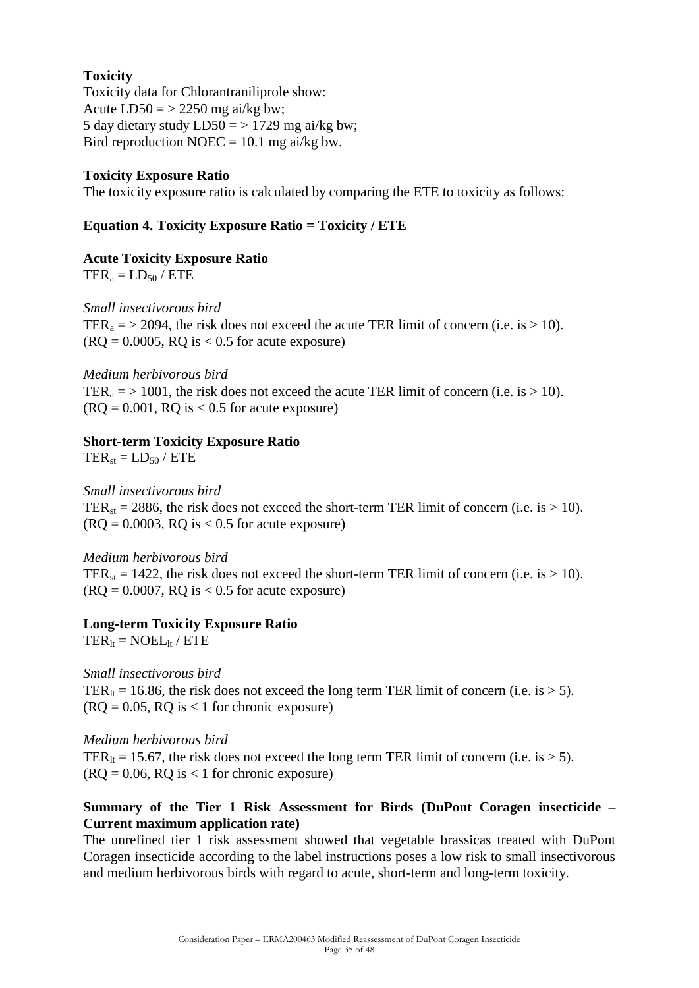### **Toxicity**

Toxicity data for Chlorantraniliprole show: Acute  $LD50 = > 2250$  mg ai/kg bw; 5 day dietary study  $LD50 = > 1729$  mg ai/kg bw; Bird reproduction NOEC =  $10.1$  mg ai/kg bw.

#### **Toxicity Exposure Ratio**

The toxicity exposure ratio is calculated by comparing the ETE to toxicity as follows:

### **Equation 4. Toxicity Exposure Ratio = Toxicity / ETE**

#### **Acute Toxicity Exposure Ratio**

 $TER<sub>a</sub> = LD<sub>50</sub> / ETE$ 

*Small insectivorous bird* TER<sub>a</sub> = > 2094, the risk does not exceed the acute TER limit of concern (i.e. is > 10).  $(RO = 0.0005, RO is < 0.5$  for acute exposure)

#### *Medium herbivorous bird*

TER<sub>a</sub> = > 1001, the risk does not exceed the acute TER limit of concern (i.e. is > 10).  $(RO = 0.001, RO$  is  $< 0.5$  for acute exposure)

#### **Short-term Toxicity Exposure Ratio**

 $TER_{st} = LD_{50} / ETE$ 

*Small insectivorous bird* TER<sub>st</sub> = 2886, the risk does not exceed the short-term TER limit of concern (i.e. is  $> 10$ ).  $(RO = 0.0003, RO$  is  $< 0.5$  for acute exposure)

#### *Medium herbivorous bird*

TER<sub>st</sub> = 1422, the risk does not exceed the short-term TER limit of concern (i.e. is > 10).  $(RQ = 0.0007, RQ$  is  $< 0.5$  for acute exposure)

#### **Long-term Toxicity Exposure Ratio**

 $TER_{1t} = NOEL_{1t} / ETE$ 

*Small insectivorous bird* TER<sub>It</sub> = 16.86, the risk does not exceed the long term TER limit of concern (i.e. is  $> 5$ ).  $(RQ = 0.05, RQ$  is  $< 1$  for chronic exposure)

#### *Medium herbivorous bird*

TER<sub>lt</sub> = 15.67, the risk does not exceed the long term TER limit of concern (i.e. is > 5).  $($ RQ = 0.06, RQ is < 1 for chronic exposure)

#### **Summary of the Tier 1 Risk Assessment for Birds (DuPont Coragen insecticide – Current maximum application rate)**

The unrefined tier 1 risk assessment showed that vegetable brassicas treated with DuPont Coragen insecticide according to the label instructions poses a low risk to small insectivorous and medium herbivorous birds with regard to acute, short-term and long-term toxicity.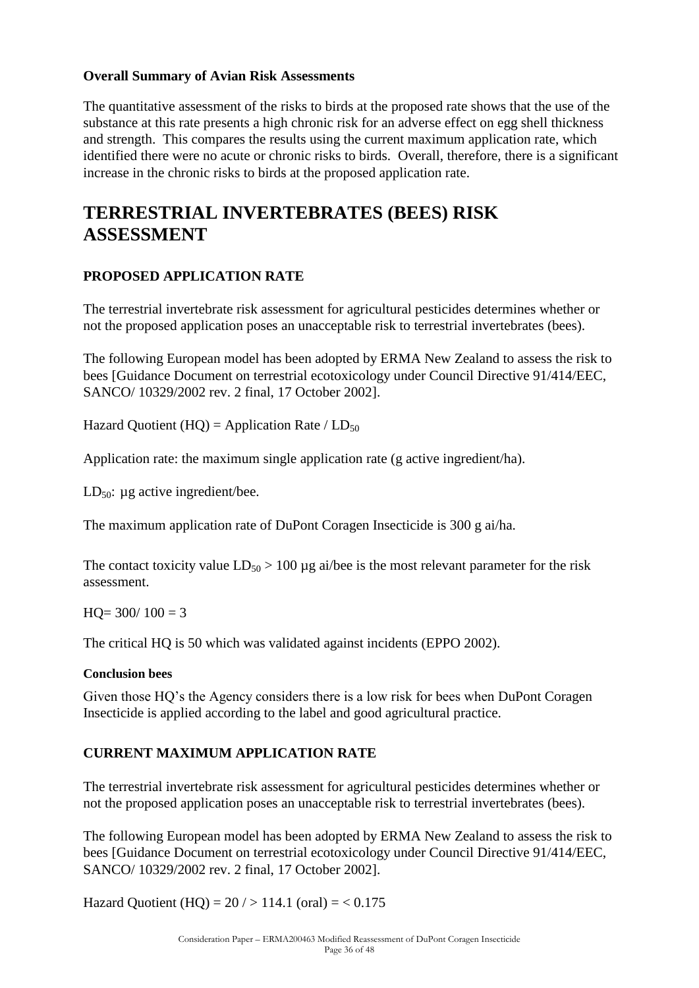### **Overall Summary of Avian Risk Assessments**

The quantitative assessment of the risks to birds at the proposed rate shows that the use of the substance at this rate presents a high chronic risk for an adverse effect on egg shell thickness and strength. This compares the results using the current maximum application rate, which identified there were no acute or chronic risks to birds. Overall, therefore, there is a significant increase in the chronic risks to birds at the proposed application rate.

## **TERRESTRIAL INVERTEBRATES (BEES) RISK ASSESSMENT**

### **PROPOSED APPLICATION RATE**

The terrestrial invertebrate risk assessment for agricultural pesticides determines whether or not the proposed application poses an unacceptable risk to terrestrial invertebrates (bees).

The following European model has been adopted by ERMA New Zealand to assess the risk to bees [Guidance Document on terrestrial ecotoxicology under Council Directive 91/414/EEC, SANCO/ 10329/2002 rev. 2 final, 17 October 2002].

Hazard Quotient (HQ) = Application Rate /  $LD_{50}$ 

Application rate: the maximum single application rate (g active ingredient/ha).

LD<sub>50</sub>:  $\mu$ g active ingredient/bee.

The maximum application rate of DuPont Coragen Insecticide is 300 g ai/ha.

The contact toxicity value  $LD_{50} > 100 \mu g$  ai/bee is the most relevant parameter for the risk assessment.

 $HO = 300/100 = 3$ 

The critical HQ is 50 which was validated against incidents (EPPO 2002).

#### **Conclusion bees**

Given those HQ"s the Agency considers there is a low risk for bees when DuPont Coragen Insecticide is applied according to the label and good agricultural practice.

### **CURRENT MAXIMUM APPLICATION RATE**

The terrestrial invertebrate risk assessment for agricultural pesticides determines whether or not the proposed application poses an unacceptable risk to terrestrial invertebrates (bees).

The following European model has been adopted by ERMA New Zealand to assess the risk to bees [Guidance Document on terrestrial ecotoxicology under Council Directive 91/414/EEC, SANCO/ 10329/2002 rev. 2 final, 17 October 2002].

Hazard Quotient (HQ) =  $20 / > 114.1$  (oral) =  $< 0.175$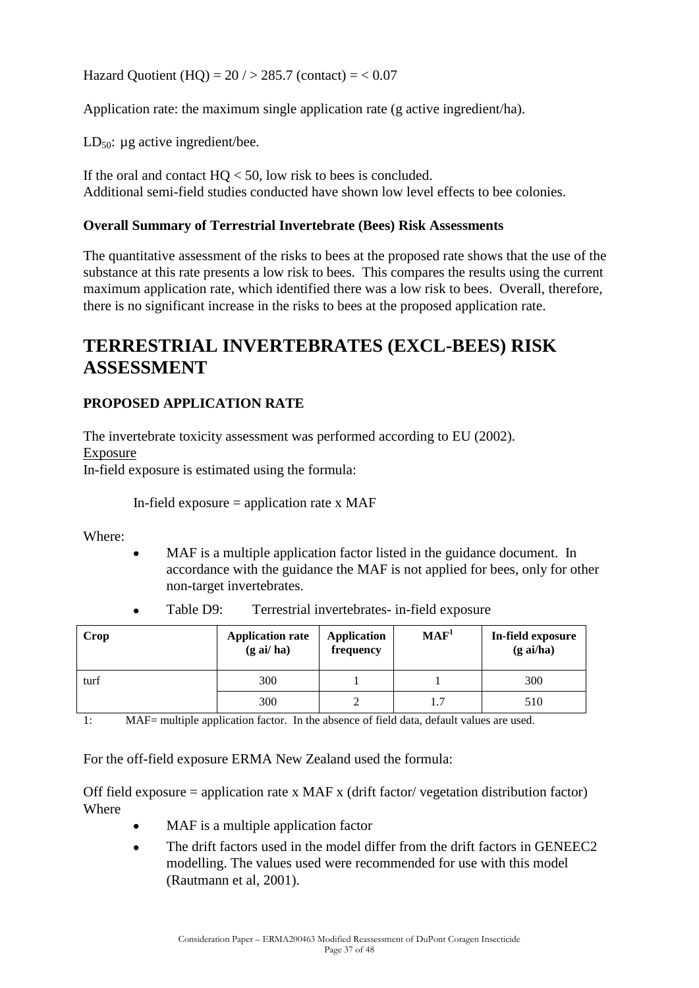Hazard Quotient (HQ) =  $20 / > 285.7$  (contact) =  $< 0.07$ 

Application rate: the maximum single application rate (g active ingredient/ha).

LD $_{50}$ : µg active ingredient/bee.

If the oral and contact  $HO < 50$ , low risk to bees is concluded. Additional semi-field studies conducted have shown low level effects to bee colonies.

#### **Overall Summary of Terrestrial Invertebrate (Bees) Risk Assessments**

The quantitative assessment of the risks to bees at the proposed rate shows that the use of the substance at this rate presents a low risk to bees. This compares the results using the current maximum application rate, which identified there was a low risk to bees. Overall, therefore, there is no significant increase in the risks to bees at the proposed application rate.

## **TERRESTRIAL INVERTEBRATES (EXCL-BEES) RISK ASSESSMENT**

### **PROPOSED APPLICATION RATE**

The invertebrate toxicity assessment was performed according to EU (2002). Exposure In-field exposure is estimated using the formula:

In-field exposure  $=$  application rate x MAF

Where:

MAF is a multiple application factor listed in the guidance document. In accordance with the guidance the MAF is not applied for bees, only for other non-target invertebrates.

| Crop | <b>Application rate</b><br>$(g \text{ ai}/\text{ ha})$ | <b>Application</b><br>frequency | MAF <sup>1</sup> | In-field exposure<br>$(g \nabla a/\nabla a)$ |
|------|--------------------------------------------------------|---------------------------------|------------------|----------------------------------------------|
| turf | 300                                                    |                                 |                  | 300                                          |
|      | 300                                                    |                                 | 1.7              | 510                                          |

Table D9: Terrestrial invertebrates- in-field exposure

1: MAF= multiple application factor. In the absence of field data, default values are used.

For the off-field exposure ERMA New Zealand used the formula:

Off field exposure = application rate x MAF x (drift factor/ vegetation distribution factor) Where

- MAF is a multiple application factor
- The drift factors used in the model differ from the drift factors in GENEEC2  $\bullet$ modelling. The values used were recommended for use with this model (Rautmann et al, 2001).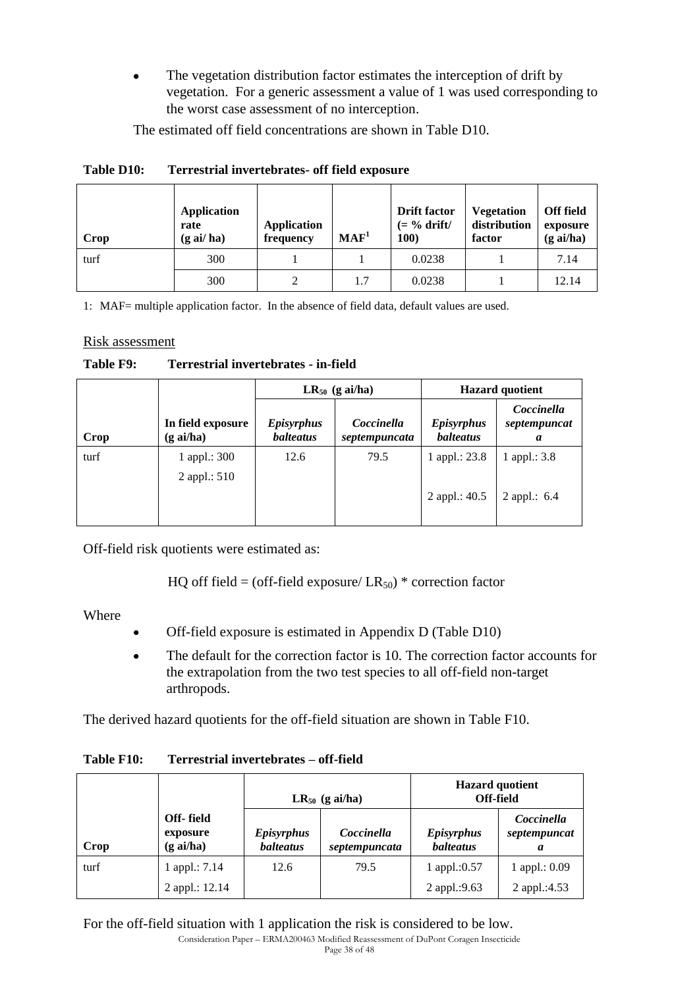The vegetation distribution factor estimates the interception of drift by  $\bullet$ vegetation. For a generic assessment a value of 1 was used corresponding to the worst case assessment of no interception.

The estimated off field concentrations are shown in Table D10.

| Crop | <b>Application</b><br>rate<br>$(g \text{ ai}/\text{ ha})$ | <b>Application</b><br>frequency | MAF <sup>1</sup> | <b>Drift factor</b><br>$(= \frac{6}{6}$ drift/<br>100) | <b>Vegetation</b><br>distribution<br>factor | <b>Off field</b><br>exposure<br>$(g \text{ ai/ha})$ |
|------|-----------------------------------------------------------|---------------------------------|------------------|--------------------------------------------------------|---------------------------------------------|-----------------------------------------------------|
| turf | 300                                                       |                                 |                  | 0.0238                                                 |                                             | 7.14                                                |
|      | 300                                                       |                                 | 1.7              | 0.0238                                                 |                                             | 12.14                                               |

### **Table D10: Terrestrial invertebrates- off field exposure**

1: MAF= multiple application factor. In the absence of field data, default values are used.

### Risk assessment

### **Table F9: Terrestrial invertebrates - in-field**

|      |                                     |                                       | $LR_{50}$ (g ai/ha)         | <b>Hazard</b> quotient                |                                 |
|------|-------------------------------------|---------------------------------------|-----------------------------|---------------------------------------|---------------------------------|
| Crop | In field exposure<br>$(g \, ai/ha)$ | <b>Episyrphus</b><br><b>balteatus</b> | Coccinella<br>septempuncata | <b>Episyrphus</b><br><b>balteatus</b> | Coccinella<br>septempuncat<br>a |
| turf | 1 appl.: $300$<br>2 appl.: 510      | 12.6                                  | 79.5                        | 1 appl.: $23.8$                       | 1 appl.: $3.8$                  |
|      |                                     |                                       |                             | 2 appl.: 40.5                         | 2 appl.: $6.4$                  |

Off-field risk quotients were estimated as:

HQ off field = (off-field exposure/  $LR_{50}$ ) \* correction factor

Where

- Off-field exposure is estimated in Appendix D (Table D10)
- The default for the correction factor is 10. The correction factor accounts for  $\bullet$ the extrapolation from the two test species to all off-field non-target arthropods.

The derived hazard quotients for the off-field situation are shown in Table F10.

|      |                                         | $LR_{50}$ (g ai/ha)                   |                             | <b>Hazard</b> quotient<br>Off-field   |                                 |
|------|-----------------------------------------|---------------------------------------|-----------------------------|---------------------------------------|---------------------------------|
| Crop | Off-field<br>exposure<br>$(g \, ai/ha)$ | <b>Episyrphus</b><br><b>balteatus</b> | Coccinella<br>septempuncata | <i>Episyrphus</i><br><b>balteatus</b> | Coccinella<br>septempuncat<br>a |
| turf | 1 appl.: $7.14$                         | 12.6                                  | 79.5                        | 1 appl.:0.57                          | 1 appl.: $0.09$                 |
|      | 2 appl.: 12.14                          |                                       |                             | 2 appl.:9.63                          | 2 appl.:4.53                    |

### **Table F10: Terrestrial invertebrates – off-field**

For the off-field situation with 1 application the risk is considered to be low.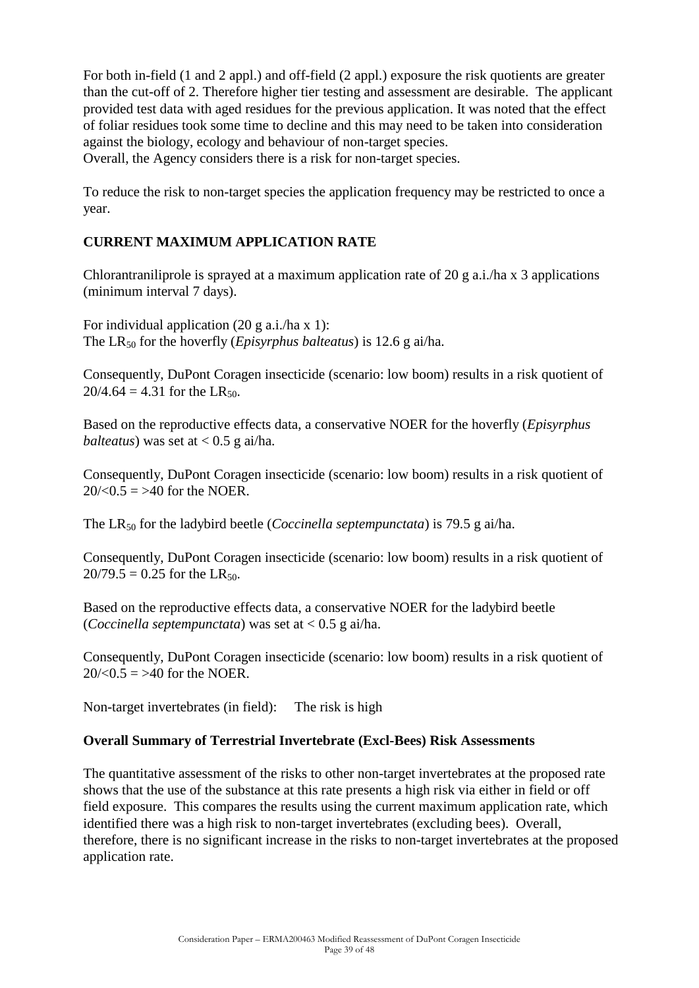For both in-field (1 and 2 appl.) and off-field (2 appl.) exposure the risk quotients are greater than the cut-off of 2. Therefore higher tier testing and assessment are desirable. The applicant provided test data with aged residues for the previous application. It was noted that the effect of foliar residues took some time to decline and this may need to be taken into consideration against the biology, ecology and behaviour of non-target species.

Overall, the Agency considers there is a risk for non-target species.

To reduce the risk to non-target species the application frequency may be restricted to once a year.

### **CURRENT MAXIMUM APPLICATION RATE**

Chlorantraniliprole is sprayed at a maximum application rate of 20 g a.i./ha x 3 applications (minimum interval 7 days).

For individual application  $(20 \text{ g a.i./ha x 1})$ : The LR<sup>50</sup> for the hoverfly (*Episyrphus balteatus*) is 12.6 g ai/ha.

Consequently, DuPont Coragen insecticide (scenario: low boom) results in a risk quotient of  $20/4.64 = 4.31$  for the LR<sub>50</sub>.

Based on the reproductive effects data, a conservative NOER for the hoverfly (*Episyrphus balteatus*) was set at  $< 0.5$  g ai/ha.

Consequently, DuPont Coragen insecticide (scenario: low boom) results in a risk quotient of  $20/(0.5) = 240$  for the NOER.

The LR<sub>50</sub> for the ladybird beetle (*Coccinella septempunctata*) is 79.5 g ai/ha.

Consequently, DuPont Coragen insecticide (scenario: low boom) results in a risk quotient of  $20/79.5 = 0.25$  for the LR<sub>50</sub>.

Based on the reproductive effects data, a conservative NOER for the ladybird beetle (*Coccinella septempunctata*) was set at < 0.5 g ai/ha.

Consequently, DuPont Coragen insecticide (scenario: low boom) results in a risk quotient of  $20/(0.5) = 240$  for the NOER.

Non-target invertebrates (in field): The risk is high

### **Overall Summary of Terrestrial Invertebrate (Excl-Bees) Risk Assessments**

The quantitative assessment of the risks to other non-target invertebrates at the proposed rate shows that the use of the substance at this rate presents a high risk via either in field or off field exposure. This compares the results using the current maximum application rate, which identified there was a high risk to non-target invertebrates (excluding bees). Overall, therefore, there is no significant increase in the risks to non-target invertebrates at the proposed application rate.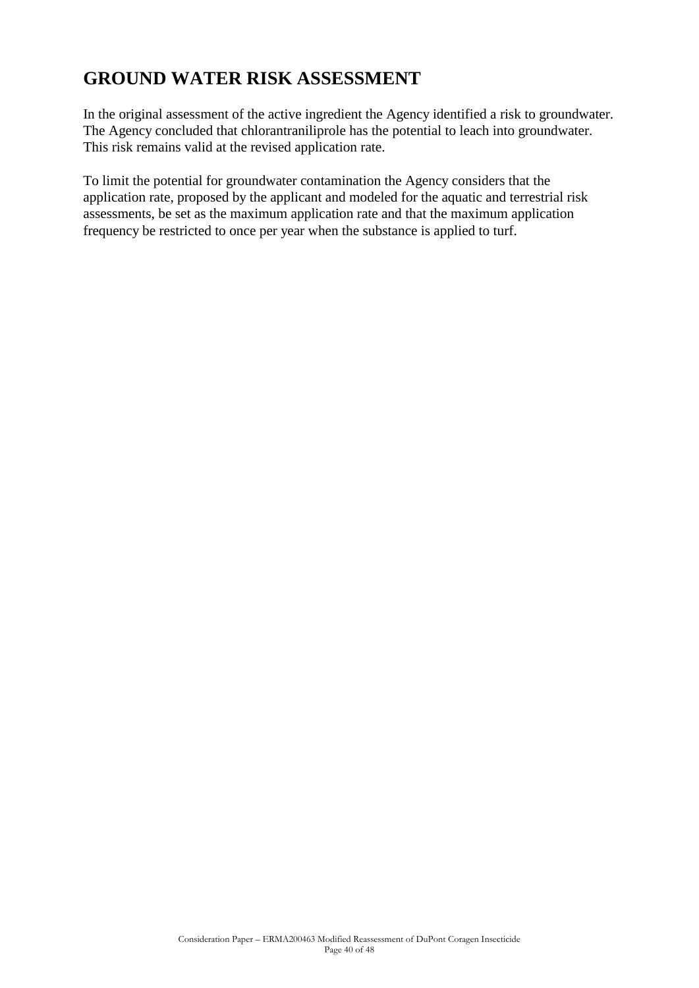## **GROUND WATER RISK ASSESSMENT**

In the original assessment of the active ingredient the Agency identified a risk to groundwater. The Agency concluded that chlorantraniliprole has the potential to leach into groundwater. This risk remains valid at the revised application rate.

To limit the potential for groundwater contamination the Agency considers that the application rate, proposed by the applicant and modeled for the aquatic and terrestrial risk assessments, be set as the maximum application rate and that the maximum application frequency be restricted to once per year when the substance is applied to turf.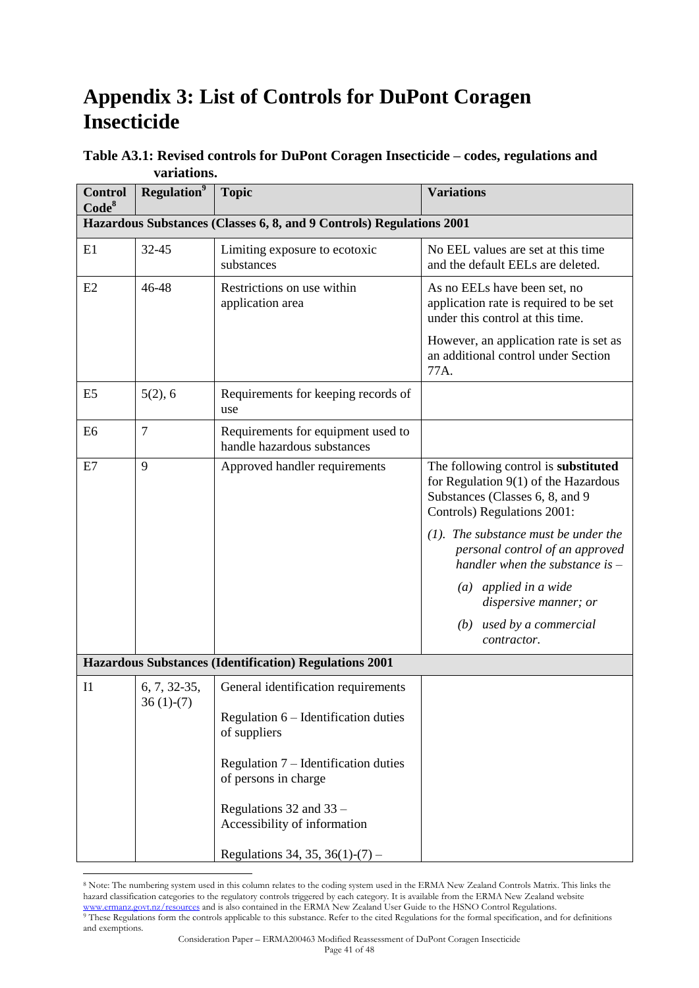# **Appendix 3: List of Controls for DuPont Coragen Insecticide**

| <b>Control</b><br>Code <sup>8</sup> | <b>Regulation</b> <sup>9</sup> | <b>Topic</b>                                                         | <b>Variations</b>                                                                                                                              |
|-------------------------------------|--------------------------------|----------------------------------------------------------------------|------------------------------------------------------------------------------------------------------------------------------------------------|
|                                     |                                | Hazardous Substances (Classes 6, 8, and 9 Controls) Regulations 2001 |                                                                                                                                                |
| E1                                  | 32-45                          | Limiting exposure to ecotoxic<br>substances                          | No EEL values are set at this time<br>and the default EELs are deleted.                                                                        |
| E2                                  | 46-48                          | Restrictions on use within<br>application area                       | As no EELs have been set, no<br>application rate is required to be set<br>under this control at this time.                                     |
|                                     |                                |                                                                      | However, an application rate is set as<br>an additional control under Section<br>77A.                                                          |
| E <sub>5</sub>                      | 5(2), 6                        | Requirements for keeping records of<br>use                           |                                                                                                                                                |
| E <sub>6</sub>                      | $\overline{7}$                 | Requirements for equipment used to<br>handle hazardous substances    |                                                                                                                                                |
| E7                                  | 9                              | Approved handler requirements                                        | The following control is substituted<br>for Regulation 9(1) of the Hazardous<br>Substances (Classes 6, 8, and 9<br>Controls) Regulations 2001: |
|                                     |                                |                                                                      | $(1)$ . The substance must be under the<br>personal control of an approved<br>handler when the substance is $-$                                |
|                                     |                                |                                                                      | $(a)$ applied in a wide<br>dispersive manner; or                                                                                               |
|                                     |                                |                                                                      | $(b)$ used by a commercial<br>contractor.                                                                                                      |
|                                     |                                | <b>Hazardous Substances (Identification) Regulations 2001</b>        |                                                                                                                                                |
| I1                                  | 6, 7, 32-35,                   | General identification requirements                                  |                                                                                                                                                |
|                                     | $36(1)-(7)$                    | Regulation $6$ – Identification duties<br>of suppliers               |                                                                                                                                                |
|                                     |                                | Regulation $7$ – Identification duties<br>of persons in charge       |                                                                                                                                                |
|                                     |                                | Regulations 32 and 33 -<br>Accessibility of information              |                                                                                                                                                |
|                                     |                                | Regulations 34, 35, 36(1)-(7) –                                      |                                                                                                                                                |

### **Table A3.1: Revised controls for DuPont Coragen Insecticide – codes, regulations and variations.**

 $\overline{a}$ 

<sup>8</sup> Note: The numbering system used in this column relates to the coding system used in the ERMA New Zealand Controls Matrix. This links the hazard classification categories to the regulatory controls triggered by each category. It is available from the ERMA New Zealand website [www.ermanz.govt.nz/resources](http://www.ermanz.govt.nz/resources) and is also contained in the ERMA New Zealand User Guide to the HSNO Control Regulations. <sup>9</sup> These Regulations form the controls applicable to this substance. Refer to the cited Regulations for the formal specification, and for definitions and exemptions.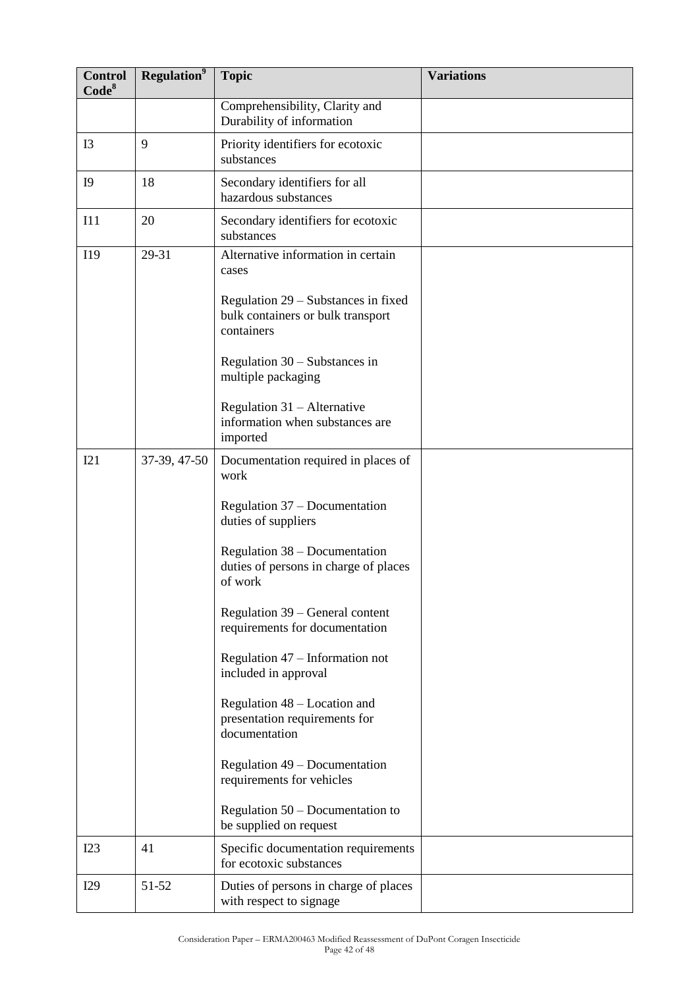| <b>Control</b><br>Code <sup>8</sup> | <b>Regulation</b> <sup>9</sup> | <b>Topic</b>                                                                           | <b>Variations</b> |
|-------------------------------------|--------------------------------|----------------------------------------------------------------------------------------|-------------------|
|                                     |                                | Comprehensibility, Clarity and<br>Durability of information                            |                   |
| I3                                  | 9                              | Priority identifiers for ecotoxic<br>substances                                        |                   |
| I <sub>0</sub>                      | 18                             | Secondary identifiers for all<br>hazardous substances                                  |                   |
| I11                                 | 20                             | Secondary identifiers for ecotoxic<br>substances                                       |                   |
| I19                                 | 29-31                          | Alternative information in certain<br>cases                                            |                   |
|                                     |                                | Regulation 29 – Substances in fixed<br>bulk containers or bulk transport<br>containers |                   |
|                                     |                                | Regulation $30 -$ Substances in<br>multiple packaging                                  |                   |
|                                     |                                | Regulation 31 - Alternative<br>information when substances are<br>imported             |                   |
| I21                                 | 37-39, 47-50                   | Documentation required in places of<br>work                                            |                   |
|                                     |                                | Regulation 37 – Documentation<br>duties of suppliers                                   |                   |
|                                     |                                | Regulation 38 – Documentation<br>duties of persons in charge of places<br>of work      |                   |
|                                     |                                | Regulation 39 – General content<br>requirements for documentation                      |                   |
|                                     |                                | Regulation 47 – Information not<br>included in approval                                |                   |
|                                     |                                | Regulation 48 – Location and<br>presentation requirements for<br>documentation         |                   |
|                                     |                                | Regulation 49 – Documentation<br>requirements for vehicles                             |                   |
|                                     |                                | Regulation $50 -$ Documentation to<br>be supplied on request                           |                   |
| I23                                 | 41                             | Specific documentation requirements<br>for ecotoxic substances                         |                   |
| I29                                 | 51-52                          | Duties of persons in charge of places<br>with respect to signage                       |                   |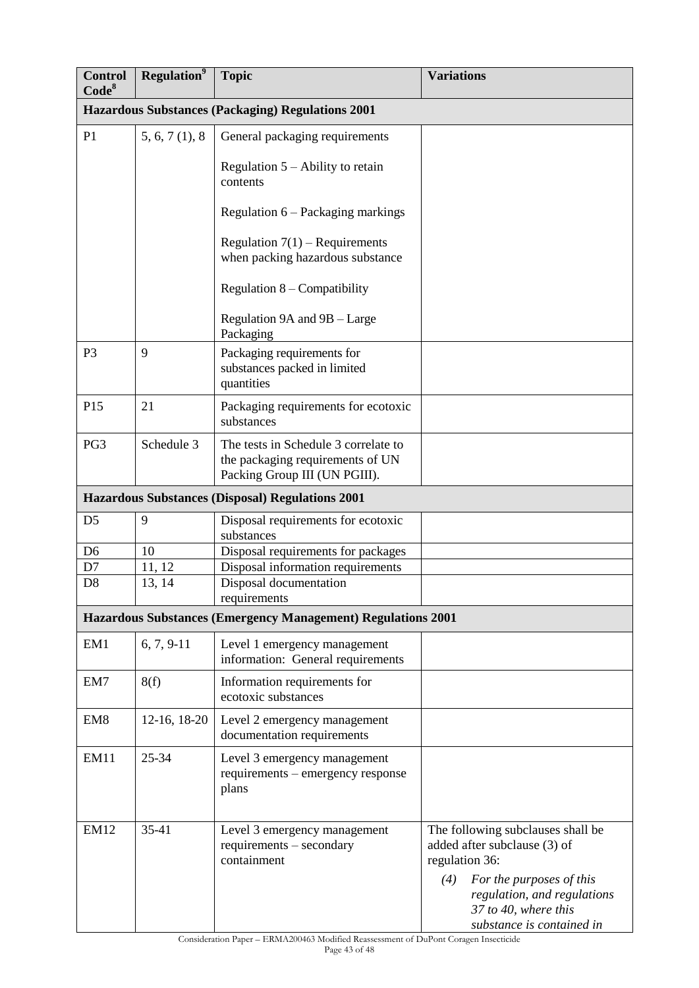| <b>Control</b><br>Code <sup>8</sup> | <b>Regulation</b> <sup>9</sup> | <b>Topic</b>                                                                                              | <b>Variations</b>                                                                                                                                                                                          |
|-------------------------------------|--------------------------------|-----------------------------------------------------------------------------------------------------------|------------------------------------------------------------------------------------------------------------------------------------------------------------------------------------------------------------|
|                                     |                                | <b>Hazardous Substances (Packaging) Regulations 2001</b>                                                  |                                                                                                                                                                                                            |
| P <sub>1</sub>                      | 5, 6, 7(1), 8                  | General packaging requirements                                                                            |                                                                                                                                                                                                            |
|                                     |                                | Regulation $5 -$ Ability to retain<br>contents                                                            |                                                                                                                                                                                                            |
|                                     |                                | Regulation 6 - Packaging markings                                                                         |                                                                                                                                                                                                            |
|                                     |                                | Regulation $7(1)$ – Requirements<br>when packing hazardous substance                                      |                                                                                                                                                                                                            |
|                                     |                                | Regulation $8$ – Compatibility                                                                            |                                                                                                                                                                                                            |
|                                     |                                | Regulation 9A and 9B – Large<br>Packaging                                                                 |                                                                                                                                                                                                            |
| P <sub>3</sub>                      | 9                              | Packaging requirements for<br>substances packed in limited<br>quantities                                  |                                                                                                                                                                                                            |
| P15                                 | 21                             | Packaging requirements for ecotoxic<br>substances                                                         |                                                                                                                                                                                                            |
| PG <sub>3</sub>                     | Schedule 3                     | The tests in Schedule 3 correlate to<br>the packaging requirements of UN<br>Packing Group III (UN PGIII). |                                                                                                                                                                                                            |
|                                     |                                | <b>Hazardous Substances (Disposal) Regulations 2001</b>                                                   |                                                                                                                                                                                                            |
| D <sub>5</sub>                      | 9                              | Disposal requirements for ecotoxic<br>substances                                                          |                                                                                                                                                                                                            |
| D <sub>6</sub>                      | 10                             | Disposal requirements for packages                                                                        |                                                                                                                                                                                                            |
| D7                                  | 11, 12                         | Disposal information requirements                                                                         |                                                                                                                                                                                                            |
| D <sub>8</sub>                      | 13, 14                         | Disposal documentation<br>requirements                                                                    |                                                                                                                                                                                                            |
|                                     |                                | <b>Hazardous Substances (Emergency Management) Regulations 2001</b>                                       |                                                                                                                                                                                                            |
| EM1                                 | $6, 7, 9-11$                   | Level 1 emergency management<br>information: General requirements                                         |                                                                                                                                                                                                            |
| EM7                                 | 8(f)                           | Information requirements for<br>ecotoxic substances                                                       |                                                                                                                                                                                                            |
| EM <sub>8</sub>                     | 12-16, 18-20                   | Level 2 emergency management<br>documentation requirements                                                |                                                                                                                                                                                                            |
| <b>EM11</b>                         | $25 - 34$                      | Level 3 emergency management<br>requirements – emergency response<br>plans                                |                                                                                                                                                                                                            |
| <b>EM12</b>                         | 35-41                          | Level 3 emergency management<br>requirements - secondary<br>containment                                   | The following subclauses shall be<br>added after subclause (3) of<br>regulation 36:<br>For the purposes of this<br>(4)<br>regulation, and regulations<br>37 to 40, where this<br>substance is contained in |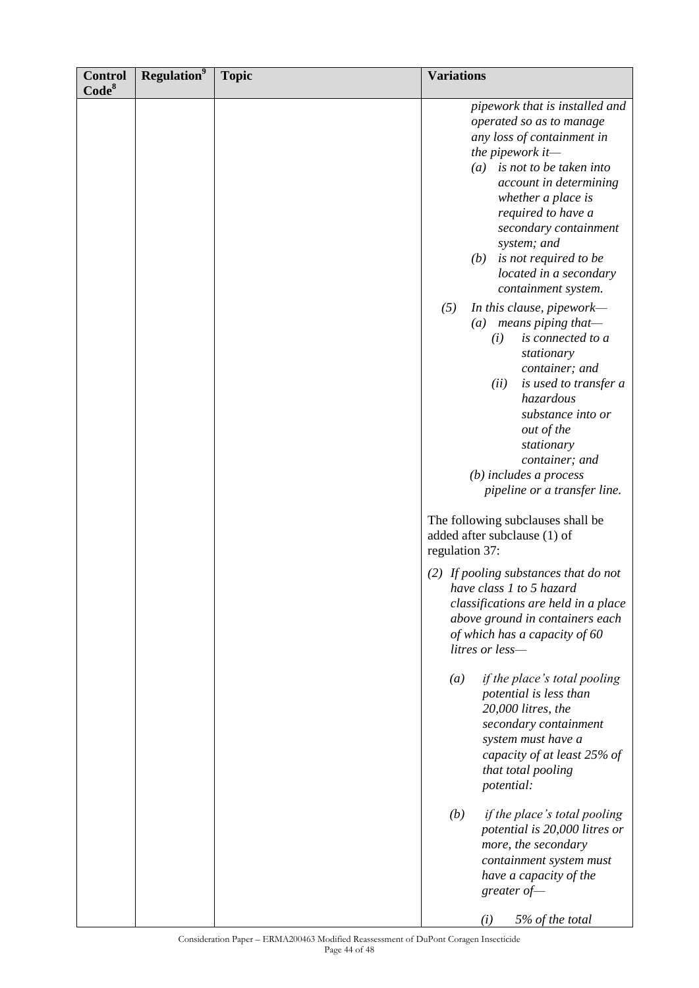| <b>Control</b><br>Code <sup>8</sup> | <b>Regulation</b> <sup>9</sup> | <b>Topic</b> | <b>Variations</b>                                                                                                                                                                                                                                                                                                                                                                                                                                                                                                                                                                                                                    |
|-------------------------------------|--------------------------------|--------------|--------------------------------------------------------------------------------------------------------------------------------------------------------------------------------------------------------------------------------------------------------------------------------------------------------------------------------------------------------------------------------------------------------------------------------------------------------------------------------------------------------------------------------------------------------------------------------------------------------------------------------------|
|                                     |                                |              | pipework that is installed and<br>operated so as to manage<br>any loss of containment in<br>the pipework it-<br>is not to be taken into<br>(a)<br>account in determining<br>whether a place is<br>required to have a<br>secondary containment<br>system; and<br>is not required to be<br>(b)<br>located in a secondary<br>containment system.<br>(5)<br>In this clause, pipework-<br>means piping that-<br>$\left(a\right)$<br>is connected to a<br>(i)<br>stationary<br>container; and<br>(ii)<br>is used to transfer a<br>hazardous<br>substance into or<br>out of the<br>stationary<br>container; and<br>$(b)$ includes a process |
|                                     |                                |              | pipeline or a transfer line.<br>The following subclauses shall be<br>added after subclause (1) of<br>regulation 37:                                                                                                                                                                                                                                                                                                                                                                                                                                                                                                                  |
|                                     |                                |              | $(2)$ If pooling substances that do not<br>have class 1 to 5 hazard<br>classifications are held in a place<br>above ground in containers each<br>of which has a capacity of 60<br>litres or less-                                                                                                                                                                                                                                                                                                                                                                                                                                    |
|                                     |                                |              | if the place's total pooling<br>$\left(a\right)$<br>potential is less than<br>20,000 litres, the<br>secondary containment<br>system must have a<br>capacity of at least 25% of<br>that total pooling<br>potential:                                                                                                                                                                                                                                                                                                                                                                                                                   |
|                                     |                                |              | if the place's total pooling<br>(b)<br>potential is 20,000 litres or<br>more, the secondary<br>containment system must<br>have a capacity of the<br>greater of-<br>5% of the total<br>(i)                                                                                                                                                                                                                                                                                                                                                                                                                                            |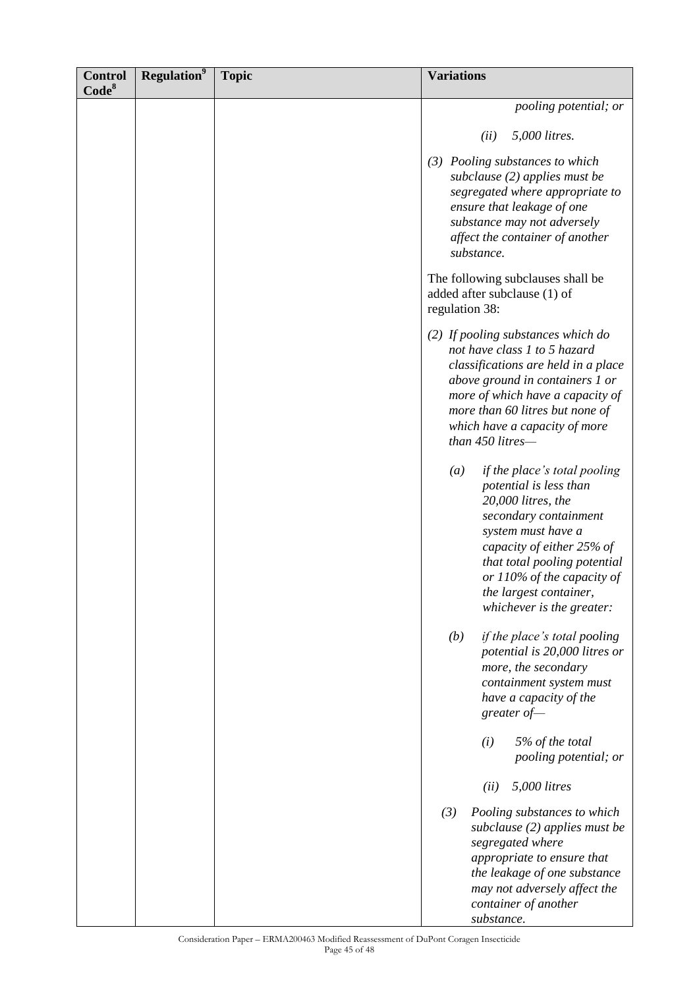| <b>Control</b><br>Code <sup>8</sup> | <b>Regulation</b> <sup>9</sup> | <b>Topic</b> | <b>Variations</b>                                                                                                                                                                                                                                                                                   |
|-------------------------------------|--------------------------------|--------------|-----------------------------------------------------------------------------------------------------------------------------------------------------------------------------------------------------------------------------------------------------------------------------------------------------|
|                                     |                                |              | pooling potential; or                                                                                                                                                                                                                                                                               |
|                                     |                                |              | 5,000 litres.<br>(ii)                                                                                                                                                                                                                                                                               |
|                                     |                                |              | (3) Pooling substances to which<br>subclause $(2)$ applies must be<br>segregated where appropriate to<br>ensure that leakage of one<br>substance may not adversely<br>affect the container of another<br>substance.                                                                                 |
|                                     |                                |              | The following subclauses shall be<br>added after subclause (1) of<br>regulation 38:                                                                                                                                                                                                                 |
|                                     |                                |              | (2) If pooling substances which do<br>not have class 1 to 5 hazard<br>classifications are held in a place<br>above ground in containers 1 or<br>more of which have a capacity of<br>more than 60 litres but none of<br>which have a capacity of more<br>than 450 litres-                            |
|                                     |                                |              | $\left(a\right)$<br>if the place's total pooling<br>potential is less than<br>$20,000$ litres, the<br>secondary containment<br>system must have a<br>capacity of either 25% of<br>that total pooling potential<br>or 110% of the capacity of<br>the largest container,<br>whichever is the greater: |
|                                     |                                |              | if the place's total pooling<br>(b)<br>potential is 20,000 litres or<br>more, the secondary<br>containment system must<br>have a capacity of the<br>greater $of$ —                                                                                                                                  |
|                                     |                                |              | 5% of the total<br>(i)<br>pooling potential; or                                                                                                                                                                                                                                                     |
|                                     |                                |              | 5,000 litres<br>(ii)                                                                                                                                                                                                                                                                                |
|                                     |                                |              | (3)<br>Pooling substances to which<br>subclause $(2)$ applies must be<br>segregated where<br>appropriate to ensure that<br>the leakage of one substance<br>may not adversely affect the<br>container of another<br>substance.                                                                       |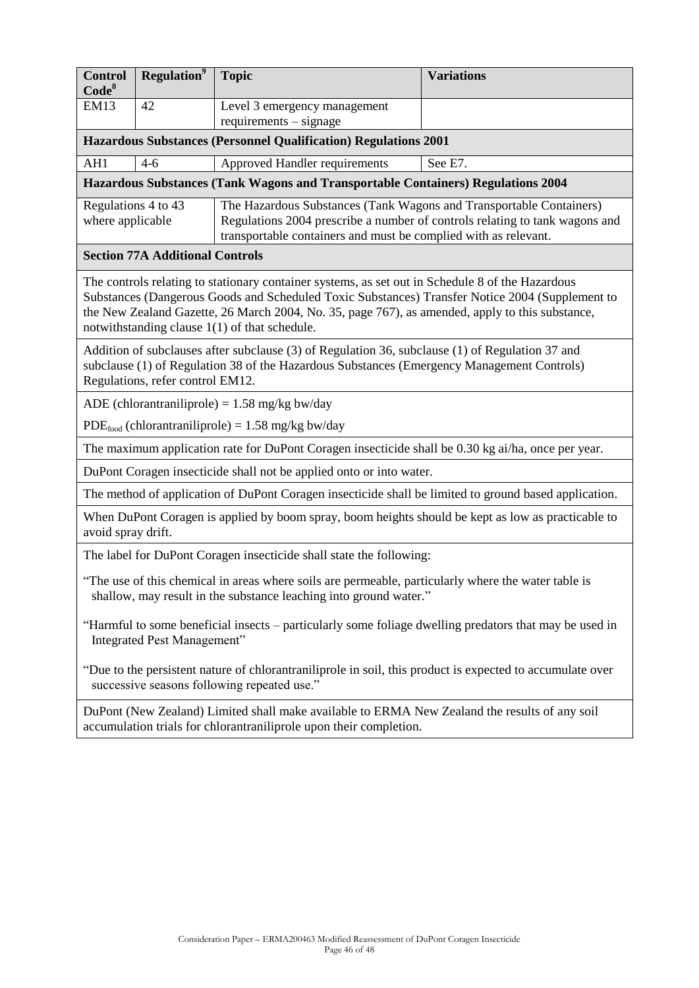| <b>Control</b><br>Code <sup>8</sup>                                                                                                                                                                                                                                                                                                                       | <b>Regulation</b> <sup>9</sup> | <b>Topic</b>                                                                                                                                   | <b>Variations</b> |
|-----------------------------------------------------------------------------------------------------------------------------------------------------------------------------------------------------------------------------------------------------------------------------------------------------------------------------------------------------------|--------------------------------|------------------------------------------------------------------------------------------------------------------------------------------------|-------------------|
| <b>EM13</b>                                                                                                                                                                                                                                                                                                                                               | 42                             | Level 3 emergency management                                                                                                                   |                   |
| $requirements - signature$<br><b>Hazardous Substances (Personnel Qualification) Regulations 2001</b>                                                                                                                                                                                                                                                      |                                |                                                                                                                                                |                   |
| AH1<br>Approved Handler requirements<br>See E7.<br>$4-6$                                                                                                                                                                                                                                                                                                  |                                |                                                                                                                                                |                   |
|                                                                                                                                                                                                                                                                                                                                                           |                                | Hazardous Substances (Tank Wagons and Transportable Containers) Regulations 2004                                                               |                   |
| Regulations 4 to 43<br>The Hazardous Substances (Tank Wagons and Transportable Containers)                                                                                                                                                                                                                                                                |                                |                                                                                                                                                |                   |
| where applicable                                                                                                                                                                                                                                                                                                                                          |                                | Regulations 2004 prescribe a number of controls relating to tank wagons and<br>transportable containers and must be complied with as relevant. |                   |
| <b>Section 77A Additional Controls</b>                                                                                                                                                                                                                                                                                                                    |                                |                                                                                                                                                |                   |
| The controls relating to stationary container systems, as set out in Schedule 8 of the Hazardous<br>Substances (Dangerous Goods and Scheduled Toxic Substances) Transfer Notice 2004 (Supplement to<br>the New Zealand Gazette, 26 March 2004, No. 35, page 767), as amended, apply to this substance,<br>notwithstanding clause $1(1)$ of that schedule. |                                |                                                                                                                                                |                   |
| Addition of subclauses after subclause (3) of Regulation 36, subclause (1) of Regulation 37 and<br>subclause (1) of Regulation 38 of the Hazardous Substances (Emergency Management Controls)<br>Regulations, refer control EM12.                                                                                                                         |                                |                                                                                                                                                |                   |
| ADE (chlorantraniliprole) = $1.58$ mg/kg bw/day                                                                                                                                                                                                                                                                                                           |                                |                                                                                                                                                |                   |
| $PDE_{\text{food}}$ (chlorantraniliprole) = 1.58 mg/kg bw/day                                                                                                                                                                                                                                                                                             |                                |                                                                                                                                                |                   |
| The maximum application rate for DuPont Coragen insecticide shall be 0.30 kg ai/ha, once per year.                                                                                                                                                                                                                                                        |                                |                                                                                                                                                |                   |
| DuPont Coragen insecticide shall not be applied onto or into water.                                                                                                                                                                                                                                                                                       |                                |                                                                                                                                                |                   |
| The method of application of DuPont Coragen insecticide shall be limited to ground based application.                                                                                                                                                                                                                                                     |                                |                                                                                                                                                |                   |
| When DuPont Coragen is applied by boom spray, boom heights should be kept as low as practicable to<br>avoid spray drift.                                                                                                                                                                                                                                  |                                |                                                                                                                                                |                   |
| The label for DuPont Coragen insecticide shall state the following:                                                                                                                                                                                                                                                                                       |                                |                                                                                                                                                |                   |
| "The use of this chemical in areas where soils are permeable, particularly where the water table is<br>shallow, may result in the substance leaching into ground water."                                                                                                                                                                                  |                                |                                                                                                                                                |                   |
| "Harmful to some beneficial insects – particularly some foliage dwelling predators that may be used in<br>Integrated Pest Management"                                                                                                                                                                                                                     |                                |                                                                                                                                                |                   |
| "Due to the persistent nature of chlorantraniliprole in soil, this product is expected to accumulate over<br>successive seasons following repeated use."                                                                                                                                                                                                  |                                |                                                                                                                                                |                   |
| DuPont (New Zealand) Limited shall make available to ERMA New Zealand the results of any soil<br>accumulation trials for chlorantraniliprole upon their completion.                                                                                                                                                                                       |                                |                                                                                                                                                |                   |
|                                                                                                                                                                                                                                                                                                                                                           |                                |                                                                                                                                                |                   |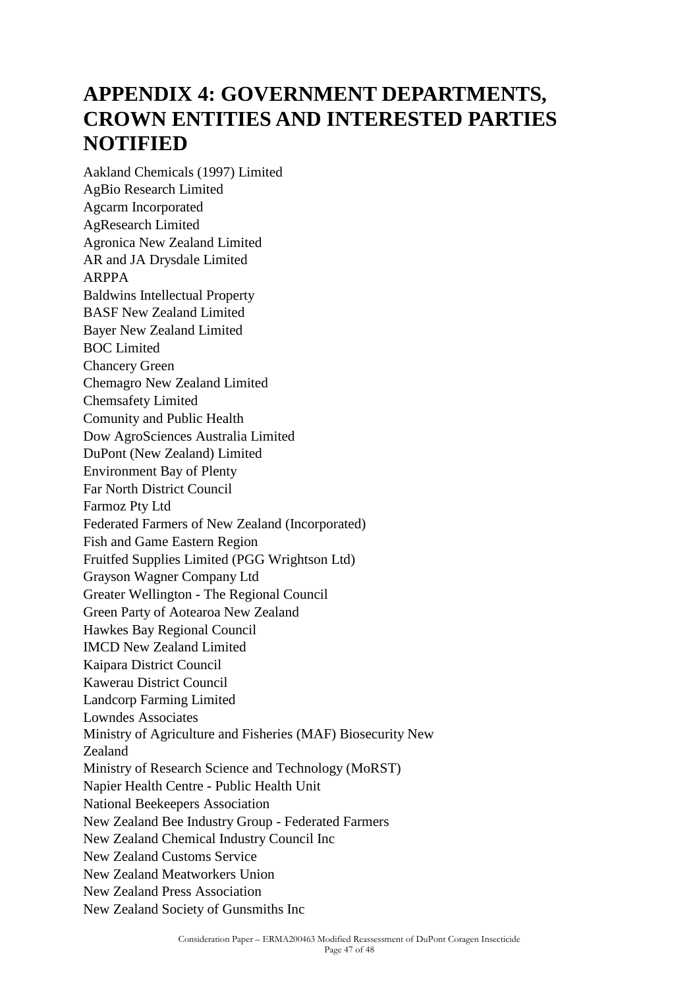# **APPENDIX 4: GOVERNMENT DEPARTMENTS, CROWN ENTITIES AND INTERESTED PARTIES NOTIFIED**

Aakland Chemicals (1997) Limited AgBio Research Limited Agcarm Incorporated AgResearch Limited Agronica New Zealand Limited AR and JA Drysdale Limited ARPPA Baldwins Intellectual Property BASF New Zealand Limited Bayer New Zealand Limited BOC Limited Chancery Green Chemagro New Zealand Limited Chemsafety Limited Comunity and Public Health Dow AgroSciences Australia Limited DuPont (New Zealand) Limited Environment Bay of Plenty Far North District Council Farmoz Pty Ltd Federated Farmers of New Zealand (Incorporated) Fish and Game Eastern Region Fruitfed Supplies Limited (PGG Wrightson Ltd) Grayson Wagner Company Ltd Greater Wellington - The Regional Council Green Party of Aotearoa New Zealand Hawkes Bay Regional Council IMCD New Zealand Limited Kaipara District Council Kawerau District Council Landcorp Farming Limited Lowndes Associates Ministry of Agriculture and Fisheries (MAF) Biosecurity New Zealand Ministry of Research Science and Technology (MoRST) Napier Health Centre - Public Health Unit National Beekeepers Association New Zealand Bee Industry Group - Federated Farmers New Zealand Chemical Industry Council Inc New Zealand Customs Service New Zealand Meatworkers Union New Zealand Press Association New Zealand Society of Gunsmiths Inc